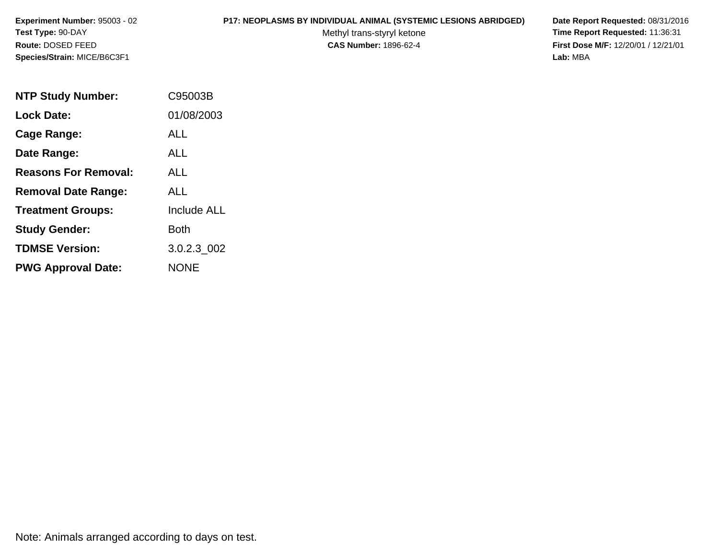### **P17: NEOPLASMS BY INDIVIDUAL ANIMAL (SYSTEMIC LESIONS ABRIDGED) Date Report Requested:** 08/31/2016

Methyl trans-styryl ketone<br>CAS Number: 1896-62-4

| <b>NTP Study Number:</b>    | C95003B            |
|-----------------------------|--------------------|
| <b>Lock Date:</b>           | 01/08/2003         |
| Cage Range:                 | ALL                |
| Date Range:                 | ALL                |
| <b>Reasons For Removal:</b> | AI I               |
| <b>Removal Date Range:</b>  | ALL                |
| <b>Treatment Groups:</b>    | <b>Include ALL</b> |
| <b>Study Gender:</b>        | Both               |
| <b>TDMSE Version:</b>       | 3.0.2.3 002        |
| <b>PWG Approval Date:</b>   | <b>NONE</b>        |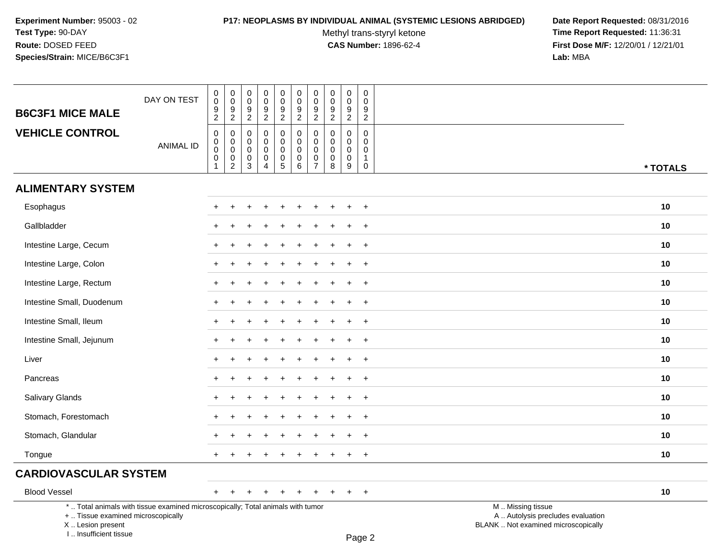### **P17: NEOPLASMS BY INDIVIDUAL ANIMAL (SYSTEMIC LESIONS ABRIDGED) Date Report Requested:** 08/31/2016

Methyl trans-styryl ketone<br>CAS Number: 1896-62-4

 **Time Report Requested:** 11:36:31 **First Dose M/F:** 12/20/01 / 12/21/01<br>**Lab:** MBA **Lab:** MBA

|                                                                                 | DAY ON TEST      | $_{\rm 0}^{\rm 0}$                                                   | $\begin{smallmatrix} 0\\0 \end{smallmatrix}$                                           | 0<br>$\mathsf 0$                          | $\pmb{0}$<br>$\ddot{\mathbf{0}}$                                       | $_{\rm 0}^{\rm 0}$                                                                | 0<br>$\mathbf 0$                                            | $\begin{smallmatrix} 0\\0 \end{smallmatrix}$                         | $\pmb{0}$<br>$\pmb{0}$                                        | $\pmb{0}$<br>$\pmb{0}$                                        | $\pmb{0}$<br>$\mathbf 0$                                               |                                    |          |
|---------------------------------------------------------------------------------|------------------|----------------------------------------------------------------------|----------------------------------------------------------------------------------------|-------------------------------------------|------------------------------------------------------------------------|-----------------------------------------------------------------------------------|-------------------------------------------------------------|----------------------------------------------------------------------|---------------------------------------------------------------|---------------------------------------------------------------|------------------------------------------------------------------------|------------------------------------|----------|
| <b>B6C3F1 MICE MALE</b>                                                         |                  | $\frac{9}{2}$                                                        | $\frac{9}{2}$                                                                          | $\frac{9}{2}$                             | $\frac{9}{2}$                                                          | $\frac{9}{2}$                                                                     | $\frac{9}{2}$                                               | $\frac{9}{2}$                                                        | 9<br>$\overline{2}$                                           | $\frac{9}{2}$                                                 | 9<br>$\overline{c}$                                                    |                                    |          |
| <b>VEHICLE CONTROL</b>                                                          | <b>ANIMAL ID</b> | $\boldsymbol{0}$<br>$\overline{0}$<br>$\overline{0}$<br>$\mathbf{1}$ | $\pmb{0}$<br>$\pmb{0}$<br>$\mathbf 0$<br>$\begin{smallmatrix} 0\\ 2 \end{smallmatrix}$ | 0<br>$\mathbf 0$<br>$\mathbf 0$<br>0<br>3 | $\mathbf 0$<br>$\mathbf 0$<br>$\pmb{0}$<br>$\pmb{0}$<br>$\overline{4}$ | $\mathsf{O}$<br>$\pmb{0}$<br>$\mathbf 0$<br>$\begin{array}{c} 0 \\ 5 \end{array}$ | 0<br>$\mathsf{O}\xspace$<br>$\mathbf 0$<br>$\mathsf 0$<br>6 | $\pmb{0}$<br>$\pmb{0}$<br>$\mathbf 0$<br>$\pmb{0}$<br>$\overline{7}$ | $\mathbf 0$<br>$\mathbf 0$<br>$\mathbf 0$<br>$\mathbf 0$<br>8 | $\mathbf 0$<br>$\mathbf 0$<br>$\mathbf 0$<br>$\mathbf 0$<br>9 | $\mathbf 0$<br>$\mathbf 0$<br>$\mathbf 0$<br>$\mathbf{1}$<br>$\pmb{0}$ |                                    | * TOTALS |
| <b>ALIMENTARY SYSTEM</b>                                                        |                  |                                                                      |                                                                                        |                                           |                                                                        |                                                                                   |                                                             |                                                                      |                                                               |                                                               |                                                                        |                                    |          |
| Esophagus                                                                       |                  |                                                                      |                                                                                        |                                           |                                                                        |                                                                                   |                                                             |                                                                      |                                                               |                                                               | $\overline{ }$                                                         |                                    | 10       |
| Gallbladder                                                                     |                  |                                                                      |                                                                                        |                                           |                                                                        |                                                                                   |                                                             |                                                                      |                                                               |                                                               | $\pm$                                                                  |                                    | 10       |
| Intestine Large, Cecum                                                          |                  | $\pm$                                                                |                                                                                        |                                           |                                                                        |                                                                                   |                                                             |                                                                      |                                                               |                                                               | $\ddot{}$                                                              |                                    | 10       |
| Intestine Large, Colon                                                          |                  |                                                                      |                                                                                        |                                           |                                                                        |                                                                                   |                                                             |                                                                      |                                                               |                                                               | $\ddot{}$                                                              |                                    | 10       |
| Intestine Large, Rectum                                                         |                  | $\ddot{}$                                                            |                                                                                        |                                           |                                                                        |                                                                                   |                                                             |                                                                      |                                                               | ÷                                                             | $^{+}$                                                                 |                                    | 10       |
| Intestine Small, Duodenum                                                       |                  | $+$                                                                  |                                                                                        |                                           |                                                                        |                                                                                   |                                                             |                                                                      |                                                               |                                                               | $\ddot{}$                                                              |                                    | 10       |
| Intestine Small, Ileum                                                          |                  |                                                                      |                                                                                        |                                           |                                                                        |                                                                                   |                                                             |                                                                      |                                                               |                                                               | $\ddot{}$                                                              |                                    | 10       |
| Intestine Small, Jejunum                                                        |                  | $\ddot{}$                                                            |                                                                                        |                                           |                                                                        |                                                                                   |                                                             |                                                                      |                                                               | ÷                                                             | $+$                                                                    |                                    | 10       |
| Liver                                                                           |                  | $+$                                                                  |                                                                                        |                                           |                                                                        |                                                                                   |                                                             |                                                                      |                                                               |                                                               | $\ddot{}$                                                              |                                    | 10       |
| Pancreas                                                                        |                  |                                                                      |                                                                                        |                                           |                                                                        |                                                                                   |                                                             |                                                                      |                                                               |                                                               | $\ddot{}$                                                              |                                    | 10       |
| Salivary Glands                                                                 |                  | $+$                                                                  |                                                                                        |                                           |                                                                        |                                                                                   |                                                             |                                                                      |                                                               | ÷                                                             | $+$                                                                    |                                    | 10       |
| Stomach, Forestomach                                                            |                  |                                                                      |                                                                                        |                                           |                                                                        |                                                                                   |                                                             |                                                                      |                                                               |                                                               | $\ddot{}$                                                              |                                    | 10       |
| Stomach, Glandular                                                              |                  |                                                                      |                                                                                        |                                           |                                                                        |                                                                                   |                                                             |                                                                      |                                                               |                                                               | $\ddot{}$                                                              |                                    | 10       |
| Tongue                                                                          |                  | $+$                                                                  |                                                                                        |                                           |                                                                        |                                                                                   |                                                             |                                                                      |                                                               |                                                               | $+$                                                                    |                                    | 10       |
| <b>CARDIOVASCULAR SYSTEM</b>                                                    |                  |                                                                      |                                                                                        |                                           |                                                                        |                                                                                   |                                                             |                                                                      |                                                               |                                                               |                                                                        |                                    |          |
| <b>Blood Vessel</b>                                                             |                  |                                                                      |                                                                                        |                                           |                                                                        |                                                                                   |                                                             |                                                                      |                                                               |                                                               | $+$                                                                    |                                    | 10       |
| *  Total animals with tissue examined microscopically; Total animals with tumor |                  |                                                                      |                                                                                        |                                           |                                                                        |                                                                                   |                                                             |                                                                      |                                                               |                                                               |                                                                        | M  Missing tissue<br>$\sim$ $\sim$ |          |

+ .. Tissue examined microscopically

X .. Lesion present

I .. Insufficient tissue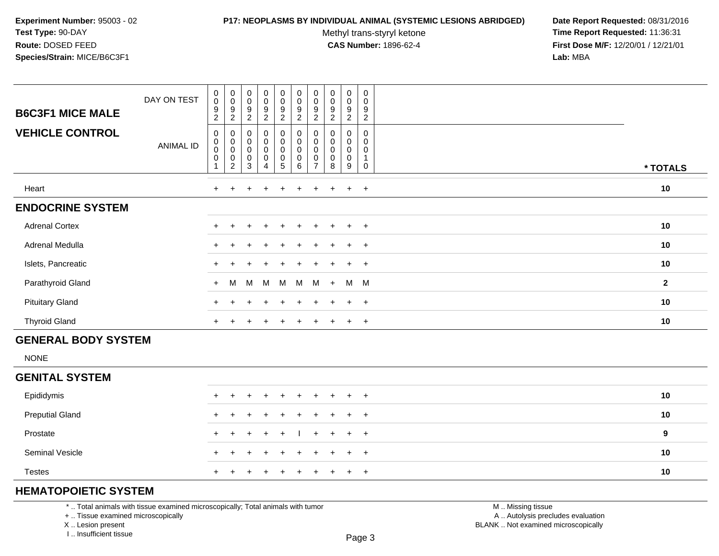### **P17: NEOPLASMS BY INDIVIDUAL ANIMAL (SYSTEMIC LESIONS ABRIDGED) Date Report Requested:** 08/31/2016

Methyl trans-styryl ketone<br>CAS Number: 1896-62-4

 **Time Report Requested:** 11:36:31 **First Dose M/F:** 12/20/01 / 12/21/01<br>**Lab:** MBA **Lab:** MBA

| <b>B6C3F1 MICE MALE</b><br><b>VEHICLE CONTROL</b> | DAY ON TEST<br><b>ANIMAL ID</b> | $\boldsymbol{0}$<br>$\pmb{0}$<br>$\boldsymbol{9}$<br>2<br>0<br>$\overline{0}$<br>0<br>$\pmb{0}$ | $_{\rm 0}^{\rm 0}$<br>9<br>$\boldsymbol{2}$<br>0<br>$\begin{smallmatrix}0\\0\end{smallmatrix}$<br>0<br>$\overline{c}$ | $_{0}^{0}$<br>9<br>2<br>$\mathbf 0$<br>$\boldsymbol{0}$<br>$\pmb{0}$<br>$\boldsymbol{0}$<br>3 | $\begin{smallmatrix}0\0\0\end{smallmatrix}$<br>9<br>$\overline{c}$<br>0<br>0<br>$\mathsf 0$<br>0<br>4 | $\begin{smallmatrix}0\\0\end{smallmatrix}$<br>9<br>$\overline{c}$<br>$_{\rm 0}^{\rm 0}$<br>$\mathsf 0$<br>$\pmb{0}$<br>5 | $\begin{smallmatrix} 0\\0 \end{smallmatrix}$<br>$\boldsymbol{9}$<br>$\overline{c}$<br>$\pmb{0}$<br>$\pmb{0}$<br>$\pmb{0}$<br>$\pmb{0}$<br>$\,6\,$ | $_{\rm 0}^{\rm 0}$<br>9<br>$\overline{2}$<br>0<br>0<br>0<br>$\overline{ }$ | $\begin{smallmatrix}0\\0\end{smallmatrix}$<br>9<br>2<br>0<br>0<br>$\mathbf 0$<br>0<br>8 | $\mathbf 0$<br>0<br>9<br>$\overline{c}$<br>0<br>0<br>0<br>0<br>9 | $\pmb{0}$<br>0<br>$\boldsymbol{9}$<br>$\overline{c}$<br>0<br>$\mathbf 0$<br>0<br>0 |              |
|---------------------------------------------------|---------------------------------|-------------------------------------------------------------------------------------------------|-----------------------------------------------------------------------------------------------------------------------|-----------------------------------------------------------------------------------------------|-------------------------------------------------------------------------------------------------------|--------------------------------------------------------------------------------------------------------------------------|---------------------------------------------------------------------------------------------------------------------------------------------------|----------------------------------------------------------------------------|-----------------------------------------------------------------------------------------|------------------------------------------------------------------|------------------------------------------------------------------------------------|--------------|
|                                                   |                                 |                                                                                                 |                                                                                                                       |                                                                                               |                                                                                                       |                                                                                                                          |                                                                                                                                                   |                                                                            |                                                                                         |                                                                  |                                                                                    | * TOTALS     |
| Heart                                             |                                 |                                                                                                 |                                                                                                                       |                                                                                               |                                                                                                       |                                                                                                                          |                                                                                                                                                   |                                                                            |                                                                                         | $\ddot{}$                                                        | $+$                                                                                | 10           |
| <b>ENDOCRINE SYSTEM</b>                           |                                 |                                                                                                 |                                                                                                                       |                                                                                               |                                                                                                       |                                                                                                                          |                                                                                                                                                   |                                                                            |                                                                                         |                                                                  |                                                                                    |              |
| <b>Adrenal Cortex</b>                             |                                 | $+$                                                                                             |                                                                                                                       | $\div$                                                                                        | $\ddot{}$                                                                                             | $+$                                                                                                                      | $+$                                                                                                                                               | $\pm$                                                                      | $+$                                                                                     | $+$                                                              | $+$                                                                                | 10           |
| Adrenal Medulla                                   |                                 |                                                                                                 |                                                                                                                       |                                                                                               |                                                                                                       | $+$                                                                                                                      | $+$                                                                                                                                               | $+$                                                                        | $+$                                                                                     | $+$                                                              | $+$                                                                                | 10           |
| Islets, Pancreatic                                |                                 |                                                                                                 |                                                                                                                       |                                                                                               |                                                                                                       | $+$                                                                                                                      |                                                                                                                                                   |                                                                            |                                                                                         | $+$                                                              | $+$                                                                                | 10           |
| Parathyroid Gland                                 |                                 | $+$                                                                                             | M                                                                                                                     | M                                                                                             | M                                                                                                     | M                                                                                                                        | M                                                                                                                                                 | M                                                                          | $+$                                                                                     | M                                                                | $M_{\odot}$                                                                        | $\mathbf{2}$ |
| <b>Pituitary Gland</b>                            |                                 | $+$                                                                                             |                                                                                                                       |                                                                                               |                                                                                                       | ÷.                                                                                                                       |                                                                                                                                                   |                                                                            |                                                                                         |                                                                  | $+$                                                                                | 10           |
| <b>Thyroid Gland</b>                              |                                 | $+$                                                                                             |                                                                                                                       |                                                                                               |                                                                                                       | $\pm$                                                                                                                    |                                                                                                                                                   |                                                                            |                                                                                         | $\pm$                                                            | $+$                                                                                | 10           |

# **GENERAL BODY SYSTEM**

NONE

## **GENITAL SYSTEM**

| Epididymis             | + + + + + + + + + + |  |  |  |  | 10 |
|------------------------|---------------------|--|--|--|--|----|
| <b>Preputial Gland</b> | + + + + + + + + + + |  |  |  |  | 10 |
| Prostate               | + + + + +   + + + + |  |  |  |  | 9  |
| <b>Seminal Vesicle</b> | + + + + + + + + + + |  |  |  |  | 10 |
| <b>Testes</b>          | + + + + + + + + + + |  |  |  |  | 10 |

# **HEMATOPOIETIC SYSTEM**

\* .. Total animals with tissue examined microscopically; Total animals with tumor

+ .. Tissue examined microscopically

X .. Lesion present

I .. Insufficient tissue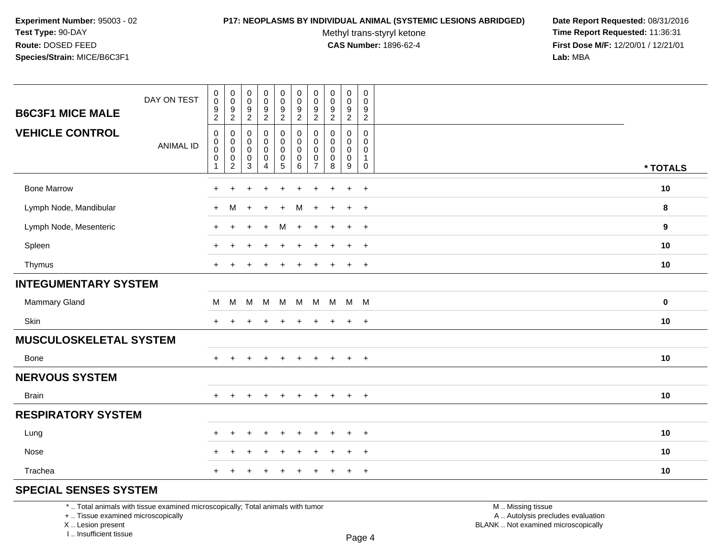### **P17: NEOPLASMS BY INDIVIDUAL ANIMAL (SYSTEMIC LESIONS ABRIDGED) Date Report Requested:** 08/31/2016

Methyl trans-styryl ketone<br>CAS Number: 1896-62-4

 **Time Report Requested:** 11:36:31 **First Dose M/F:** 12/20/01 / 12/21/01<br>Lab: MBA **Lab:** MBA

| <b>B6C3F1 MICE MALE</b>     | DAY ON TEST      | $_{\rm 0}^{\rm 0}$<br>$\boldsymbol{9}$ | $\pmb{0}$<br>$\mathbf 0$<br>9 | 0<br>0<br>9              | $\pmb{0}$<br>$\boldsymbol{0}$ | $_{\rm 0}^{\rm 0}$       | $\pmb{0}$<br>$\pmb{0}$ | $\boldsymbol{0}$<br>$\mathbf 0$<br>9 | $\pmb{0}$<br>$\mathbf 0$<br>9 | $\pmb{0}$<br>$\mathbf 0$<br>9 | $\pmb{0}$<br>$\mathbf 0$ |                  |
|-----------------------------|------------------|----------------------------------------|-------------------------------|--------------------------|-------------------------------|--------------------------|------------------------|--------------------------------------|-------------------------------|-------------------------------|--------------------------|------------------|
|                             |                  | $\sqrt{2}$                             | $\sqrt{2}$                    | $\overline{2}$           | $\frac{9}{2}$                 | $\frac{9}{2}$            | $\frac{9}{2}$          | $\overline{2}$                       | $\overline{2}$                | $\overline{a}$                | $\frac{9}{2}$            |                  |
| <b>VEHICLE CONTROL</b>      |                  | $\pmb{0}$<br>$\mathbf 0$               | $\pmb{0}$<br>$\mathbf 0$      | 0<br>$\Omega$            | 0<br>0                        | $\pmb{0}$<br>$\mathsf 0$ | $\pmb{0}$<br>$\Omega$  | $\mathbf 0$<br>$\Omega$              | $\mathbf 0$<br>$\mathbf{0}$   | 0<br>$\mathbf{0}$             | $\mathbf 0$<br>$\Omega$  |                  |
|                             | <b>ANIMAL ID</b> | $\pmb{0}$<br>0                         | $\pmb{0}$<br>$\pmb{0}$        | $\mathbf 0$<br>$\pmb{0}$ | $\mathbf 0$<br>$\pmb{0}$      | $\pmb{0}$                | $\pmb{0}$<br>$\pmb{0}$ | $\mathbf 0$<br>0                     | $\mathbf 0$<br>$\mathbf 0$    | $\mathbf 0$<br>0              | 0<br>$\mathbf 1$         |                  |
|                             |                  | 1                                      | $\overline{c}$                | 3                        | 4                             | $\frac{0}{5}$            | 6                      | $\overline{7}$                       | 8                             | 9                             | 0                        | * TOTALS         |
| <b>Bone Marrow</b>          |                  | ٠                                      |                               |                          |                               |                          |                        |                                      |                               | $\ddot{}$                     | $\overline{1}$           | 10               |
| Lymph Node, Mandibular      |                  | $\ddot{}$                              | M                             | $\ddot{}$                | $\ddot{}$                     | $\ddot{}$                | м                      | $+$                                  | $\ddot{}$                     | $\ddot{}$                     | $+$                      | 8                |
| Lymph Node, Mesenteric      |                  | $\ddot{}$                              | $\ddot{}$                     |                          | $\ddot{}$                     | M                        | $+$                    | $\pm$                                | $\ddot{}$                     | $\ddot{}$                     | $+$                      | $\boldsymbol{9}$ |
| Spleen                      |                  |                                        |                               |                          |                               |                          |                        |                                      |                               | $\ddot{}$                     | $+$                      | 10               |
| Thymus                      |                  | $+$                                    |                               |                          |                               | $\pm$                    | $\div$                 |                                      | $\div$                        | $\ddot{}$                     | $^{+}$                   | 10               |
| <b>INTEGUMENTARY SYSTEM</b> |                  |                                        |                               |                          |                               |                          |                        |                                      |                               |                               |                          |                  |
| Mammary Gland               |                  | M                                      | M                             | M                        | <b>M</b>                      | M                        |                        |                                      | M M M M M                     |                               |                          | 0                |
| Skin                        |                  | $\ddot{}$                              |                               |                          |                               |                          | $\div$                 | +                                    |                               | $\ddot{}$                     | $+$                      | 10               |
| MUSCULOSKELETAL SYSTEM      |                  |                                        |                               |                          |                               |                          |                        |                                      |                               |                               |                          |                  |
| Bone                        |                  | $+$                                    | $\ddot{}$                     | ÷                        | $\ddot{}$                     | $\ddot{}$                | $+$                    | $+$                                  | $+$                           | $\ddot{}$                     | $+$                      | 10               |
| <b>NERVOUS SYSTEM</b>       |                  |                                        |                               |                          |                               |                          |                        |                                      |                               |                               |                          |                  |
| <b>Brain</b>                |                  | $+$                                    | $\ddot{}$                     | ÷                        | $\div$                        | $\ddot{}$                | $\ddot{}$              | $\ddot{}$                            | $\ddot{}$                     | $+$                           | $^{+}$                   | 10               |
| <b>RESPIRATORY SYSTEM</b>   |                  |                                        |                               |                          |                               |                          |                        |                                      |                               |                               |                          |                  |
| Lung                        |                  | $\pm$                                  | $+$                           | $\ddot{}$                | $\div$                        | $\ddot{}$                | $\div$                 | +                                    |                               | $\ddot{}$                     | $+$                      | 10               |
| Nose                        |                  |                                        |                               |                          |                               |                          |                        |                                      |                               | $\ddot{}$                     | $\overline{+}$           | 10               |
| Trachea                     |                  | $\pm$                                  |                               |                          |                               |                          |                        |                                      |                               | $\ddot{}$                     | $\overline{+}$           | 10               |
| COFOIAL OFNOFO OVOTEM       |                  |                                        |                               |                          |                               |                          |                        |                                      |                               |                               |                          |                  |

# **SPECIAL SENSES SYSTEM**

\* .. Total animals with tissue examined microscopically; Total animals with tumor

+ .. Tissue examined microscopically

X .. Lesion present

I .. Insufficient tissue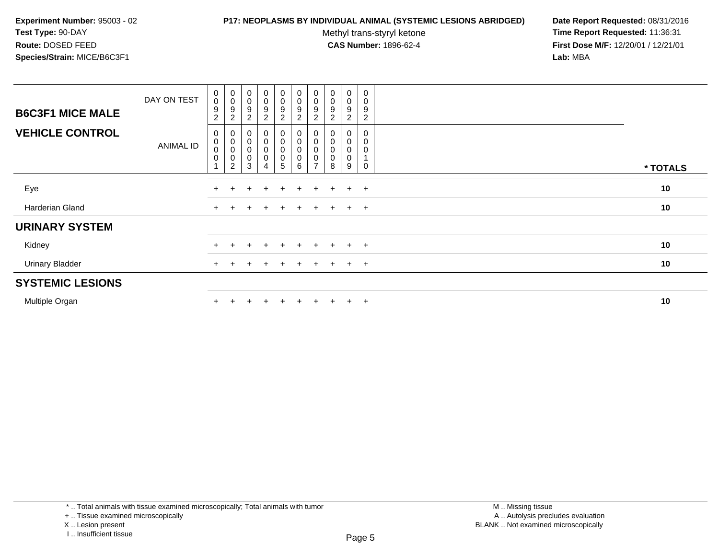### **P17: NEOPLASMS BY INDIVIDUAL ANIMAL (SYSTEMIC LESIONS ABRIDGED) Date Report Requested:** 08/31/2016

Methyl trans-styryl ketone<br>CAS Number: 1896-62-4

| <b>B6C3F1 MICE MALE</b> | DAY ON TEST      | $_{\rm 0}^{\rm 0}$<br>9<br>$\overline{c}$   | $\begin{smallmatrix}0\\0\end{smallmatrix}$<br>$\boldsymbol{9}$<br>$\overline{c}$ | $\begin{smallmatrix}0\\0\end{smallmatrix}$<br>9<br>$\overline{\mathbf{c}}$ | $\begin{smallmatrix}0\0\0\end{smallmatrix}$<br>9<br>$\overline{2}$   | $_0^0$<br>9<br>$\overline{2}$ | $\begin{smallmatrix} 0\\0 \end{smallmatrix}$<br>$\boldsymbol{9}$<br>$\overline{2}$ | $_{\rm 0}^{\rm 0}$<br>9<br>$\overline{2}$            | $\begin{smallmatrix}0\\0\end{smallmatrix}$<br>9 | $_0^0$<br>9<br>$\overline{2}$ | $\mathbf 0$<br>$\mathbf 0$<br>9<br>$\mathbf{2}$ |          |
|-------------------------|------------------|---------------------------------------------|----------------------------------------------------------------------------------|----------------------------------------------------------------------------|----------------------------------------------------------------------|-------------------------------|------------------------------------------------------------------------------------|------------------------------------------------------|-------------------------------------------------|-------------------------------|-------------------------------------------------|----------|
| <b>VEHICLE CONTROL</b>  | <b>ANIMAL ID</b> | 0<br>$_{\rm 0}^{\rm 0}$<br>$\boldsymbol{0}$ | $\begin{smallmatrix}0\\0\\0\end{smallmatrix}$<br>$\mathbf 0$<br>2                | $\pmb{0}$<br>$\boldsymbol{0}$<br>$\boldsymbol{0}$<br>$\pmb{0}$<br>3        | $\begin{smallmatrix}0\0\0\0\end{smallmatrix}$<br>$\mathsf{O}\xspace$ | 0<br>$_0^0$<br>0<br>5         | $\begin{smallmatrix}0\\0\\0\end{smallmatrix}$<br>$\pmb{0}$<br>6                    | 0<br>$\pmb{0}$<br>$\mathbf 0$<br>0<br>$\overline{ }$ | $\mathbf 0$<br>$\mathbf 0$<br>8                 | 0<br>0<br>$\pmb{0}$<br>0<br>9 | 0<br>0<br>0<br>0                                | * TOTALS |
| Eye                     |                  |                                             |                                                                                  |                                                                            | $\div$                                                               | $\pm$                         | $\pm$                                                                              | $\pm$                                                | $\pm$                                           | $+$                           | $+$                                             | 10       |
| Harderian Gland         |                  |                                             |                                                                                  |                                                                            | $\ddot{}$                                                            | $\ddot{}$                     | $\pm$                                                                              | $\pm$                                                | $+$                                             | $+$                           | $+$                                             | 10       |
| <b>URINARY SYSTEM</b>   |                  |                                             |                                                                                  |                                                                            |                                                                      |                               |                                                                                    |                                                      |                                                 |                               |                                                 |          |
| Kidney                  |                  |                                             |                                                                                  |                                                                            |                                                                      | $+$                           |                                                                                    |                                                      |                                                 | $+$                           | $+$                                             | 10       |
| <b>Urinary Bladder</b>  |                  |                                             |                                                                                  |                                                                            | $\ddot{}$                                                            | $\pm$                         | $+$                                                                                | $\pm$                                                | $+$                                             | $+$                           | $+$                                             | 10       |
| <b>SYSTEMIC LESIONS</b> |                  |                                             |                                                                                  |                                                                            |                                                                      |                               |                                                                                    |                                                      |                                                 |                               |                                                 |          |
| Multiple Organ          |                  |                                             |                                                                                  |                                                                            |                                                                      | ÷                             |                                                                                    |                                                      |                                                 | $\pm$                         | $+$                                             | 10       |

I .. Insufficient tissue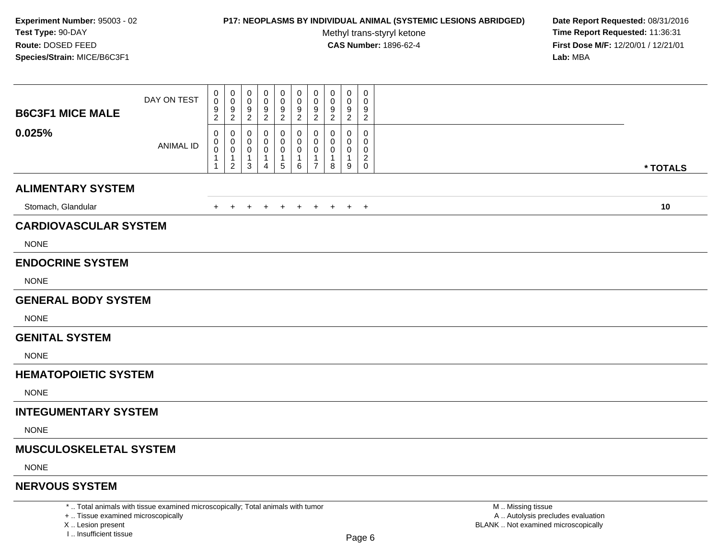### **P17: NEOPLASMS BY INDIVIDUAL ANIMAL (SYSTEMIC LESIONS ABRIDGED) Date Report Requested:** 08/31/2016

Methyl trans-styryl ketone<br>CAS Number: 1896-62-4

 **Time Report Requested:** 11:36:31 **First Dose M/F:** 12/20/01 / 12/21/01<br>Lab: MBA **Lab:** MBA

| <b>B6C3F1 MICE MALE</b>       | DAY ON TEST      | 0<br>0<br>9<br>2                      | 0<br>0<br>9<br>$\overline{2}$                           | 0<br>0<br>9<br>$\overline{2}$                                   | 0<br>0<br>9<br>$\overline{2}$            | 0<br>0<br>9<br>2                          | 0<br>0<br>9<br>$\overline{2}$          | 0<br>$\mathbf 0$<br>9<br>$\overline{2}$                           | 0<br>0<br>9<br>$\overline{2}$ | 0<br>0<br>9<br>$\overline{2}$                          | $\mathbf 0$<br>$\Omega$<br>9<br>$\overline{2}$ |          |  |
|-------------------------------|------------------|---------------------------------------|---------------------------------------------------------|-----------------------------------------------------------------|------------------------------------------|-------------------------------------------|----------------------------------------|-------------------------------------------------------------------|-------------------------------|--------------------------------------------------------|------------------------------------------------|----------|--|
| 0.025%                        | <b>ANIMAL ID</b> | 0<br>0<br>$\mathbf 0$<br>$\mathbf{1}$ | 0<br>0<br>$\mathbf 0$<br>$\mathbf{1}$<br>$\overline{c}$ | 0<br>$\mathbf 0$<br>$\mathbf 0$<br>$\mathbf{1}$<br>$\mathbf{3}$ | 0<br>0<br>$\mathbf{1}$<br>$\overline{4}$ | 0<br>0<br>0<br>$\mathbf{1}$<br>$\sqrt{5}$ | 0<br>0<br>0<br>$\mathbf{1}$<br>$\,6\,$ | 0<br>$\mathbf 0$<br>$\mathbf 0$<br>$\mathbf{1}$<br>$\overline{7}$ | 0<br>0<br>0<br>8              | 0<br>$\Omega$<br>0<br>$\mathbf{1}$<br>$\boldsymbol{9}$ | 0<br>0<br>0<br>$\overline{c}$<br>$\mathbf 0$   | * TOTALS |  |
| <b>ALIMENTARY SYSTEM</b>      |                  |                                       |                                                         |                                                                 |                                          |                                           |                                        |                                                                   |                               |                                                        |                                                |          |  |
| Stomach, Glandular            |                  | $+$                                   | $+$                                                     | $+$                                                             | $\ddot{}$                                | $+$                                       | $+$                                    | $+$                                                               | $+$                           |                                                        | $+$ $+$                                        | 10       |  |
| <b>CARDIOVASCULAR SYSTEM</b>  |                  |                                       |                                                         |                                                                 |                                          |                                           |                                        |                                                                   |                               |                                                        |                                                |          |  |
| <b>NONE</b>                   |                  |                                       |                                                         |                                                                 |                                          |                                           |                                        |                                                                   |                               |                                                        |                                                |          |  |
| <b>ENDOCRINE SYSTEM</b>       |                  |                                       |                                                         |                                                                 |                                          |                                           |                                        |                                                                   |                               |                                                        |                                                |          |  |
| <b>NONE</b>                   |                  |                                       |                                                         |                                                                 |                                          |                                           |                                        |                                                                   |                               |                                                        |                                                |          |  |
| <b>GENERAL BODY SYSTEM</b>    |                  |                                       |                                                         |                                                                 |                                          |                                           |                                        |                                                                   |                               |                                                        |                                                |          |  |
| <b>NONE</b>                   |                  |                                       |                                                         |                                                                 |                                          |                                           |                                        |                                                                   |                               |                                                        |                                                |          |  |
| <b>GENITAL SYSTEM</b>         |                  |                                       |                                                         |                                                                 |                                          |                                           |                                        |                                                                   |                               |                                                        |                                                |          |  |
| <b>NONE</b>                   |                  |                                       |                                                         |                                                                 |                                          |                                           |                                        |                                                                   |                               |                                                        |                                                |          |  |
| <b>HEMATOPOIETIC SYSTEM</b>   |                  |                                       |                                                         |                                                                 |                                          |                                           |                                        |                                                                   |                               |                                                        |                                                |          |  |
| <b>NONE</b>                   |                  |                                       |                                                         |                                                                 |                                          |                                           |                                        |                                                                   |                               |                                                        |                                                |          |  |
| <b>INTEGUMENTARY SYSTEM</b>   |                  |                                       |                                                         |                                                                 |                                          |                                           |                                        |                                                                   |                               |                                                        |                                                |          |  |
| <b>NONE</b>                   |                  |                                       |                                                         |                                                                 |                                          |                                           |                                        |                                                                   |                               |                                                        |                                                |          |  |
| <b>MUSCULOSKELETAL SYSTEM</b> |                  |                                       |                                                         |                                                                 |                                          |                                           |                                        |                                                                   |                               |                                                        |                                                |          |  |
| <b>NONE</b>                   |                  |                                       |                                                         |                                                                 |                                          |                                           |                                        |                                                                   |                               |                                                        |                                                |          |  |
| <b>NERVOUS SYSTEM</b>         |                  |                                       |                                                         |                                                                 |                                          |                                           |                                        |                                                                   |                               |                                                        |                                                |          |  |

\* .. Total animals with tissue examined microscopically; Total animals with tumor

+ .. Tissue examined microscopically

X .. Lesion present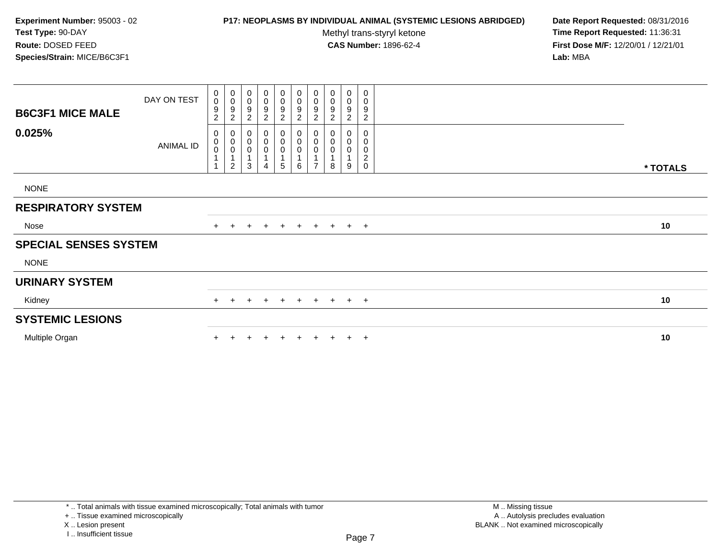## **P17: NEOPLASMS BY INDIVIDUAL ANIMAL (SYSTEMIC LESIONS ABRIDGED) Date Report Requested:** 08/31/2016

Methyl trans-styryl ketone<br>CAS Number: 1896-62-4

 **Time Report Requested:** 11:36:31 **First Dose M/F:** 12/20/01 / 12/21/01<br>**Lab:** MBA **Lab:** MBA

| <b>B6C3F1 MICE MALE</b>      | DAY ON TEST | $\begin{smallmatrix}0\0\0\end{smallmatrix}$<br>$\boldsymbol{9}$<br>$\overline{c}$ | $_{\rm 0}^{\rm 0}$<br>$\frac{9}{2}$                                | 0<br>$\pmb{0}$<br>9<br>$\overline{c}$ | $\pmb{0}$<br>$\boldsymbol{0}$<br>9<br>$\overline{c}$ | $_0^0$<br>9<br>$\overline{c}$                    | 0<br>0<br>9<br>$\overline{a}$ | $_{\rm 0}^{\rm 0}$<br>$\boldsymbol{9}$<br>$\sqrt{2}$                | 0<br>$\pmb{0}$<br>9<br>$\overline{c}$ | 0<br>$\boldsymbol{0}$<br>$\boldsymbol{9}$<br>$\overline{c}$ | 0<br>$\pmb{0}$<br>9<br>$\overline{c}$                  |          |
|------------------------------|-------------|-----------------------------------------------------------------------------------|--------------------------------------------------------------------|---------------------------------------|------------------------------------------------------|--------------------------------------------------|-------------------------------|---------------------------------------------------------------------|---------------------------------------|-------------------------------------------------------------|--------------------------------------------------------|----------|
| 0.025%                       | ANIMAL ID   | 0<br>$\overline{0}$<br>1                                                          | $\,0\,$<br>$\begin{matrix} 0 \\ 0 \\ 1 \end{matrix}$<br>$\sqrt{2}$ | 0<br>$\pmb{0}$<br>$\pmb{0}$<br>3      | 0<br>$\pmb{0}$<br>$\pmb{0}$<br>$\mathbf{1}$<br>4     | 0<br>$\pmb{0}$<br>$\pmb{0}$<br>$\mathbf{1}$<br>5 | $_0^0$<br>0<br>6              | $_{\rm 0}^{\rm 0}$<br>$\pmb{0}$<br>$\overline{1}$<br>$\overline{ }$ | 0<br>0<br>0<br>1<br>8                 | 0<br>0<br>0<br>1<br>9                                       | 0<br>0<br>0<br>$\boldsymbol{2}$<br>$\mathsf{O}\xspace$ | * TOTALS |
| <b>NONE</b>                  |             |                                                                                   |                                                                    |                                       |                                                      |                                                  |                               |                                                                     |                                       |                                                             |                                                        |          |
| <b>RESPIRATORY SYSTEM</b>    |             |                                                                                   |                                                                    |                                       |                                                      |                                                  |                               |                                                                     |                                       |                                                             |                                                        |          |
| Nose                         |             |                                                                                   | $\ddot{}$                                                          | $+$                                   | $+$                                                  |                                                  | + + + + + +                   |                                                                     |                                       |                                                             |                                                        | 10       |
| <b>SPECIAL SENSES SYSTEM</b> |             |                                                                                   |                                                                    |                                       |                                                      |                                                  |                               |                                                                     |                                       |                                                             |                                                        |          |
| <b>NONE</b>                  |             |                                                                                   |                                                                    |                                       |                                                      |                                                  |                               |                                                                     |                                       |                                                             |                                                        |          |
| <b>URINARY SYSTEM</b>        |             |                                                                                   |                                                                    |                                       |                                                      |                                                  |                               |                                                                     |                                       |                                                             |                                                        |          |
| Kidney                       |             | $+$                                                                               | $+$                                                                | $+$                                   | $+$                                                  | $+$                                              | $+$                           |                                                                     | $+ + + +$                             |                                                             |                                                        | 10       |
| <b>SYSTEMIC LESIONS</b>      |             |                                                                                   |                                                                    |                                       |                                                      |                                                  |                               |                                                                     |                                       |                                                             |                                                        |          |
| Multiple Organ               |             |                                                                                   |                                                                    |                                       |                                                      | $+$                                              | $+$                           | $+$                                                                 | $+$                                   |                                                             | $+$ $+$                                                | 10       |

\* .. Total animals with tissue examined microscopically; Total animals with tumor

X .. Lesion present

<sup>+ ..</sup> Tissue examined microscopically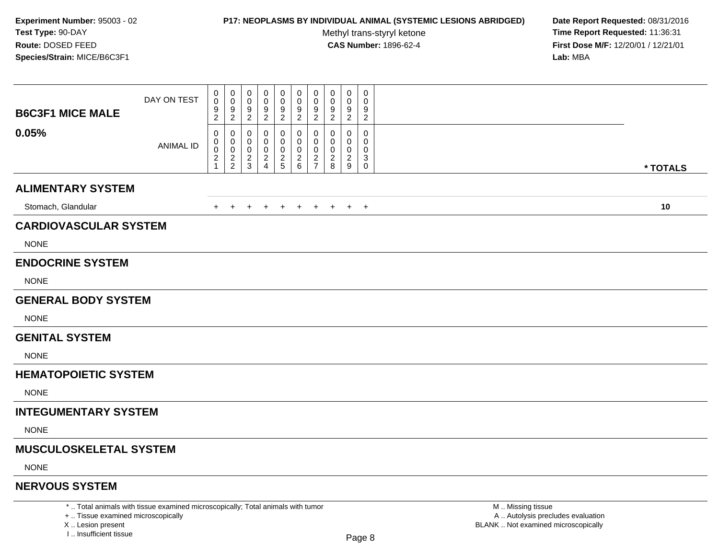### **P17: NEOPLASMS BY INDIVIDUAL ANIMAL (SYSTEMIC LESIONS ABRIDGED) Date Report Requested:** 08/31/2016

Methyl trans-styryl ketone<br>CAS Number: 1896-62-4

 **Time Report Requested:** 11:36:31 **First Dose M/F:** 12/20/01 / 12/21/01<br>Lab: MBA **Lab:** MBA

| <b>B6C3F1 MICE MALE</b><br>0.05% | DAY ON TEST<br><b>ANIMAL ID</b> | 0<br>$\mathbf 0$<br>9<br>$\overline{c}$<br>0<br>$\mathbf 0$ | 0<br>0<br>9<br>$\overline{c}$<br>0<br>0 | 0<br>0<br>9<br>$\overline{2}$<br>0<br>0 | $\mathbf 0$<br>0<br>9<br>$\overline{c}$<br>0<br>0 | 0<br>0<br>9<br>$\overline{2}$<br>0<br>0 | 0<br>0<br>9<br>$\overline{2}$<br>0<br>0 | $\pmb{0}$<br>$\mathbf 0$<br>9<br>2<br>0<br>0 | $\mathbf 0$<br>0<br>9<br>$\overline{2}$<br>0 | $\mathbf 0$<br>0<br>9<br>$\overline{2}$<br>0<br>0 | 0<br>0<br>9<br>$\overline{a}$<br>0<br>0 |          |
|----------------------------------|---------------------------------|-------------------------------------------------------------|-----------------------------------------|-----------------------------------------|---------------------------------------------------|-----------------------------------------|-----------------------------------------|----------------------------------------------|----------------------------------------------|---------------------------------------------------|-----------------------------------------|----------|
|                                  |                                 | $\,0\,$<br>$\begin{array}{c} 2 \\ 1 \end{array}$            | $\mathbf 0$<br>$\frac{2}{2}$            | 0<br>$\frac{2}{3}$                      | 0<br>$\frac{2}{4}$                                | $\pmb{0}$<br>$\frac{2}{5}$              | 0<br>$\frac{2}{6}$                      | 0<br>$\overline{c}$<br>$\overline{7}$        | 0<br>$\overline{c}$<br>$\,8\,$               | $\mathbf 0$<br>$\boldsymbol{2}$<br>$9\,$          | $\Omega$<br>3<br>$\mathsf 0$            | * TOTALS |
| <b>ALIMENTARY SYSTEM</b>         |                                 |                                                             |                                         |                                         |                                                   |                                         |                                         |                                              |                                              |                                                   |                                         |          |
| Stomach, Glandular               |                                 | +                                                           | $\overline{+}$                          | +                                       | $\ddot{}$                                         | $\ddot{}$                               | $+$                                     | $+$                                          | $+$                                          | $+$ $+$                                           |                                         | 10       |
| <b>CARDIOVASCULAR SYSTEM</b>     |                                 |                                                             |                                         |                                         |                                                   |                                         |                                         |                                              |                                              |                                                   |                                         |          |
| <b>NONE</b>                      |                                 |                                                             |                                         |                                         |                                                   |                                         |                                         |                                              |                                              |                                                   |                                         |          |
| <b>ENDOCRINE SYSTEM</b>          |                                 |                                                             |                                         |                                         |                                                   |                                         |                                         |                                              |                                              |                                                   |                                         |          |
| <b>NONE</b>                      |                                 |                                                             |                                         |                                         |                                                   |                                         |                                         |                                              |                                              |                                                   |                                         |          |
| <b>GENERAL BODY SYSTEM</b>       |                                 |                                                             |                                         |                                         |                                                   |                                         |                                         |                                              |                                              |                                                   |                                         |          |
| <b>NONE</b>                      |                                 |                                                             |                                         |                                         |                                                   |                                         |                                         |                                              |                                              |                                                   |                                         |          |
| <b>GENITAL SYSTEM</b>            |                                 |                                                             |                                         |                                         |                                                   |                                         |                                         |                                              |                                              |                                                   |                                         |          |
| <b>NONE</b>                      |                                 |                                                             |                                         |                                         |                                                   |                                         |                                         |                                              |                                              |                                                   |                                         |          |
| <b>HEMATOPOIETIC SYSTEM</b>      |                                 |                                                             |                                         |                                         |                                                   |                                         |                                         |                                              |                                              |                                                   |                                         |          |
| <b>NONE</b>                      |                                 |                                                             |                                         |                                         |                                                   |                                         |                                         |                                              |                                              |                                                   |                                         |          |
| <b>INTEGUMENTARY SYSTEM</b>      |                                 |                                                             |                                         |                                         |                                                   |                                         |                                         |                                              |                                              |                                                   |                                         |          |
| <b>NONE</b>                      |                                 |                                                             |                                         |                                         |                                                   |                                         |                                         |                                              |                                              |                                                   |                                         |          |
| <b>MUSCULOSKELETAL SYSTEM</b>    |                                 |                                                             |                                         |                                         |                                                   |                                         |                                         |                                              |                                              |                                                   |                                         |          |
| <b>NONE</b>                      |                                 |                                                             |                                         |                                         |                                                   |                                         |                                         |                                              |                                              |                                                   |                                         |          |
| <b>NERVOUS SYSTEM</b>            |                                 |                                                             |                                         |                                         |                                                   |                                         |                                         |                                              |                                              |                                                   |                                         |          |

\* .. Total animals with tissue examined microscopically; Total animals with tumor

+ .. Tissue examined microscopically

X .. Lesion present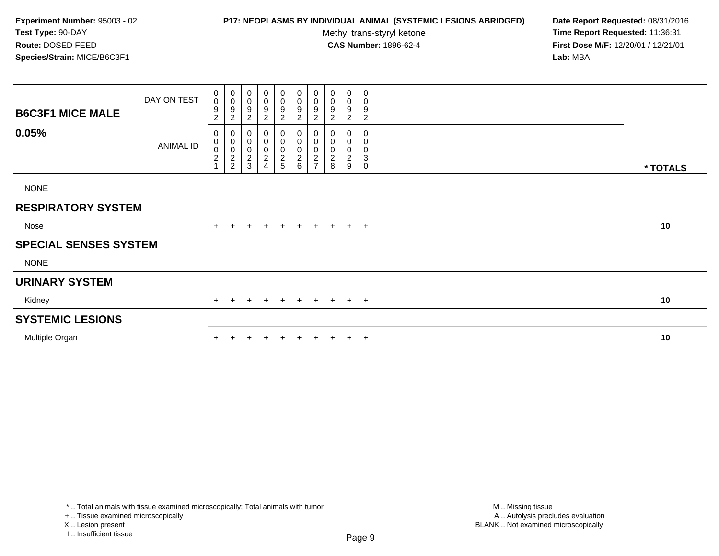## **P17: NEOPLASMS BY INDIVIDUAL ANIMAL (SYSTEMIC LESIONS ABRIDGED) Date Report Requested:** 08/31/2016

Methyl trans-styryl ketone<br>CAS Number: 1896-62-4

 **Time Report Requested:** 11:36:31 **First Dose M/F:** 12/20/01 / 12/21/01<br>Lab: MBA **Lab:** MBA

| <b>B6C3F1 MICE MALE</b>      | DAY ON TEST      | 0<br>$\pmb{0}$<br>9<br>$\overline{2}$ | $\begin{smallmatrix}0\\0\end{smallmatrix}$<br>$\boldsymbol{9}$<br>$\sqrt{2}$ | 0<br>$\pmb{0}$<br>9<br>$\overline{c}$                             | 0<br>0<br>9<br>$\overline{c}$              | 0<br>$\pmb{0}$<br>9<br>$\overline{c}$        | 0<br>$\pmb{0}$<br>9<br>$\overline{2}$        | 0<br>$\pmb{0}$<br>9<br>$\overline{2}$ | 0<br>$\mathbf 0$<br>$9\,$<br>$\overline{2}$        | 0<br>0<br>9<br>2                   | 0<br>0<br>9<br>$\overline{c}$                 |          |
|------------------------------|------------------|---------------------------------------|------------------------------------------------------------------------------|-------------------------------------------------------------------|--------------------------------------------|----------------------------------------------|----------------------------------------------|---------------------------------------|----------------------------------------------------|------------------------------------|-----------------------------------------------|----------|
| 0.05%                        | <b>ANIMAL ID</b> | 0<br>0002                             | 000002                                                                       | 0<br>$\pmb{0}$<br>$\pmb{0}$<br>$\boldsymbol{2}$<br>$\mathfrak{S}$ | $\pmb{0}$<br>$\pmb{0}$<br>$\boldsymbol{2}$ | 0<br>$\pmb{0}$<br>$\pmb{0}$<br>$\frac{2}{5}$ | 0<br>$\pmb{0}$<br>$\pmb{0}$<br>$\frac{2}{6}$ | $\pmb{0}$<br>$000$<br>$27$            | 0<br>$\pmb{0}$<br>$\pmb{0}$<br>$\overline{c}$<br>8 | 0<br>0<br>0<br>$\overline{c}$<br>9 | 0<br>0<br>0<br>$\ensuremath{\mathsf{3}}$<br>0 | * TOTALS |
| <b>NONE</b>                  |                  |                                       |                                                                              |                                                                   |                                            |                                              |                                              |                                       |                                                    |                                    |                                               |          |
| <b>RESPIRATORY SYSTEM</b>    |                  |                                       |                                                                              |                                                                   |                                            |                                              |                                              |                                       |                                                    |                                    |                                               |          |
| Nose                         |                  |                                       |                                                                              | $\ddot{}$                                                         | $+$                                        | $+$                                          | $+$                                          |                                       | $+$ $+$                                            | $+$ $+$                            |                                               | 10       |
| <b>SPECIAL SENSES SYSTEM</b> |                  |                                       |                                                                              |                                                                   |                                            |                                              |                                              |                                       |                                                    |                                    |                                               |          |
| <b>NONE</b>                  |                  |                                       |                                                                              |                                                                   |                                            |                                              |                                              |                                       |                                                    |                                    |                                               |          |
| <b>URINARY SYSTEM</b>        |                  |                                       |                                                                              |                                                                   |                                            |                                              |                                              |                                       |                                                    |                                    |                                               |          |
| Kidney                       |                  | $+$                                   | $+$                                                                          | $\ddot{}$                                                         | $+$                                        | $+$                                          | $+$                                          |                                       | $+ + + +$                                          |                                    |                                               | 10       |
| <b>SYSTEMIC LESIONS</b>      |                  |                                       |                                                                              |                                                                   |                                            |                                              |                                              |                                       |                                                    |                                    |                                               |          |
| Multiple Organ               |                  |                                       |                                                                              |                                                                   |                                            |                                              | $+$                                          | $+$                                   | $+$                                                |                                    | $+$ $+$                                       | 10       |

+ .. Tissue examined microscopically

X .. Lesion present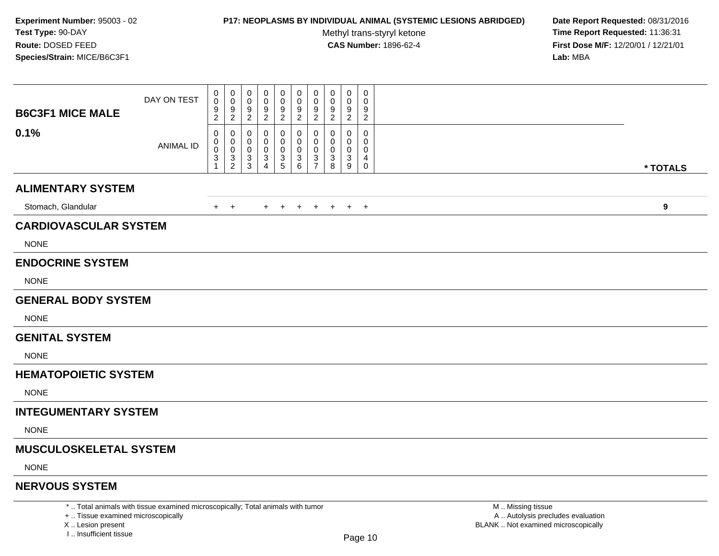### **P17: NEOPLASMS BY INDIVIDUAL ANIMAL (SYSTEMIC LESIONS ABRIDGED) Date Report Requested:** 08/31/2016

Methyl trans-styryl ketone<br>CAS Number: 1896-62-4

 **Time Report Requested:** 11:36:31 **First Dose M/F:** 12/20/01 / 12/21/01<br>**Lab:** MBA **Lab:** MBA

| <b>B6C3F1 MICE MALE</b>       | DAY ON TEST                                                                     | 0<br>$\mathbf 0$<br>9<br>$\overline{c}$ | 0<br>$\mathbf 0$<br>9<br>$\overline{2}$ | 0<br>9<br>$\overline{2}$           | $\mathbf 0$<br>9<br>$\overline{2}$ | 0<br>$\mathbf 0$<br>9<br>$\overline{2}$ | 0<br>$\mathbf 0$<br>$\frac{9}{2}$ | $\mathbf 0$<br>$\Omega$<br>9<br>$\overline{2}$ | $\mathbf 0$<br>9<br>$\overline{c}$ | $\mathbf 0$<br>$\mathbf 0$<br>9<br>$\overline{2}$ | 0<br>0<br>9<br>$\overline{2}$ |                   |
|-------------------------------|---------------------------------------------------------------------------------|-----------------------------------------|-----------------------------------------|------------------------------------|------------------------------------|-----------------------------------------|-----------------------------------|------------------------------------------------|------------------------------------|---------------------------------------------------|-------------------------------|-------------------|
| 0.1%                          | ANIMAL ID                                                                       | 0<br>0<br>0<br>3<br>1                   | 0<br>0<br>$\mathbf 0$<br>$\frac{3}{2}$  | 0<br>0<br>0<br>3<br>$\overline{3}$ | 0<br>0<br>0<br>3<br>$\overline{4}$ | 0<br>0<br>0<br>$\frac{3}{5}$            | $\mathbf{0}$<br>0<br>0<br>$^3$ 6  | 0<br>$\Omega$<br>0<br>3<br>$\overline{7}$      | 0<br>$\Omega$<br>0<br>3<br>8       | 0<br>$\Omega$<br>0<br>3<br>9                      | 0<br>$\Omega$<br>0<br>4<br>0  | * TOTALS          |
| <b>ALIMENTARY SYSTEM</b>      |                                                                                 |                                         |                                         |                                    |                                    |                                         |                                   |                                                |                                    |                                                   |                               |                   |
| Stomach, Glandular            |                                                                                 |                                         | $+$ $+$                                 |                                    | $+$                                | $+$                                     | $+$                               | $+$ $+$                                        |                                    | $+$ $+$                                           |                               | 9                 |
| <b>CARDIOVASCULAR SYSTEM</b>  |                                                                                 |                                         |                                         |                                    |                                    |                                         |                                   |                                                |                                    |                                                   |                               |                   |
| <b>NONE</b>                   |                                                                                 |                                         |                                         |                                    |                                    |                                         |                                   |                                                |                                    |                                                   |                               |                   |
| <b>ENDOCRINE SYSTEM</b>       |                                                                                 |                                         |                                         |                                    |                                    |                                         |                                   |                                                |                                    |                                                   |                               |                   |
| <b>NONE</b>                   |                                                                                 |                                         |                                         |                                    |                                    |                                         |                                   |                                                |                                    |                                                   |                               |                   |
| <b>GENERAL BODY SYSTEM</b>    |                                                                                 |                                         |                                         |                                    |                                    |                                         |                                   |                                                |                                    |                                                   |                               |                   |
| <b>NONE</b>                   |                                                                                 |                                         |                                         |                                    |                                    |                                         |                                   |                                                |                                    |                                                   |                               |                   |
| <b>GENITAL SYSTEM</b>         |                                                                                 |                                         |                                         |                                    |                                    |                                         |                                   |                                                |                                    |                                                   |                               |                   |
| <b>NONE</b>                   |                                                                                 |                                         |                                         |                                    |                                    |                                         |                                   |                                                |                                    |                                                   |                               |                   |
| <b>HEMATOPOIETIC SYSTEM</b>   |                                                                                 |                                         |                                         |                                    |                                    |                                         |                                   |                                                |                                    |                                                   |                               |                   |
| <b>NONE</b>                   |                                                                                 |                                         |                                         |                                    |                                    |                                         |                                   |                                                |                                    |                                                   |                               |                   |
| <b>INTEGUMENTARY SYSTEM</b>   |                                                                                 |                                         |                                         |                                    |                                    |                                         |                                   |                                                |                                    |                                                   |                               |                   |
| <b>NONE</b>                   |                                                                                 |                                         |                                         |                                    |                                    |                                         |                                   |                                                |                                    |                                                   |                               |                   |
| <b>MUSCULOSKELETAL SYSTEM</b> |                                                                                 |                                         |                                         |                                    |                                    |                                         |                                   |                                                |                                    |                                                   |                               |                   |
| <b>NONE</b>                   |                                                                                 |                                         |                                         |                                    |                                    |                                         |                                   |                                                |                                    |                                                   |                               |                   |
| <b>NERVOUS SYSTEM</b>         |                                                                                 |                                         |                                         |                                    |                                    |                                         |                                   |                                                |                                    |                                                   |                               |                   |
|                               | *  Total animals with tissue examined microscopically; Total animals with tumor |                                         |                                         |                                    |                                    |                                         |                                   |                                                |                                    |                                                   |                               | M  Missing tissue |

+ .. Tissue examined microscopicallyX .. Lesion present

I .. Insufficient tissue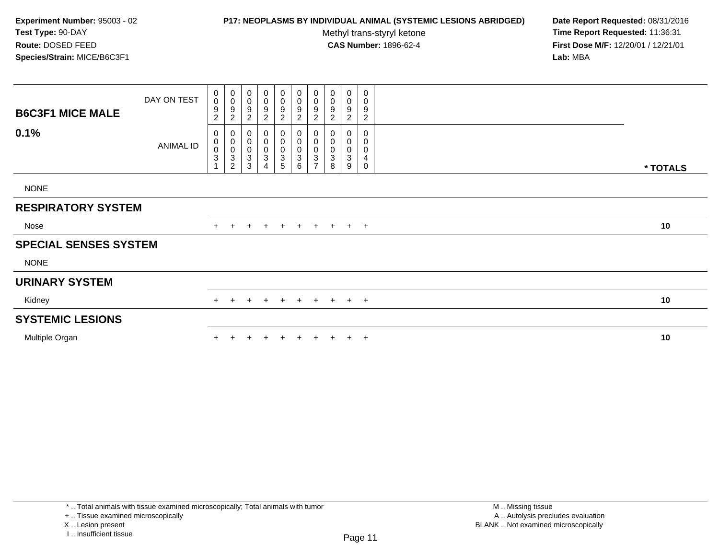## **P17: NEOPLASMS BY INDIVIDUAL ANIMAL (SYSTEMIC LESIONS ABRIDGED) Date Report Requested:** 08/31/2016

Methyl trans-styryl ketone<br>CAS Number: 1896-62-4

| <b>B6C3F1 MICE MALE</b>      | DAY ON TEST | 0<br>$\boldsymbol{0}$<br>9<br>$\overline{c}$           | $\begin{smallmatrix} 0\\0 \end{smallmatrix}$<br>$\boldsymbol{9}$<br>$\sqrt{2}$ | 0<br>$\pmb{0}$<br>9<br>$\overline{\mathbf{c}}$                       | 0<br>$\mathbf 0$<br>9<br>$\overline{c}$               | 0<br>$\pmb{0}$<br>$\boldsymbol{9}$<br>$\overline{c}$         | $\mathbf 0$<br>$\mathsf 0$<br>$\boldsymbol{9}$<br>$\overline{2}$             | $\pmb{0}$<br>$\pmb{0}$<br>$\boldsymbol{9}$<br>$\overline{2}$            | 0<br>$\pmb{0}$<br>9<br>$\overline{c}$ | $\boldsymbol{0}$<br>$\pmb{0}$<br>9<br>2        | 0<br>0<br>9<br>$\overline{c}$ |          |
|------------------------------|-------------|--------------------------------------------------------|--------------------------------------------------------------------------------|----------------------------------------------------------------------|-------------------------------------------------------|--------------------------------------------------------------|------------------------------------------------------------------------------|-------------------------------------------------------------------------|---------------------------------------|------------------------------------------------|-------------------------------|----------|
| 0.1%                         | ANIMAL ID   | 0<br>0<br>$\mathsf 0$<br>$\mathbf 3$<br>$\overline{A}$ | $\mathbf 0$<br>$\begin{matrix} 0 \\ 0 \\ 3 \end{matrix}$<br>$\overline{c}$     | 0<br>$\pmb{0}$<br>$\boldsymbol{0}$<br>$\ensuremath{\mathsf{3}}$<br>3 | 0<br>$\mathbf 0$<br>0<br>$\sqrt{3}$<br>$\overline{4}$ | 0<br>$\pmb{0}$<br>$\begin{array}{c} 0 \\ 3 \\ 5 \end{array}$ | 0<br>$\pmb{0}$<br>$\mathbf 0$<br>$\ensuremath{\mathsf{3}}$<br>$6\phantom{1}$ | $\pmb{0}$<br>$\pmb{0}$<br>$\pmb{0}$<br>$\overline{3}$<br>$\overline{ }$ | 0<br>$\pmb{0}$<br>$\pmb{0}$<br>3<br>8 | $\boldsymbol{0}$<br>0<br>0<br>$\mathbf 3$<br>9 | 0<br>0<br>0<br>4<br>0         | * TOTALS |
| <b>NONE</b>                  |             |                                                        |                                                                                |                                                                      |                                                       |                                                              |                                                                              |                                                                         |                                       |                                                |                               |          |
| <b>RESPIRATORY SYSTEM</b>    |             |                                                        |                                                                                |                                                                      |                                                       |                                                              |                                                                              |                                                                         |                                       |                                                |                               |          |
| Nose                         |             |                                                        |                                                                                |                                                                      | $+$                                                   | $+$                                                          | $+$                                                                          |                                                                         | $+$ $+$                               |                                                | $+$ $+$                       | 10       |
| <b>SPECIAL SENSES SYSTEM</b> |             |                                                        |                                                                                |                                                                      |                                                       |                                                              |                                                                              |                                                                         |                                       |                                                |                               |          |
| <b>NONE</b>                  |             |                                                        |                                                                                |                                                                      |                                                       |                                                              |                                                                              |                                                                         |                                       |                                                |                               |          |
| <b>URINARY SYSTEM</b>        |             |                                                        |                                                                                |                                                                      |                                                       |                                                              |                                                                              |                                                                         |                                       |                                                |                               |          |
| Kidney                       |             | $+$                                                    | $+$                                                                            | $\ddot{}$                                                            | $+$                                                   | $+$                                                          | $+$                                                                          |                                                                         | $+ + + +$                             |                                                |                               | 10       |
| <b>SYSTEMIC LESIONS</b>      |             |                                                        |                                                                                |                                                                      |                                                       |                                                              |                                                                              |                                                                         |                                       |                                                |                               |          |
| Multiple Organ               |             |                                                        |                                                                                |                                                                      |                                                       |                                                              | $+$                                                                          |                                                                         |                                       |                                                | $+$ $+$                       | 10       |

<sup>+ ..</sup> Tissue examined microscopically

X .. Lesion present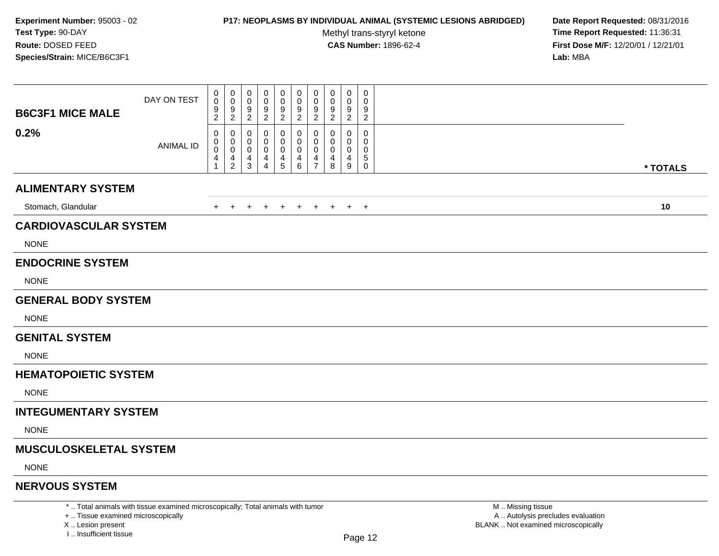### **P17: NEOPLASMS BY INDIVIDUAL ANIMAL (SYSTEMIC LESIONS ABRIDGED) Date Report Requested:** 08/31/2016

Methyl trans-styryl ketone<br>CAS Number: 1896-62-4

 **Time Report Requested:** 11:36:31 **First Dose M/F:** 12/20/01 / 12/21/01<br>**Lab:** MBA **Lab:** MBA

| <b>B6C3F1 MICE MALE</b>       | DAY ON TEST      | 0<br>0<br>9<br>$\overline{2}$                                     | 0<br>$\mathbf 0$<br>9<br>$\overline{2}$ | 0<br>0<br>9<br>$\overline{2}$      | 0<br>0<br>9<br>$\overline{2}$      | 0<br>0<br>$\frac{9}{2}$              | $\mathbf 0$<br>0<br>$\frac{9}{2}$                               | $\pmb{0}$<br>$\mathbf 0$<br>9<br>$\overline{2}$ | 0<br>$\Omega$<br>9<br>$\overline{2}$ | $\mathbf 0$<br>0<br>9<br>$\overline{2}$ | $\mathbf 0$<br>0<br>9<br>$\overline{2}$ |          |
|-------------------------------|------------------|-------------------------------------------------------------------|-----------------------------------------|------------------------------------|------------------------------------|--------------------------------------|-----------------------------------------------------------------|-------------------------------------------------|--------------------------------------|-----------------------------------------|-----------------------------------------|----------|
| 0.2%                          | <b>ANIMAL ID</b> | 0<br>0<br>$\mathbf 0$<br>$\overline{\mathcal{A}}$<br>$\mathbf{1}$ | 0<br>0<br>$\mathbf 0$<br>$\frac{4}{2}$  | 0<br>0<br>0<br>$\overline{4}$<br>3 | 0<br>0<br>0<br>4<br>$\overline{4}$ | 0<br>0<br>$\pmb{0}$<br>$\frac{4}{5}$ | 0<br>$\mathbf{0}$<br>0<br>$\begin{array}{c} 4 \\ 6 \end{array}$ | 0<br>$\mathbf 0$<br>0<br>$\frac{4}{7}$          | 0<br>0<br>4<br>8                     | 0<br>$\Omega$<br>0<br>4<br>9            | 0<br>0<br>0<br>5<br>$\mathsf{O}$        | * TOTALS |
| <b>ALIMENTARY SYSTEM</b>      |                  |                                                                   |                                         |                                    |                                    |                                      |                                                                 |                                                 |                                      |                                         |                                         |          |
| Stomach, Glandular            |                  | +                                                                 | $\overline{+}$                          | $\ddot{}$                          | $\ddot{}$                          | $\overline{+}$                       | $+$                                                             | $+$                                             | $+$                                  | $+$ $+$                                 |                                         | 10       |
| <b>CARDIOVASCULAR SYSTEM</b>  |                  |                                                                   |                                         |                                    |                                    |                                      |                                                                 |                                                 |                                      |                                         |                                         |          |
| <b>NONE</b>                   |                  |                                                                   |                                         |                                    |                                    |                                      |                                                                 |                                                 |                                      |                                         |                                         |          |
| <b>ENDOCRINE SYSTEM</b>       |                  |                                                                   |                                         |                                    |                                    |                                      |                                                                 |                                                 |                                      |                                         |                                         |          |
| <b>NONE</b>                   |                  |                                                                   |                                         |                                    |                                    |                                      |                                                                 |                                                 |                                      |                                         |                                         |          |
| <b>GENERAL BODY SYSTEM</b>    |                  |                                                                   |                                         |                                    |                                    |                                      |                                                                 |                                                 |                                      |                                         |                                         |          |
| <b>NONE</b>                   |                  |                                                                   |                                         |                                    |                                    |                                      |                                                                 |                                                 |                                      |                                         |                                         |          |
| <b>GENITAL SYSTEM</b>         |                  |                                                                   |                                         |                                    |                                    |                                      |                                                                 |                                                 |                                      |                                         |                                         |          |
| <b>NONE</b>                   |                  |                                                                   |                                         |                                    |                                    |                                      |                                                                 |                                                 |                                      |                                         |                                         |          |
| <b>HEMATOPOIETIC SYSTEM</b>   |                  |                                                                   |                                         |                                    |                                    |                                      |                                                                 |                                                 |                                      |                                         |                                         |          |
| <b>NONE</b>                   |                  |                                                                   |                                         |                                    |                                    |                                      |                                                                 |                                                 |                                      |                                         |                                         |          |
| <b>INTEGUMENTARY SYSTEM</b>   |                  |                                                                   |                                         |                                    |                                    |                                      |                                                                 |                                                 |                                      |                                         |                                         |          |
| <b>NONE</b>                   |                  |                                                                   |                                         |                                    |                                    |                                      |                                                                 |                                                 |                                      |                                         |                                         |          |
| <b>MUSCULOSKELETAL SYSTEM</b> |                  |                                                                   |                                         |                                    |                                    |                                      |                                                                 |                                                 |                                      |                                         |                                         |          |
| <b>NONE</b>                   |                  |                                                                   |                                         |                                    |                                    |                                      |                                                                 |                                                 |                                      |                                         |                                         |          |
| <b>NERVOUS SYSTEM</b>         |                  |                                                                   |                                         |                                    |                                    |                                      |                                                                 |                                                 |                                      |                                         |                                         |          |

+ .. Tissue examined microscopicallyX .. Lesion present

\* .. Total animals with tissue examined microscopically; Total animals with tumor

I .. Insufficient tissue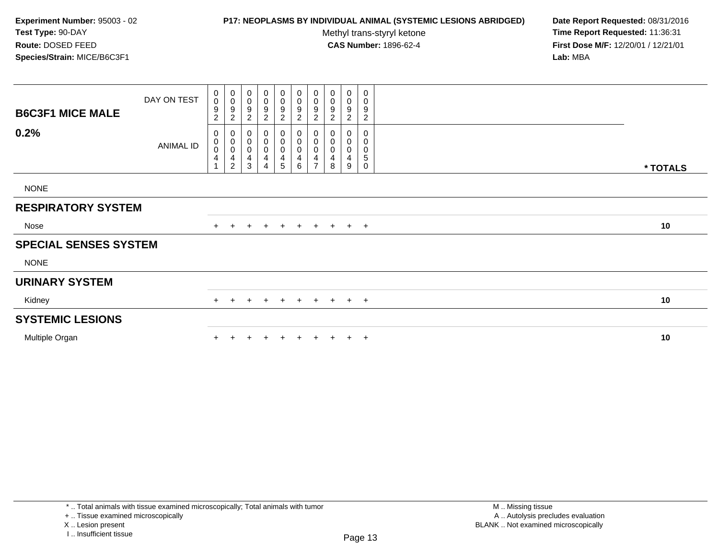## **P17: NEOPLASMS BY INDIVIDUAL ANIMAL (SYSTEMIC LESIONS ABRIDGED) Date Report Requested:** 08/31/2016

Methyl trans-styryl ketone<br>CAS Number: 1896-62-4

| <b>B6C3F1 MICE MALE</b>      | DAY ON TEST | 0<br>$\boldsymbol{0}$<br>9<br>$\overline{c}$ | $\begin{smallmatrix} 0\\0 \end{smallmatrix}$<br>$\boldsymbol{9}$<br>$\sqrt{2}$       | 0<br>$\pmb{0}$<br>9<br>$\overline{\mathbf{c}}$                              | 0<br>$\mathbf 0$<br>9<br>$\overline{c}$      | 0<br>$\pmb{0}$<br>$\boldsymbol{9}$<br>$\overline{c}$                     | $\mathbf 0$<br>$\mathsf 0$<br>$\boldsymbol{9}$<br>$\overline{2}$    | $\pmb{0}$<br>$\pmb{0}$<br>$\boldsymbol{9}$<br>$\overline{2}$      | $\pmb{0}$<br>$\pmb{0}$<br>9<br>$\overline{c}$ | $\boldsymbol{0}$<br>$\pmb{0}$<br>9<br>$\overline{c}$ | 0<br>0<br>9<br>$\overline{c}$ |          |
|------------------------------|-------------|----------------------------------------------|--------------------------------------------------------------------------------------|-----------------------------------------------------------------------------|----------------------------------------------|--------------------------------------------------------------------------|---------------------------------------------------------------------|-------------------------------------------------------------------|-----------------------------------------------|------------------------------------------------------|-------------------------------|----------|
| 0.2%                         | ANIMAL ID   | 0<br>0<br>$\pmb{0}$<br>4<br>$\overline{A}$   | $\mathbf 0$<br>$\mathbf 0$<br>$\pmb{0}$<br>$\overline{\mathbf{4}}$<br>$\overline{c}$ | 0<br>$\pmb{0}$<br>$\boldsymbol{0}$<br>$\overline{\mathbf{4}}$<br>$\sqrt{3}$ | 0<br>$\mathbf 0$<br>0<br>4<br>$\overline{4}$ | 0<br>$\pmb{0}$<br>$\pmb{0}$<br>$\overline{\mathbf{4}}$<br>$\overline{5}$ | 0<br>$\mathbf 0$<br>$\mathbf 0$<br>$\overline{4}$<br>$6\phantom{1}$ | $\pmb{0}$<br>$\pmb{0}$<br>$\boldsymbol{0}$<br>4<br>$\overline{ }$ | 0<br>$\pmb{0}$<br>$\pmb{0}$<br>4<br>8         | $\boldsymbol{0}$<br>0<br>0<br>4<br>9                 | 0<br>0<br>0<br>5<br>0         | * TOTALS |
| <b>NONE</b>                  |             |                                              |                                                                                      |                                                                             |                                              |                                                                          |                                                                     |                                                                   |                                               |                                                      |                               |          |
| <b>RESPIRATORY SYSTEM</b>    |             |                                              |                                                                                      |                                                                             |                                              |                                                                          |                                                                     |                                                                   |                                               |                                                      |                               |          |
| Nose                         |             |                                              |                                                                                      |                                                                             | $+$                                          | $+$                                                                      | $+$                                                                 |                                                                   | $+$ $+$                                       |                                                      | $+$ $+$                       | 10       |
| <b>SPECIAL SENSES SYSTEM</b> |             |                                              |                                                                                      |                                                                             |                                              |                                                                          |                                                                     |                                                                   |                                               |                                                      |                               |          |
| <b>NONE</b>                  |             |                                              |                                                                                      |                                                                             |                                              |                                                                          |                                                                     |                                                                   |                                               |                                                      |                               |          |
| <b>URINARY SYSTEM</b>        |             |                                              |                                                                                      |                                                                             |                                              |                                                                          |                                                                     |                                                                   |                                               |                                                      |                               |          |
| Kidney                       |             | $+$                                          | $+$                                                                                  | $\pm$                                                                       | $+$                                          | $+$                                                                      | $+$                                                                 |                                                                   | $+ + + +$                                     |                                                      |                               | 10       |
| <b>SYSTEMIC LESIONS</b>      |             |                                              |                                                                                      |                                                                             |                                              |                                                                          |                                                                     |                                                                   |                                               |                                                      |                               |          |
| Multiple Organ               |             |                                              |                                                                                      |                                                                             |                                              |                                                                          | $+$                                                                 |                                                                   |                                               |                                                      | $+$ $+$                       | 10       |

<sup>+ ..</sup> Tissue examined microscopically

X .. Lesion present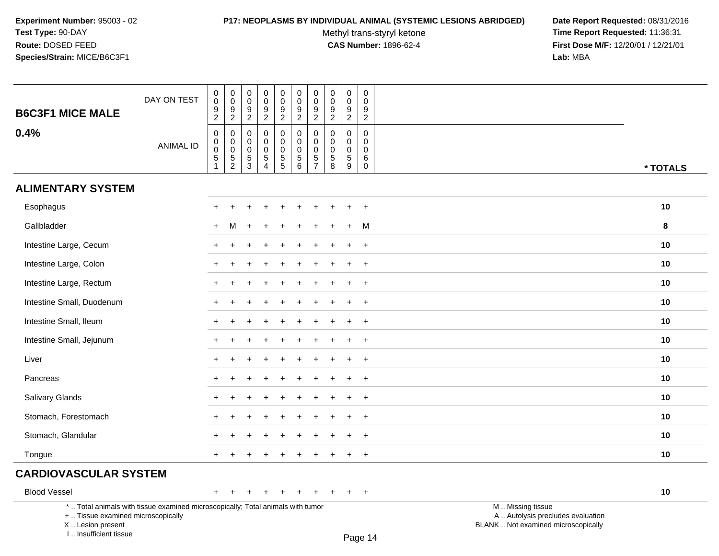### **P17: NEOPLASMS BY INDIVIDUAL ANIMAL (SYSTEMIC LESIONS ABRIDGED) Date Report Requested:** 08/31/2016

Methyl trans-styryl ketone<br>CAS Number: 1896-62-4

 **Time Report Requested:** 11:36:31 **First Dose M/F:** 12/20/01 / 12/21/01<br>Lab: MBA **Lab:** MBA

| *  Total animals with tissue examined microscopically; Total animals with tumor |                  |                                                 |                                                 |                                   |                                                           |                                                               |                                                                                     |                                                                  |                                                           |                                               |                                                     | M  Missing tissue<br>the contract of the contract of the contract of the contract of the contract of the contract of the contract of |          |
|---------------------------------------------------------------------------------|------------------|-------------------------------------------------|-------------------------------------------------|-----------------------------------|-----------------------------------------------------------|---------------------------------------------------------------|-------------------------------------------------------------------------------------|------------------------------------------------------------------|-----------------------------------------------------------|-----------------------------------------------|-----------------------------------------------------|--------------------------------------------------------------------------------------------------------------------------------------|----------|
| <b>Blood Vessel</b>                                                             |                  | $+$                                             |                                                 |                                   |                                                           |                                                               |                                                                                     |                                                                  |                                                           |                                               | $+$                                                 |                                                                                                                                      | 10       |
| <b>CARDIOVASCULAR SYSTEM</b>                                                    |                  |                                                 |                                                 |                                   |                                                           |                                                               |                                                                                     |                                                                  |                                                           |                                               |                                                     |                                                                                                                                      |          |
| Tongue                                                                          |                  | $+$                                             |                                                 |                                   |                                                           | $\ddot{}$                                                     | $\ddot{}$                                                                           | $\ddot{}$                                                        |                                                           | $\ddot{}$                                     | $+$                                                 |                                                                                                                                      | 10       |
| Stomach, Glandular                                                              |                  |                                                 |                                                 |                                   |                                                           |                                                               |                                                                                     |                                                                  |                                                           |                                               | $\ddot{}$                                           |                                                                                                                                      | 10       |
| Stomach, Forestomach                                                            |                  |                                                 |                                                 |                                   |                                                           |                                                               |                                                                                     |                                                                  |                                                           |                                               | $+$                                                 |                                                                                                                                      | 10       |
| Salivary Glands                                                                 |                  | $+$                                             |                                                 |                                   |                                                           |                                                               |                                                                                     |                                                                  |                                                           | ÷                                             | $+$                                                 |                                                                                                                                      | 10       |
| Pancreas                                                                        |                  |                                                 |                                                 |                                   |                                                           |                                                               |                                                                                     |                                                                  |                                                           |                                               | $\ddot{}$                                           |                                                                                                                                      | 10       |
| Liver                                                                           |                  | $+$                                             |                                                 |                                   |                                                           |                                                               |                                                                                     |                                                                  |                                                           |                                               | $+$                                                 |                                                                                                                                      | 10       |
| Intestine Small, Jejunum                                                        |                  | $+$                                             |                                                 |                                   |                                                           |                                                               |                                                                                     |                                                                  |                                                           | ÷                                             | $+$                                                 |                                                                                                                                      | 10       |
| Intestine Small, Ileum                                                          |                  |                                                 |                                                 |                                   |                                                           |                                                               |                                                                                     |                                                                  |                                                           |                                               | $\ddot{}$                                           |                                                                                                                                      | 10       |
| Intestine Small, Duodenum                                                       |                  | $+$                                             |                                                 |                                   |                                                           |                                                               |                                                                                     |                                                                  |                                                           |                                               | $+$                                                 |                                                                                                                                      | 10       |
| Intestine Large, Rectum                                                         |                  | $+$                                             |                                                 |                                   |                                                           |                                                               | ÷.                                                                                  |                                                                  |                                                           | $\ddot{}$                                     | $+$                                                 |                                                                                                                                      | 10       |
| Intestine Large, Colon                                                          |                  |                                                 |                                                 |                                   |                                                           |                                                               |                                                                                     |                                                                  |                                                           |                                               | $\ddot{}$                                           |                                                                                                                                      | 10       |
| Intestine Large, Cecum                                                          |                  | $+$                                             |                                                 |                                   |                                                           |                                                               |                                                                                     |                                                                  |                                                           |                                               | $+$                                                 |                                                                                                                                      | 10       |
| Gallbladder                                                                     |                  | $+$                                             | М                                               | $\ddot{}$                         |                                                           |                                                               | $\div$                                                                              | ÷                                                                |                                                           | $+$                                           | M                                                   |                                                                                                                                      | 8        |
| Esophagus                                                                       |                  |                                                 |                                                 |                                   |                                                           |                                                               |                                                                                     |                                                                  |                                                           |                                               | $\ddot{}$                                           |                                                                                                                                      | 10       |
| <b>ALIMENTARY SYSTEM</b>                                                        |                  |                                                 |                                                 |                                   |                                                           |                                                               |                                                                                     |                                                                  |                                                           |                                               |                                                     |                                                                                                                                      |          |
|                                                                                 | <b>ANIMAL ID</b> | $\mathbf 0$<br>$\pmb{0}$<br>$\,$ 5 $\,$         | 0<br>0<br>0<br>5<br>2                           | 0<br>$\mathbf 0$<br>$\frac{5}{3}$ | $\mathbf 0$<br>$\pmb{0}$<br>$\,$ 5 $\,$<br>$\overline{4}$ | 0<br>$\pmb{0}$<br>$\frac{5}{5}$                               | $\mathsf{O}\xspace$<br>$\mathsf{O}\xspace$<br>$\begin{array}{c} 5 \\ 6 \end{array}$ | $\pmb{0}$<br>$\pmb{0}$<br>$\frac{5}{7}$                          | 0<br>$\mathbf 0$<br>$\begin{array}{c} 5 \\ 8 \end{array}$ | $\mathbf 0$<br>$\mathbf 0$<br>$\sqrt{5}$<br>9 | $\mathbf 0$<br>$\boldsymbol{0}$<br>$^6_{\rm 0}$     |                                                                                                                                      | * TOTALS |
| 0.4%                                                                            |                  | $\overline{2}$<br>$\mathbf 0$                   |                                                 | $\sqrt{2}$<br>$\Omega$            | $\sqrt{2}$<br>$\mathbf 0$                                 | $\overline{c}$<br>$\mathbf 0$                                 | $\overline{2}$<br>$\mathsf 0$                                                       | $\overline{2}$<br>$\pmb{0}$                                      | $\overline{2}$<br>$\mathbf 0$                             | $\sqrt{2}$<br>$\mathbf 0$                     | $\overline{2}$<br>$\mathbf 0$                       |                                                                                                                                      |          |
| <b>B6C3F1 MICE MALE</b>                                                         | DAY ON TEST      | $\pmb{0}$<br>$\boldsymbol{0}$<br>$\overline{9}$ | $\begin{array}{c} 0 \\ 0 \\ 9 \\ 2 \end{array}$ | $\pmb{0}$<br>$\mathbf 0$<br>9     | $\pmb{0}$<br>$\pmb{0}$<br>$\boldsymbol{9}$                | $\begin{smallmatrix}0\0\0\end{smallmatrix}$<br>$\overline{9}$ | $\begin{smallmatrix}0\0\0\end{smallmatrix}$<br>$\overline{9}$                       | $\begin{smallmatrix} 0\\0 \end{smallmatrix}$<br>$\boldsymbol{9}$ | $\pmb{0}$<br>$\mathbf 0$<br>$\boldsymbol{9}$              | $\pmb{0}$<br>$\pmb{0}$<br>$\boldsymbol{9}$    | $\boldsymbol{0}$<br>$\mathbf 0$<br>$\boldsymbol{9}$ |                                                                                                                                      |          |

+ .. Tissue examined microscopically

 Lesion present BLANK .. Not examined microscopicallyX .. Lesion present

I .. Insufficient tissue

y the contract of the contract of the contract of the contract of the contract of  $\mathsf A$  . Autolysis precludes evaluation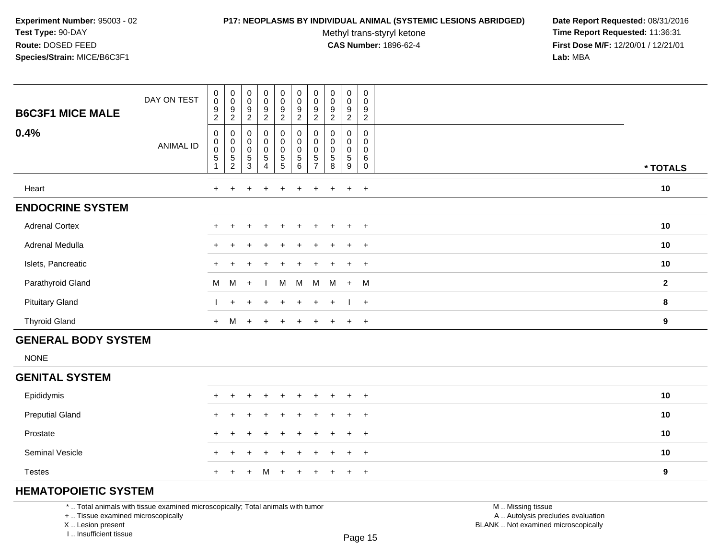### **P17: NEOPLASMS BY INDIVIDUAL ANIMAL (SYSTEMIC LESIONS ABRIDGED) Date Report Requested:** 08/31/2016

Methyl trans-styryl ketone<br>CAS Number: 1896-62-4

 **Time Report Requested:** 11:36:31 **First Dose M/F:** 12/20/01 / 12/21/01<br>**Lab:** MBA **Lab:** MBA

| <b>B6C3F1 MICE MALE</b> | DAY ON TEST | 0<br>$\boldsymbol{0}$<br>9<br>$\overline{c}$          | $_{\rm 0}^{\rm 0}$<br>$\boldsymbol{9}$<br>$\overline{c}$ | $_{\rm 0}^{\rm 0}$<br>$\boldsymbol{9}$<br>$\overline{2}$ | $_{\rm 0}^{\rm 0}$<br>$\boldsymbol{9}$<br>$\overline{c}$ | $\pmb{0}$<br>$\pmb{0}$<br>$\boldsymbol{9}$<br>$\overline{c}$            | $\begin{smallmatrix} 0\\0 \end{smallmatrix}$<br>$\boldsymbol{9}$<br>$\overline{c}$ | $\pmb{0}$<br>$\pmb{0}$<br>9<br>$\overline{2}$ | $_{\rm 0}^{\rm 0}$<br>$\boldsymbol{9}$<br>$\overline{2}$ | $\pmb{0}$<br>$\mathbf 0$<br>$\boldsymbol{9}$<br>$\overline{c}$ | $\mathbf 0$<br>0<br>$\boldsymbol{9}$<br>$\sqrt{2}$ |              |
|-------------------------|-------------|-------------------------------------------------------|----------------------------------------------------------|----------------------------------------------------------|----------------------------------------------------------|-------------------------------------------------------------------------|------------------------------------------------------------------------------------|-----------------------------------------------|----------------------------------------------------------|----------------------------------------------------------------|----------------------------------------------------|--------------|
| 0.4%                    | ANIMAL ID   | 0<br>$\begin{smallmatrix}0\0\0\end{smallmatrix}$<br>5 | 0<br>$\mathbf 0$<br>$\frac{5}{2}$                        | 0<br>$_{\rm 0}^{\rm 0}$<br>$\sqrt{5}$<br>$\mathbf{3}$    | 0<br>$\pmb{0}$<br>$\mathsf 0$<br>$\mathbf 5$<br>4        | $\pmb{0}$<br>$\pmb{0}$<br>$\mathbf 0$<br>$\mathbf 5$<br>$5\phantom{.0}$ | $\pmb{0}$<br>$_{\rm 0}^{\rm 0}$<br>5<br>$6\phantom{1}6$                            | 0<br>$\pmb{0}$<br>5                           | 0<br>$\ddot{\mathbf{0}}$<br>$\,$ 5 $\,$<br>8             | 0<br>0<br>0<br>$\,$ 5 $\,$<br>9                                | 0<br>0<br>6<br>0                                   | * TOTALS     |
| Heart                   |             | $\ddot{}$                                             |                                                          |                                                          |                                                          |                                                                         |                                                                                    |                                               |                                                          | $\ddot{}$                                                      | $+$                                                | $10$         |
| <b>ENDOCRINE SYSTEM</b> |             |                                                       |                                                          |                                                          |                                                          |                                                                         |                                                                                    |                                               |                                                          |                                                                |                                                    |              |
| <b>Adrenal Cortex</b>   |             | $+$                                                   | ÷.                                                       | $\pm$                                                    | $\pm$                                                    | $+$                                                                     | $+$                                                                                | $+$                                           | $+$                                                      | $\ddot{}$                                                      | $+$                                                | 10           |
| Adrenal Medulla         |             | $\pm$                                                 |                                                          |                                                          | $\pm$                                                    | $+$                                                                     | $+$                                                                                | ÷.                                            | $\pm$                                                    | $+$                                                            | $+$                                                | 10           |
| Islets, Pancreatic      |             |                                                       |                                                          |                                                          | $\ddot{}$                                                |                                                                         | $+$                                                                                | $+$                                           | $+$                                                      | $\ddot{}$                                                      | $+$                                                | 10           |
| Parathyroid Gland       |             | M                                                     | M                                                        | $+$                                                      |                                                          | M                                                                       | M                                                                                  | M                                             | M                                                        | $+$                                                            | M                                                  | $\mathbf{2}$ |
| <b>Pituitary Gland</b>  |             |                                                       | $+$                                                      | $+$                                                      | $+$                                                      | $\ddot{}$                                                               | $+$                                                                                | $+$                                           | $+$                                                      |                                                                | $+$                                                | 8            |
| <b>Thyroid Gland</b>    |             | $+$                                                   | M                                                        | $+$                                                      | $+$                                                      |                                                                         | $\div$                                                                             |                                               |                                                          | $\pm$                                                          | $+$                                                | 9            |

# **GENERAL BODY SYSTEM**

NONE

## **GENITAL SYSTEM**

| Epididymis             |  | + + + + + + + + + + |  |  |  | 10 |
|------------------------|--|---------------------|--|--|--|----|
| <b>Preputial Gland</b> |  | + + + + + + + + + + |  |  |  | 10 |
| Prostate               |  | + + + + + + + + + + |  |  |  | 10 |
| <b>Seminal Vesicle</b> |  | + + + + + + + + + + |  |  |  | 10 |
| <b>Testes</b>          |  | + + + M + + + + + + |  |  |  | 9  |

# **HEMATOPOIETIC SYSTEM**

\* .. Total animals with tissue examined microscopically; Total animals with tumor

+ .. Tissue examined microscopically

X .. Lesion present

I .. Insufficient tissue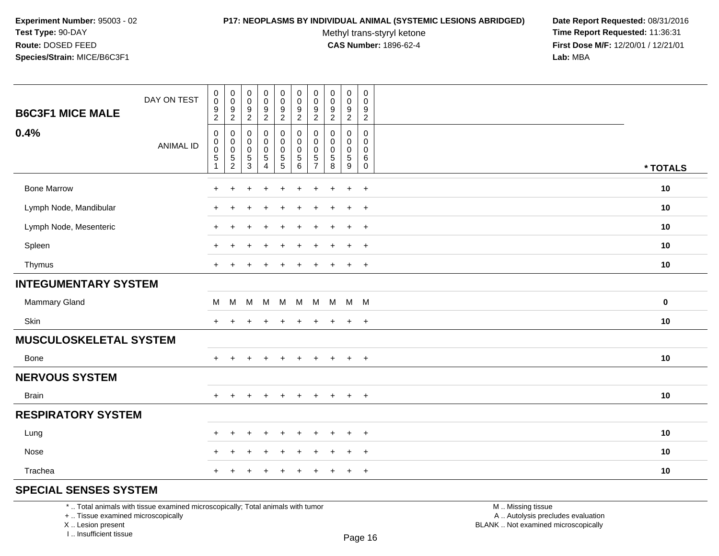#### **P17: NEOPLASMS BY INDIVIDUAL ANIMAL (SYSTEMIC LESIONS ABRIDGED) Date Report Requested:** 08/31/2016

Methyl trans-styryl ketone<br>CAS Number: 1896-62-4

 **Time Report Requested:** 11:36:31 **First Dose M/F:** 12/20/01 / 12/21/01<br>**Lab:** MBA **Lab:** MBA

| <b>B6C3F1 MICE MALE</b>     | DAY ON TEST      | $_{\rm 0}^{\rm 0}$<br>$\frac{9}{2}$                                     | $\pmb{0}$<br>$\pmb{0}$<br>9<br>$\overline{2}$ | $\,0\,$<br>$\pmb{0}$<br>9<br>$\sqrt{2}$                 | $\pmb{0}$<br>$\pmb{0}$<br>$\frac{9}{2}$              | $\pmb{0}$<br>$\pmb{0}$<br>$\frac{9}{2}$ | $\pmb{0}$<br>$\pmb{0}$<br>$\boldsymbol{9}$<br>$\overline{2}$   | $\pmb{0}$<br>$\pmb{0}$<br>$\frac{9}{2}$ | $\pmb{0}$<br>$\mathbf 0$<br>$\frac{9}{2}$                      | $\pmb{0}$<br>$\mathbf 0$<br>9<br>$\overline{c}$     | $\pmb{0}$<br>$\pmb{0}$<br>$\frac{9}{2}$                                |             |
|-----------------------------|------------------|-------------------------------------------------------------------------|-----------------------------------------------|---------------------------------------------------------|------------------------------------------------------|-----------------------------------------|----------------------------------------------------------------|-----------------------------------------|----------------------------------------------------------------|-----------------------------------------------------|------------------------------------------------------------------------|-------------|
| 0.4%                        | <b>ANIMAL ID</b> | $\mathbf 0$<br>$\mathbf 0$<br>$\pmb{0}$<br>$\sqrt{5}$<br>$\overline{1}$ | 0<br>0<br>$\pmb{0}$<br>$\frac{5}{2}$          | 0<br>$\mathbf 0$<br>$\boldsymbol{0}$<br>$\sqrt{5}$<br>3 | 0<br>0<br>$\begin{array}{c} 0 \\ 5 \\ 4 \end{array}$ | 0<br>$\mathbf 0$<br>$\frac{0}{5}$       | 0<br>$\mathbf 0$<br>$\begin{array}{c} 0 \\ 5 \\ 6 \end{array}$ | 0<br>$\mathbf 0$<br>0<br>$\frac{5}{7}$  | $\mathbf 0$<br>$\mathbf 0$<br>$\pmb{0}$<br>$\overline{5}$<br>8 | 0<br>$\Omega$<br>$\mathbf 0$<br>$\overline{5}$<br>9 | $\mathbf 0$<br>$\Omega$<br>$\mathbf 0$<br>$\,6$<br>$\mathsf{O}\xspace$ | * TOTALS    |
| <b>Bone Marrow</b>          |                  | $\pm$                                                                   | $\ddot{}$                                     |                                                         |                                                      |                                         |                                                                |                                         |                                                                | $\ddot{}$                                           | $+$                                                                    | 10          |
| Lymph Node, Mandibular      |                  |                                                                         |                                               |                                                         |                                                      |                                         |                                                                |                                         |                                                                | $\ddot{}$                                           | $+$                                                                    | 10          |
| Lymph Node, Mesenteric      |                  | $\pm$                                                                   | $\div$                                        |                                                         |                                                      | $\div$                                  |                                                                |                                         |                                                                | $\ddot{}$                                           | $^{+}$                                                                 | 10          |
| Spleen                      |                  |                                                                         |                                               |                                                         |                                                      |                                         |                                                                |                                         |                                                                | $\ddot{}$                                           | $\overline{+}$                                                         | 10          |
| Thymus                      |                  | $+$                                                                     | $+$                                           |                                                         |                                                      | $\ddot{}$                               | $\ddot{}$                                                      |                                         | $\ddot{}$                                                      | $\ddot{}$                                           | $+$                                                                    | 10          |
| <b>INTEGUMENTARY SYSTEM</b> |                  |                                                                         |                                               |                                                         |                                                      |                                         |                                                                |                                         |                                                                |                                                     |                                                                        |             |
| Mammary Gland               |                  | М                                                                       | M                                             |                                                         | M M                                                  | M                                       |                                                                |                                         | M M M M M                                                      |                                                     |                                                                        | $\mathbf 0$ |
| Skin                        |                  | $\pm$                                                                   |                                               |                                                         |                                                      | ÷                                       | $\ddot{}$                                                      |                                         | $\div$                                                         | $\ddot{}$                                           | $^{+}$                                                                 | 10          |
| MUSCULOSKELETAL SYSTEM      |                  |                                                                         |                                               |                                                         |                                                      |                                         |                                                                |                                         |                                                                |                                                     |                                                                        |             |
| Bone                        |                  | $\pm$                                                                   | $\div$                                        |                                                         | $\ddot{}$                                            | $\ddot{}$                               | $\ddot{}$                                                      | $\pm$                                   | $\overline{+}$                                                 | $\ddot{}$                                           | $+$                                                                    | 10          |
| <b>NERVOUS SYSTEM</b>       |                  |                                                                         |                                               |                                                         |                                                      |                                         |                                                                |                                         |                                                                |                                                     |                                                                        |             |
| <b>Brain</b>                |                  | $+$                                                                     | $+$                                           | ÷                                                       | $\ddot{}$                                            | $\ddot{}$                               | $\ddot{}$                                                      | $+$                                     | $+$                                                            | $\ddot{}$                                           | $+$                                                                    | 10          |
| <b>RESPIRATORY SYSTEM</b>   |                  |                                                                         |                                               |                                                         |                                                      |                                         |                                                                |                                         |                                                                |                                                     |                                                                        |             |
| Lung                        |                  | $\pm$                                                                   | $\ddot{}$                                     | ٠                                                       | $\ddot{}$                                            | $\ddot{}$                               | $\ddot{}$                                                      | $\pm$                                   | $\ddot{}$                                                      | $\ddot{}$                                           | $\overline{+}$                                                         | 10          |
| Nose                        |                  | $\pm$                                                                   | $\ddot{}$                                     |                                                         | ÷                                                    | ÷                                       | ÷                                                              |                                         | $\div$                                                         | $\ddot{}$                                           | $\overline{+}$                                                         | 10          |
| Trachea                     |                  | $+$                                                                     |                                               |                                                         |                                                      |                                         |                                                                |                                         |                                                                | $\ddot{}$                                           | $+$                                                                    | 10          |

# **SPECIAL SENSES SYSTEM**

\* .. Total animals with tissue examined microscopically; Total animals with tumor

+ .. Tissue examined microscopically

X .. Lesion present

I .. Insufficient tissue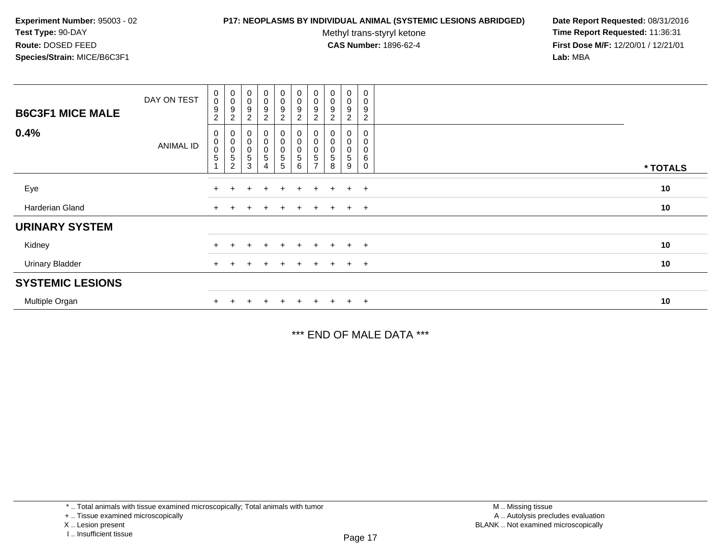### **P17: NEOPLASMS BY INDIVIDUAL ANIMAL (SYSTEMIC LESIONS ABRIDGED) Date Report Requested:** 08/31/2016

Methyl trans-styryl ketone<br>CAS Number: 1896-62-4

 **Time Report Requested:** 11:36:31 **First Dose M/F:** 12/20/01 / 12/21/01<br>**Lab:** MBA **Lab:** MBA

| <b>B6C3F1 MICE MALE</b> | DAY ON TEST      | $\begin{smallmatrix} 0\\0 \end{smallmatrix}$<br>$\boldsymbol{9}$<br>$\overline{2}$ | $_{\rm 0}^{\rm 0}$<br>9<br>$\overline{c}$                                  | $\begin{smallmatrix}0\\0\end{smallmatrix}$<br>9<br>$\overline{2}$ | $_0^0$<br>9<br>$\overline{2}$                  | $\begin{array}{c} 0 \\ 0 \\ 9 \\ 2 \end{array}$     | $\begin{smallmatrix} 0\\0 \end{smallmatrix}$<br>$\boldsymbol{9}$<br>$\boldsymbol{2}$ | $\stackrel{0}{\scriptstyle{0}}$<br>9<br>$\overline{c}$ | $\begin{smallmatrix} 0\\0 \end{smallmatrix}$<br>9<br>$\overline{c}$ | $\begin{smallmatrix}0\0\0\end{smallmatrix}$<br>9<br>$\overline{2}$ | $\pmb{0}$<br>$\mathbf 0$<br>9<br>$\overline{c}$ |          |
|-------------------------|------------------|------------------------------------------------------------------------------------|----------------------------------------------------------------------------|-------------------------------------------------------------------|------------------------------------------------|-----------------------------------------------------|--------------------------------------------------------------------------------------|--------------------------------------------------------|---------------------------------------------------------------------|--------------------------------------------------------------------|-------------------------------------------------|----------|
| 0.4%                    | <b>ANIMAL ID</b> | 0<br>$\begin{smallmatrix} 0\\0 \end{smallmatrix}$<br>$\overline{5}$                | $\begin{matrix} 0 \\ 0 \\ 0 \end{matrix}$<br>$\,$ 5 $\,$<br>$\overline{2}$ | $\boldsymbol{0}$<br>$\pmb{0}$<br>$\pmb{0}$<br>5<br>3              | $\begin{matrix} 0 \\ 0 \\ 0 \end{matrix}$<br>5 | $\begin{matrix} 0 \\ 0 \\ 0 \\ 5 \end{matrix}$<br>5 | $\begin{smallmatrix}0\\0\\0\end{smallmatrix}$<br>$\sqrt{5}$<br>6                     | 0<br>0<br>0<br>$\mathbf 5$<br>$\overline{ }$           | $\pmb{0}$<br>$\pmb{0}$<br>8                                         | 0<br>0<br>$\mathbf 0$<br>5<br>9                                    | 0<br>0<br>0<br>$\,6$<br>$\mathbf 0$             | * TOTALS |
| Eye                     |                  |                                                                                    |                                                                            | ÷                                                                 | $\ddot{}$                                      | $+$                                                 | $\pm$                                                                                | $+$                                                    | $+$                                                                 | $+$                                                                | $+$                                             | 10       |
| Harderian Gland         |                  |                                                                                    |                                                                            |                                                                   |                                                | $+$                                                 | $+$                                                                                  | $+$                                                    | $+$ $-$                                                             | $+$ $+$                                                            |                                                 | 10       |
| <b>URINARY SYSTEM</b>   |                  |                                                                                    |                                                                            |                                                                   |                                                |                                                     |                                                                                      |                                                        |                                                                     |                                                                    |                                                 |          |
| Kidney                  |                  |                                                                                    |                                                                            |                                                                   |                                                | $\pm$                                               | $\pm$                                                                                | $\pm$                                                  | $+$                                                                 | $\ddot{}$                                                          | $+$                                             | 10       |
| <b>Urinary Bladder</b>  |                  | $+$                                                                                |                                                                            | ÷                                                                 | $\ddot{}$                                      | $+$                                                 | $+$                                                                                  | $+$                                                    | $+$                                                                 | $\ddot{}$                                                          | $+$                                             | 10       |
| <b>SYSTEMIC LESIONS</b> |                  |                                                                                    |                                                                            |                                                                   |                                                |                                                     |                                                                                      |                                                        |                                                                     |                                                                    |                                                 |          |
| Multiple Organ          |                  |                                                                                    |                                                                            |                                                                   |                                                | $+$                                                 |                                                                                      | $+$                                                    | $+$                                                                 | $\pm$                                                              | $+$                                             | 10       |

\*\*\* END OF MALE DATA \*\*\*

\* .. Total animals with tissue examined microscopically; Total animals with tumor

+ .. Tissue examined microscopically

X .. Lesion present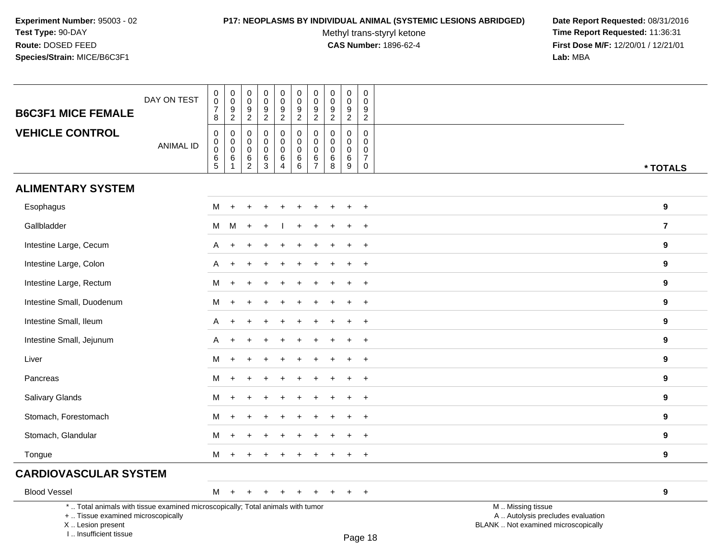### **P17: NEOPLASMS BY INDIVIDUAL ANIMAL (SYSTEMIC LESIONS ABRIDGED) Date Report Requested:** 08/31/2016

Methyl trans-styryl ketone<br>CAS Number: 1896-62-4

 **Time Report Requested:** 11:36:31 **First Dose M/F:** 12/20/01 / 12/21/01<br>Lab: MBA **Lab:** MBA

| <b>B6C3F1 MICE FEMALE</b>                                                                                                                 | DAY ON TEST      | $\,0\,$<br>$\pmb{0}$<br>$\overline{\mathbf{7}}$                  | 0<br>$\pmb{0}$<br>9<br>$\overline{2}$ | $\pmb{0}$<br>$\pmb{0}$<br>9<br>$\overline{2}$ | $\pmb{0}$<br>$\mathbf 0$<br>9<br>$\overline{2}$ | $\pmb{0}$<br>$\pmb{0}$<br>$\boldsymbol{9}$<br>$\overline{2}$ | $\pmb{0}$<br>$\mathbf 0$<br>$\boldsymbol{9}$<br>$\overline{2}$ | $\pmb{0}$<br>$\mathbf 0$<br>9<br>$\overline{2}$ | $\pmb{0}$<br>$\mathbf 0$<br>9<br>$\overline{2}$ | $\pmb{0}$<br>$\pmb{0}$<br>9<br>$\overline{2}$ | $\,0\,$<br>$\mathbf 0$<br>9<br>$\overline{2}$     |                                                                                               |                  |
|-------------------------------------------------------------------------------------------------------------------------------------------|------------------|------------------------------------------------------------------|---------------------------------------|-----------------------------------------------|-------------------------------------------------|--------------------------------------------------------------|----------------------------------------------------------------|-------------------------------------------------|-------------------------------------------------|-----------------------------------------------|---------------------------------------------------|-----------------------------------------------------------------------------------------------|------------------|
| <b>VEHICLE CONTROL</b>                                                                                                                    | <b>ANIMAL ID</b> | 8<br>$\mathbf 0$<br>$\boldsymbol{0}$<br>$\overline{0}$<br>$^6$ 5 | 0<br>$\mathsf 0$<br>$\mathbf 0$<br>6  | $\mathbf 0$<br>0<br>$\mathbf 0$<br>$6\over 2$ | $\mathbf 0$<br>0<br>$\mathbf 0$<br>6            | $\pmb{0}$<br>$\mathbf 0$<br>$\pmb{0}$<br>$\,6\,$             | $\mathbf 0$<br>$\mathbf 0$<br>$\mathsf 0$<br>6                 | 0<br>$\mathbf 0$<br>$\mathbf 0$<br>6            | $\mathbf 0$<br>$\mathbf 0$<br>$\mathbf 0$<br>6  | $\pmb{0}$<br>$\mathbf 0$<br>$\pmb{0}$<br>6    | $\mathbf 0$<br>0<br>$\mathbf 0$<br>$\overline{7}$ |                                                                                               |                  |
|                                                                                                                                           |                  |                                                                  | $\mathbf{1}$                          |                                               | $\overline{3}$                                  | $\overline{4}$                                               | 6                                                              | $\overline{7}$                                  | 8                                               | 9                                             | 0                                                 |                                                                                               | * TOTALS         |
| <b>ALIMENTARY SYSTEM</b>                                                                                                                  |                  |                                                                  |                                       |                                               |                                                 |                                                              |                                                                |                                                 |                                                 |                                               |                                                   |                                                                                               |                  |
| Esophagus                                                                                                                                 |                  | M                                                                | $\ddot{}$                             |                                               |                                                 |                                                              |                                                                |                                                 |                                                 |                                               |                                                   |                                                                                               | 9                |
| Gallbladder                                                                                                                               |                  | М                                                                | M                                     | $\ddot{}$                                     |                                                 |                                                              |                                                                |                                                 |                                                 |                                               | $\ddot{}$                                         |                                                                                               | $\overline{7}$   |
| Intestine Large, Cecum                                                                                                                    |                  | A                                                                |                                       |                                               |                                                 |                                                              |                                                                |                                                 |                                                 |                                               | $\ddot{}$                                         |                                                                                               | 9                |
| Intestine Large, Colon                                                                                                                    |                  | A                                                                |                                       |                                               |                                                 |                                                              |                                                                |                                                 |                                                 |                                               |                                                   |                                                                                               | 9                |
| Intestine Large, Rectum                                                                                                                   |                  | M                                                                | $\ddot{}$                             |                                               |                                                 |                                                              |                                                                |                                                 |                                                 |                                               | $\ddot{}$                                         |                                                                                               | 9                |
| Intestine Small, Duodenum                                                                                                                 |                  | M                                                                | $\ddot{}$                             |                                               |                                                 |                                                              |                                                                |                                                 |                                                 |                                               | $\ddot{}$                                         |                                                                                               | $\boldsymbol{9}$ |
| Intestine Small, Ileum                                                                                                                    |                  | Α                                                                |                                       |                                               |                                                 |                                                              |                                                                |                                                 |                                                 |                                               | $\ddot{}$                                         |                                                                                               | 9                |
| Intestine Small, Jejunum                                                                                                                  |                  | А                                                                |                                       |                                               |                                                 |                                                              |                                                                |                                                 |                                                 |                                               | $\ddot{}$                                         |                                                                                               | 9                |
| Liver                                                                                                                                     |                  | M                                                                | $\ddot{}$                             |                                               |                                                 |                                                              |                                                                |                                                 |                                                 |                                               | $\ddot{}$                                         |                                                                                               | 9                |
| Pancreas                                                                                                                                  |                  | M                                                                | $\ddot{}$                             |                                               |                                                 |                                                              |                                                                |                                                 |                                                 |                                               | $\ddot{}$                                         |                                                                                               | 9                |
| Salivary Glands                                                                                                                           |                  | M                                                                | $\ddot{}$                             |                                               |                                                 |                                                              |                                                                |                                                 |                                                 |                                               | $\ddot{}$                                         |                                                                                               | 9                |
| Stomach, Forestomach                                                                                                                      |                  | М                                                                |                                       |                                               |                                                 |                                                              |                                                                |                                                 |                                                 |                                               | $\overline{ }$                                    |                                                                                               | 9                |
| Stomach, Glandular                                                                                                                        |                  | М                                                                |                                       |                                               |                                                 |                                                              |                                                                |                                                 |                                                 |                                               |                                                   |                                                                                               | 9                |
| Tongue                                                                                                                                    |                  | M                                                                | $\ddot{}$                             |                                               |                                                 |                                                              |                                                                |                                                 |                                                 |                                               | $\ddot{}$                                         |                                                                                               | 9                |
| <b>CARDIOVASCULAR SYSTEM</b>                                                                                                              |                  |                                                                  |                                       |                                               |                                                 |                                                              |                                                                |                                                 |                                                 |                                               |                                                   |                                                                                               |                  |
| <b>Blood Vessel</b>                                                                                                                       |                  | M                                                                | $+$                                   | $\ddot{}$                                     | $\pm$                                           | $\overline{+}$                                               | $\ddot{}$                                                      | $\ddot{}$                                       | $\ddot{}$                                       | $+$                                           | $+$                                               |                                                                                               | 9                |
| *  Total animals with tissue examined microscopically; Total animals with tumor<br>+  Tissue examined microscopically<br>X Lesion present |                  |                                                                  |                                       |                                               |                                                 |                                                              |                                                                |                                                 |                                                 |                                               |                                                   | M  Missing tissue<br>A  Autolysis precludes evaluation<br>BLANK  Not examined microscopically |                  |

X .. Lesion present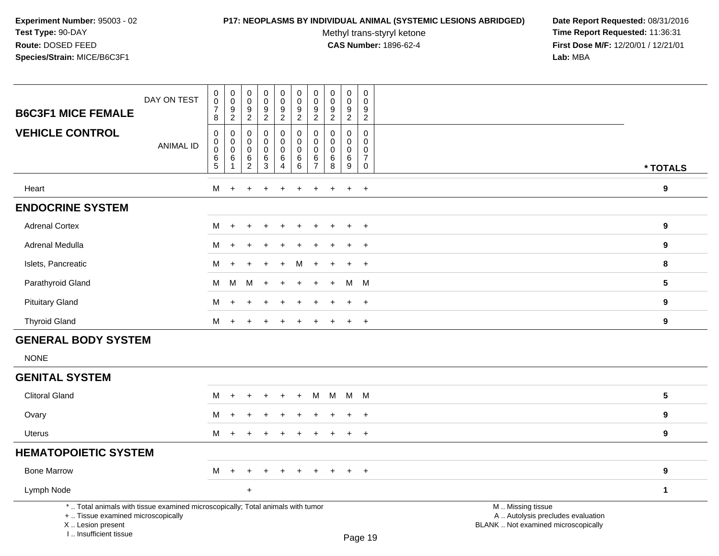# **P17: NEOPLASMS BY INDIVIDUAL ANIMAL (SYSTEMIC LESIONS ABRIDGED) Date Report Requested:** 08/31/2016

Methyl trans-styryl ketone<br>CAS Number: 1896-62-4

| DAY ON TEST<br><b>B6C3F1 MICE FEMALE</b>                                                                                                                            | $\pmb{0}$<br>$\pmb{0}$<br>$\overline{7}$<br>8               | $_{\rm 0}^{\rm 0}$<br>$\frac{9}{2}$                           | $\pmb{0}$<br>$\mathbf 0$<br>$\boldsymbol{9}$<br>$\overline{2}$         | $\pmb{0}$<br>$\mathbf 0$<br>$\boldsymbol{9}$<br>$\overline{2}$ | $\pmb{0}$<br>$\mathbf 0$<br>$\boldsymbol{9}$<br>$\overline{2}$       | $\mathsf 0$<br>$\mathbf 0$<br>9<br>$\overline{2}$     | $\mathsf{O}\xspace$<br>$\mathbf 0$<br>$\boldsymbol{9}$<br>$\overline{2}$ | $\pmb{0}$<br>0<br>$\frac{9}{2}$       | $\begin{smallmatrix} 0\\0 \end{smallmatrix}$<br>$\boldsymbol{9}$<br>$\overline{2}$ | $\boldsymbol{0}$<br>$\mathbf 0$<br>9<br>$\overline{2}$                          |                                                                                               |                         |
|---------------------------------------------------------------------------------------------------------------------------------------------------------------------|-------------------------------------------------------------|---------------------------------------------------------------|------------------------------------------------------------------------|----------------------------------------------------------------|----------------------------------------------------------------------|-------------------------------------------------------|--------------------------------------------------------------------------|---------------------------------------|------------------------------------------------------------------------------------|---------------------------------------------------------------------------------|-----------------------------------------------------------------------------------------------|-------------------------|
| <b>VEHICLE CONTROL</b><br><b>ANIMAL ID</b>                                                                                                                          | $\mathbf 0$<br>$\pmb{0}$<br>$\overline{0}$<br>$\frac{6}{5}$ | $\pmb{0}$<br>$\mathbf 0$<br>$\pmb{0}$<br>$6\phantom{1}6$<br>1 | $\mathbf 0$<br>$\mathbf 0$<br>$\mathbf 0$<br>$\,6\,$<br>$\overline{2}$ | $\mathbf 0$<br>$\mathbf 0$<br>$\mathbf 0$<br>$\,6\,$<br>3      | $\pmb{0}$<br>$\mathbf 0$<br>$\mathbf 0$<br>$\,6\,$<br>$\overline{4}$ | $\pmb{0}$<br>$\mathbf 0$<br>$\pmb{0}$<br>$\,6\,$<br>6 | $\mathbf 0$<br>$\mathbf 0$<br>0<br>$rac{6}{7}$                           | $\mathbf 0$<br>0<br>0<br>$\,6\,$<br>8 | $\mathbf 0$<br>$\mathbf 0$<br>$\pmb{0}$<br>$6\phantom{a}$<br>9                     | $\mathbf 0$<br>$\mathbf 0$<br>$\mathbf 0$<br>$\overline{7}$<br>$\boldsymbol{0}$ |                                                                                               | * TOTALS                |
| Heart                                                                                                                                                               | м                                                           | $\overline{+}$                                                | ٠                                                                      |                                                                | $\ddot{}$                                                            | ÷.                                                    | $\div$                                                                   | $\div$                                | $\overline{1}$                                                                     | $\ddot{}$                                                                       |                                                                                               | $\boldsymbol{9}$        |
| <b>ENDOCRINE SYSTEM</b>                                                                                                                                             |                                                             |                                                               |                                                                        |                                                                |                                                                      |                                                       |                                                                          |                                       |                                                                                    |                                                                                 |                                                                                               |                         |
| <b>Adrenal Cortex</b>                                                                                                                                               | м                                                           | $\ddot{}$                                                     |                                                                        |                                                                |                                                                      |                                                       |                                                                          |                                       |                                                                                    | $+$                                                                             |                                                                                               | 9                       |
| Adrenal Medulla                                                                                                                                                     | м                                                           |                                                               |                                                                        |                                                                |                                                                      |                                                       |                                                                          |                                       |                                                                                    |                                                                                 |                                                                                               | 9                       |
| Islets, Pancreatic                                                                                                                                                  | М                                                           |                                                               |                                                                        |                                                                |                                                                      | м                                                     |                                                                          |                                       |                                                                                    | $\ddot{}$                                                                       |                                                                                               | 8                       |
| Parathyroid Gland                                                                                                                                                   | М                                                           | M                                                             | м                                                                      |                                                                |                                                                      |                                                       |                                                                          |                                       | M                                                                                  | M                                                                               |                                                                                               | $5\phantom{.0}$         |
| <b>Pituitary Gland</b>                                                                                                                                              | м                                                           |                                                               |                                                                        |                                                                |                                                                      |                                                       |                                                                          |                                       |                                                                                    | $\ddot{}$                                                                       |                                                                                               | 9                       |
| <b>Thyroid Gland</b>                                                                                                                                                | м                                                           | $\ddot{}$                                                     |                                                                        |                                                                | $\div$                                                               |                                                       |                                                                          |                                       | $\overline{+}$                                                                     | $+$                                                                             |                                                                                               | $\boldsymbol{9}$        |
| <b>GENERAL BODY SYSTEM</b>                                                                                                                                          |                                                             |                                                               |                                                                        |                                                                |                                                                      |                                                       |                                                                          |                                       |                                                                                    |                                                                                 |                                                                                               |                         |
| <b>NONE</b>                                                                                                                                                         |                                                             |                                                               |                                                                        |                                                                |                                                                      |                                                       |                                                                          |                                       |                                                                                    |                                                                                 |                                                                                               |                         |
| <b>GENITAL SYSTEM</b>                                                                                                                                               |                                                             |                                                               |                                                                        |                                                                |                                                                      |                                                       |                                                                          |                                       |                                                                                    |                                                                                 |                                                                                               |                         |
| <b>Clitoral Gland</b>                                                                                                                                               | М                                                           | $\ddot{}$                                                     | +                                                                      |                                                                | $\ddot{}$                                                            | $\ddot{}$                                             | м                                                                        | M                                     |                                                                                    | M M                                                                             |                                                                                               | $\overline{\mathbf{5}}$ |
| Ovary                                                                                                                                                               | м                                                           | ÷                                                             |                                                                        |                                                                |                                                                      |                                                       |                                                                          |                                       |                                                                                    | $\ddot{}$                                                                       |                                                                                               | $\boldsymbol{9}$        |
| <b>Uterus</b>                                                                                                                                                       | м                                                           | $\overline{+}$                                                | 4                                                                      |                                                                |                                                                      |                                                       |                                                                          |                                       | $\overline{ }$                                                                     | $+$                                                                             |                                                                                               | 9                       |
| <b>HEMATOPOIETIC SYSTEM</b>                                                                                                                                         |                                                             |                                                               |                                                                        |                                                                |                                                                      |                                                       |                                                                          |                                       |                                                                                    |                                                                                 |                                                                                               |                         |
| <b>Bone Marrow</b>                                                                                                                                                  | м                                                           | $\ddot{}$                                                     |                                                                        |                                                                |                                                                      |                                                       |                                                                          |                                       | $\div$                                                                             | $+$                                                                             |                                                                                               | 9                       |
| Lymph Node                                                                                                                                                          |                                                             |                                                               | $\ddot{}$                                                              |                                                                |                                                                      |                                                       |                                                                          |                                       |                                                                                    |                                                                                 |                                                                                               | $\mathbf{1}$            |
| *  Total animals with tissue examined microscopically; Total animals with tumor<br>+  Tissue examined microscopically<br>X  Lesion present<br>I Insufficient tissue |                                                             |                                                               |                                                                        |                                                                |                                                                      |                                                       |                                                                          |                                       |                                                                                    | Page 19                                                                         | M  Missing tissue<br>A  Autolysis precludes evaluation<br>BLANK  Not examined microscopically |                         |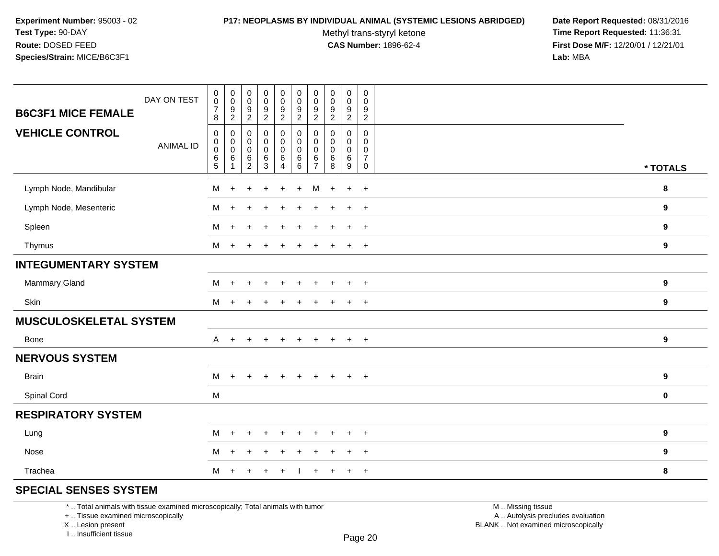#### **P17: NEOPLASMS BY INDIVIDUAL ANIMAL (SYSTEMIC LESIONS ABRIDGED) Date Report Requested:** 08/31/2016

Methyl trans-styryl ketone<br>CAS Number: 1896-62-4

 **Time Report Requested:** 11:36:31 **First Dose M/F:** 12/20/01 / 12/21/01<br>**Lab:** MBA **Lab:** MBA

| <b>B6C3F1 MICE FEMALE</b>     | DAY ON TEST      | $\begin{array}{c} 0 \\ 0 \\ 7 \end{array}$                                            | $\begin{array}{c} 0 \\ 0 \\ 9 \\ 2 \end{array}$ | $_{\rm 0}^{\rm 0}$<br>$\frac{9}{2}$     | 0<br>$\ddot{\mathbf{0}}$<br>9                   | $\pmb{0}$<br>$\ddot{\mathbf{0}}$<br>$\frac{9}{2}$ | $\begin{array}{c} 0 \\ 0 \\ 9 \\ 2 \end{array}$ | $\mathbf 0$<br>$\mathbf 0$<br>9                | $\mathbf 0$<br>$\mathbf 0$<br>$\boldsymbol{9}$           | $\pmb{0}$<br>$\pmb{0}$<br>$\frac{9}{2}$ | $\boldsymbol{0}$<br>$\mathbf 0$<br>9                     |                  |
|-------------------------------|------------------|---------------------------------------------------------------------------------------|-------------------------------------------------|-----------------------------------------|-------------------------------------------------|---------------------------------------------------|-------------------------------------------------|------------------------------------------------|----------------------------------------------------------|-----------------------------------------|----------------------------------------------------------|------------------|
| <b>VEHICLE CONTROL</b>        | <b>ANIMAL ID</b> | 8<br>$\pmb{0}$<br>$\mathbf 0$<br>$\pmb{0}$                                            | $\boldsymbol{0}$<br>$\mathbf 0$                 | $\pmb{0}$<br>$\mathbf 0$<br>$\mathbf 0$ | $\overline{2}$<br>0<br>$\mathbf 0$<br>$\pmb{0}$ | $\pmb{0}$<br>$\mathbf 0$<br>$\pmb{0}$             | $\pmb{0}$<br>$\mathbf 0$<br>$\pmb{0}$           | $\overline{2}$<br>$\mathbf 0$<br>$\Omega$<br>0 | $\overline{2}$<br>$\mathbf 0$<br>$\Omega$<br>$\mathbf 0$ | 0<br>$\mathbf 0$<br>$\mathbf 0$         | $\overline{a}$<br>$\mathbf 0$<br>$\Omega$<br>$\mathbf 0$ |                  |
|                               |                  | $\frac{6}{5}$                                                                         | $\frac{0}{6}$<br>$\overline{1}$                 | $6\phantom{a}$<br>$\overline{2}$        | $\frac{6}{3}$                                   | $6\phantom{a}$<br>$\overline{4}$                  | $6\phantom{a}$<br>$6\phantom{1}$                | $\,6$<br>$\overline{7}$                        | $\,6\,$<br>8                                             | $6\phantom{a}$<br>$\boldsymbol{9}$      | $\overline{7}$<br>0                                      | * TOTALS         |
| Lymph Node, Mandibular        |                  | M                                                                                     | $\ddot{}$                                       |                                         | ÷                                               |                                                   | $\ddot{}$                                       | М                                              |                                                          | $\ddot{}$                               | $\overline{+}$                                           | 8                |
| Lymph Node, Mesenteric        |                  | M                                                                                     | $\div$                                          |                                         |                                                 |                                                   |                                                 |                                                |                                                          | $\ddot{}$                               | $+$                                                      | 9                |
| Spleen                        |                  | м                                                                                     | $+$                                             |                                         | $\ddot{}$                                       | $\ddot{}$                                         | $\ddot{}$                                       |                                                |                                                          | $\ddot{+}$                              | $+$                                                      | 9                |
| Thymus                        |                  | м                                                                                     | $+$                                             | $\overline{ }$                          |                                                 |                                                   | $\ddot{}$                                       |                                                |                                                          | $\ddot{}$                               | $+$                                                      | 9                |
| <b>INTEGUMENTARY SYSTEM</b>   |                  |                                                                                       |                                                 |                                         |                                                 |                                                   |                                                 |                                                |                                                          |                                         |                                                          |                  |
| Mammary Gland                 |                  | M                                                                                     | $+$                                             |                                         | $\ddot{}$                                       |                                                   | $\div$                                          |                                                |                                                          | $\div$                                  | $+$                                                      | 9                |
| Skin                          |                  | м                                                                                     | $+$                                             | $\ddot{}$                               | $\ddot{}$                                       | $\pm$                                             | $\ddot{}$                                       | $\pm$                                          | ÷                                                        | $+$                                     | $+$                                                      | 9                |
| <b>MUSCULOSKELETAL SYSTEM</b> |                  |                                                                                       |                                                 |                                         |                                                 |                                                   |                                                 |                                                |                                                          |                                         |                                                          |                  |
| Bone                          |                  | $\mathsf{A}$                                                                          | $+$                                             | $\ddot{}$                               | $\ddot{}$                                       | $\pm$                                             | $\ddot{}$                                       | $\pm$                                          | $\pm$                                                    | $+$                                     | $+$                                                      | 9                |
| <b>NERVOUS SYSTEM</b>         |                  |                                                                                       |                                                 |                                         |                                                 |                                                   |                                                 |                                                |                                                          |                                         |                                                          |                  |
| <b>Brain</b>                  |                  | M                                                                                     | $+$                                             | $\ddot{}$                               | $+$                                             | $+$                                               | $+$                                             | $\pm$                                          | $\div$                                                   | $\ddot{}$                               | $+$                                                      | $\boldsymbol{9}$ |
| Spinal Cord                   |                  | $\mathsf{M}% _{T}=\mathsf{M}_{T}\!\left( a,b\right) ,\ \mathsf{M}_{T}=\mathsf{M}_{T}$ |                                                 |                                         |                                                 |                                                   |                                                 |                                                |                                                          |                                         |                                                          | $\pmb{0}$        |
| <b>RESPIRATORY SYSTEM</b>     |                  |                                                                                       |                                                 |                                         |                                                 |                                                   |                                                 |                                                |                                                          |                                         |                                                          |                  |
| Lung                          |                  | м                                                                                     | $+$                                             |                                         | ÷.                                              |                                                   |                                                 |                                                |                                                          | $\div$                                  | $+$                                                      | 9                |
| Nose                          |                  | м                                                                                     | $+$                                             | ÷.                                      | $\ddot{}$                                       | $\ddot{}$                                         | $\ddot{}$                                       | +                                              |                                                          | $\ddot{}$                               | $+$                                                      | 9                |
| Trachea                       |                  | M                                                                                     |                                                 |                                         |                                                 |                                                   |                                                 |                                                |                                                          | $\ddot{}$                               | $\overline{+}$                                           | 8                |
|                               |                  |                                                                                       |                                                 |                                         |                                                 |                                                   |                                                 |                                                |                                                          |                                         |                                                          |                  |

# **SPECIAL SENSES SYSTEM**

\* .. Total animals with tissue examined microscopically; Total animals with tumor

+ .. Tissue examined microscopically

X .. Lesion present

I .. Insufficient tissue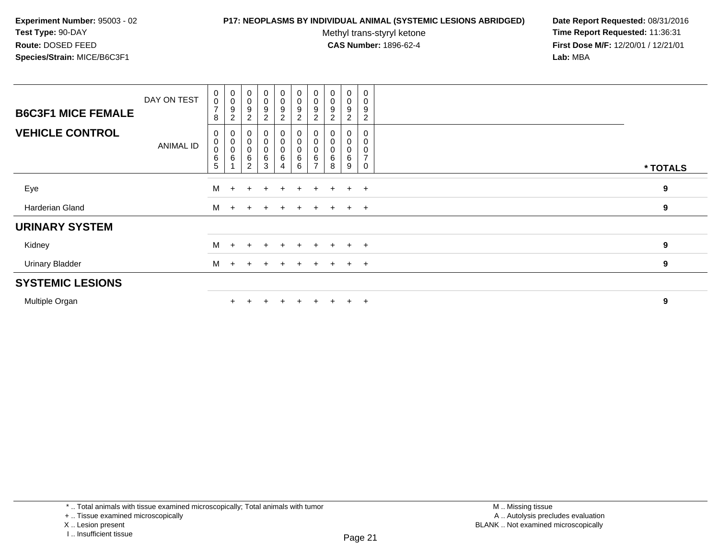### **P17: NEOPLASMS BY INDIVIDUAL ANIMAL (SYSTEMIC LESIONS ABRIDGED) Date Report Requested:** 08/31/2016

Methyl trans-styryl ketone<br>CAS Number: 1896-62-4

| <b>B6C3F1 MICE FEMALE</b><br><b>VEHICLE CONTROL</b> | DAY ON TEST<br>ANIMAL ID | 0<br>$\pmb{0}$<br>$\overline{ }$<br>8<br>0<br>0<br>$\,0\,$ | $_{\rm 0}^{\rm 0}$<br>$\boldsymbol{9}$<br>$\overline{c}$<br>$\begin{matrix} 0 \\ 0 \\ 0 \\ 6 \end{matrix}$ | $_{\rm 0}^{\rm 0}$<br>$\boldsymbol{9}$<br>$\overline{2}$<br>0<br>$\begin{smallmatrix}0\\0\end{smallmatrix}$ | 0<br>$\mathbf 0$<br>$\boldsymbol{9}$<br>2<br>0<br>$\pmb{0}$<br>$\pmb{0}$ | $\begin{smallmatrix} 0\\0 \end{smallmatrix}$<br>9<br>$\overline{2}$<br>0<br>0 | $\begin{smallmatrix}0\0\0\end{smallmatrix}$<br>$\boldsymbol{9}$<br>$\overline{2}$<br>0<br>$\begin{smallmatrix}0\\0\end{smallmatrix}$ | $\begin{smallmatrix} 0\\0 \end{smallmatrix}$<br>$\boldsymbol{9}$<br>$\overline{2}$<br>$\pmb{0}$<br>$\mathbf 0$ | $\begin{smallmatrix} 0\\0 \end{smallmatrix}$<br>9<br>$\begin{smallmatrix}0\\0\end{smallmatrix}$ | 0<br>$\pmb{0}$<br>9<br>2<br>0<br>0<br>0 | 0<br>9<br>2    |          |
|-----------------------------------------------------|--------------------------|------------------------------------------------------------|------------------------------------------------------------------------------------------------------------|-------------------------------------------------------------------------------------------------------------|--------------------------------------------------------------------------|-------------------------------------------------------------------------------|--------------------------------------------------------------------------------------------------------------------------------------|----------------------------------------------------------------------------------------------------------------|-------------------------------------------------------------------------------------------------|-----------------------------------------|----------------|----------|
|                                                     |                          | $\,6\,$<br>5                                               |                                                                                                            | $\,6\,$<br>$\overline{2}$                                                                                   | $\,6$<br>3                                                               | 6<br>4                                                                        | $\,6\,$<br>$6\phantom{1}6$                                                                                                           | $\,6$<br>$\overline{ }$                                                                                        | 6<br>8                                                                                          | 6<br>9                                  | $\overline{ }$ | * TOTALS |
| Eye                                                 |                          | м                                                          | $+$                                                                                                        | $\ddot{}$                                                                                                   | $\div$                                                                   | $+$                                                                           | $\pm$                                                                                                                                |                                                                                                                | $\pm$                                                                                           | $\pm$                                   | $+$            | 9        |
| Harderian Gland                                     |                          | M                                                          | $+$                                                                                                        |                                                                                                             |                                                                          | $+$                                                                           | $\pm$                                                                                                                                |                                                                                                                |                                                                                                 | $+$                                     | $+$            | 9        |
| <b>URINARY SYSTEM</b>                               |                          |                                                            |                                                                                                            |                                                                                                             |                                                                          |                                                                               |                                                                                                                                      |                                                                                                                |                                                                                                 |                                         |                |          |
| Kidney                                              |                          | M                                                          | $+$                                                                                                        |                                                                                                             |                                                                          | $+$                                                                           | $\ddot{}$                                                                                                                            |                                                                                                                |                                                                                                 | $+$                                     | $+$            | 9        |
| <b>Urinary Bladder</b>                              |                          | M                                                          | $\ddot{}$                                                                                                  | $\ddot{}$                                                                                                   | $\ddot{}$                                                                | $+$                                                                           | $+$                                                                                                                                  | $+$                                                                                                            | $+$                                                                                             | $+$                                     | $+$            | 9        |
| <b>SYSTEMIC LESIONS</b>                             |                          |                                                            |                                                                                                            |                                                                                                             |                                                                          |                                                                               |                                                                                                                                      |                                                                                                                |                                                                                                 |                                         |                |          |
| Multiple Organ                                      |                          |                                                            | $\pm$                                                                                                      |                                                                                                             | $\pm$                                                                    | $\pm$                                                                         | $+$                                                                                                                                  | $+$                                                                                                            | $+$                                                                                             | $+$                                     | $+$            | 9        |

I .. Insufficient tissue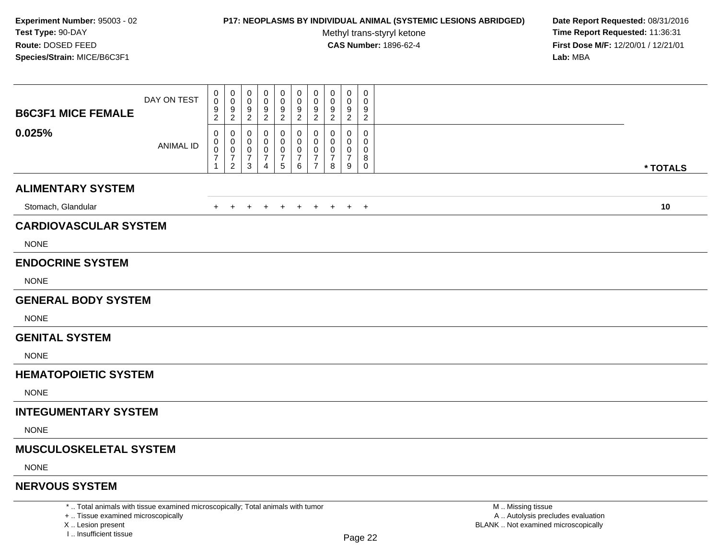### **P17: NEOPLASMS BY INDIVIDUAL ANIMAL (SYSTEMIC LESIONS ABRIDGED) Date Report Requested:** 08/31/2016

Methyl trans-styryl ketone<br>CAS Number: 1896-62-4

 **Time Report Requested:** 11:36:31 **First Dose M/F:** 12/20/01 / 12/21/01<br>**Lab:** MBA **Lab:** MBA

| <b>B6C3F1 MICE FEMALE</b>     | DAY ON TEST      | 0<br>0<br>$\frac{9}{2}$                                 | 0<br>0<br>9<br>$\overline{2}$                     | 0<br>0<br>9<br>$\overline{2}$ | $\mathbf 0$<br>0<br>9<br>$\overline{2}$ | 0<br>0<br>$\frac{9}{2}$              | $\mathbf 0$<br>0<br>$\frac{9}{2}$              | $\pmb{0}$<br>$\mathbf 0$<br>9<br>$\overline{2}$                     | $\mathbf 0$<br>0<br>9<br>$\overline{2}$ | $\mathbf 0$<br>0<br>9<br>$\overline{2}$ | $\mathbf 0$<br>0<br>9<br>$\overline{2}$ |          |  |
|-------------------------------|------------------|---------------------------------------------------------|---------------------------------------------------|-------------------------------|-----------------------------------------|--------------------------------------|------------------------------------------------|---------------------------------------------------------------------|-----------------------------------------|-----------------------------------------|-----------------------------------------|----------|--|
| 0.025%                        | <b>ANIMAL ID</b> | 0<br>0<br>$\pmb{0}$<br>$\boldsymbol{7}$<br>$\mathbf{1}$ | 0<br>0<br>0<br>$\boldsymbol{7}$<br>$\overline{2}$ | 0<br>0<br>0<br>7<br>3         | 0<br>0<br>$\overline{7}$<br>4           | 0<br>0<br>0<br>$\boldsymbol{7}$<br>5 | 0<br>$\mathbf 0$<br>0<br>$\boldsymbol{7}$<br>6 | 0<br>$\mathbf 0$<br>$\mathbf 0$<br>$\overline{7}$<br>$\overline{7}$ | 0<br>0<br>$\overline{7}$<br>8           | 0<br>0<br>0<br>$\overline{7}$<br>9      | 0<br>0<br>$\Omega$<br>8<br>$\mathbf 0$  | * TOTALS |  |
| <b>ALIMENTARY SYSTEM</b>      |                  |                                                         |                                                   |                               |                                         |                                      |                                                |                                                                     |                                         |                                         |                                         |          |  |
| Stomach, Glandular            |                  | $\pm$                                                   | $\pm$                                             | $\ddot{}$                     | $^+$                                    | $\overline{+}$                       | $^{+}$                                         | $+$                                                                 | $+$                                     |                                         | $+$ $+$                                 | 10       |  |
| <b>CARDIOVASCULAR SYSTEM</b>  |                  |                                                         |                                                   |                               |                                         |                                      |                                                |                                                                     |                                         |                                         |                                         |          |  |
| <b>NONE</b>                   |                  |                                                         |                                                   |                               |                                         |                                      |                                                |                                                                     |                                         |                                         |                                         |          |  |
| <b>ENDOCRINE SYSTEM</b>       |                  |                                                         |                                                   |                               |                                         |                                      |                                                |                                                                     |                                         |                                         |                                         |          |  |
| <b>NONE</b>                   |                  |                                                         |                                                   |                               |                                         |                                      |                                                |                                                                     |                                         |                                         |                                         |          |  |
| <b>GENERAL BODY SYSTEM</b>    |                  |                                                         |                                                   |                               |                                         |                                      |                                                |                                                                     |                                         |                                         |                                         |          |  |
| <b>NONE</b>                   |                  |                                                         |                                                   |                               |                                         |                                      |                                                |                                                                     |                                         |                                         |                                         |          |  |
| <b>GENITAL SYSTEM</b>         |                  |                                                         |                                                   |                               |                                         |                                      |                                                |                                                                     |                                         |                                         |                                         |          |  |
| <b>NONE</b>                   |                  |                                                         |                                                   |                               |                                         |                                      |                                                |                                                                     |                                         |                                         |                                         |          |  |
| <b>HEMATOPOIETIC SYSTEM</b>   |                  |                                                         |                                                   |                               |                                         |                                      |                                                |                                                                     |                                         |                                         |                                         |          |  |
| <b>NONE</b>                   |                  |                                                         |                                                   |                               |                                         |                                      |                                                |                                                                     |                                         |                                         |                                         |          |  |
| <b>INTEGUMENTARY SYSTEM</b>   |                  |                                                         |                                                   |                               |                                         |                                      |                                                |                                                                     |                                         |                                         |                                         |          |  |
| <b>NONE</b>                   |                  |                                                         |                                                   |                               |                                         |                                      |                                                |                                                                     |                                         |                                         |                                         |          |  |
| <b>MUSCULOSKELETAL SYSTEM</b> |                  |                                                         |                                                   |                               |                                         |                                      |                                                |                                                                     |                                         |                                         |                                         |          |  |
| <b>NONE</b>                   |                  |                                                         |                                                   |                               |                                         |                                      |                                                |                                                                     |                                         |                                         |                                         |          |  |
| <b>NERVOUS SYSTEM</b>         |                  |                                                         |                                                   |                               |                                         |                                      |                                                |                                                                     |                                         |                                         |                                         |          |  |

\* .. Total animals with tissue examined microscopically; Total animals with tumor

+ .. Tissue examined microscopically

X .. Lesion present

I .. Insufficient tissue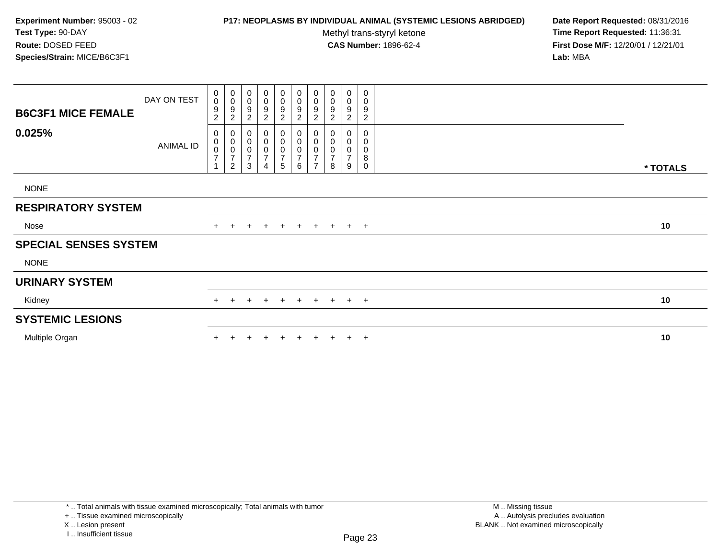## **P17: NEOPLASMS BY INDIVIDUAL ANIMAL (SYSTEMIC LESIONS ABRIDGED) Date Report Requested:** 08/31/2016

Methyl trans-styryl ketone<br>CAS Number: 1896-62-4

| <b>B6C3F1 MICE FEMALE</b>    | DAY ON TEST | $\begin{smallmatrix}0\0\0\end{smallmatrix}$<br>$\boldsymbol{9}$<br>$\overline{c}$ | $_{\rm 0}^{\rm 0}$<br>$\frac{9}{2}$                                  | 0<br>$\pmb{0}$<br>9<br>$\overline{c}$              | $\pmb{0}$<br>$\boldsymbol{0}$<br>9<br>$\overline{c}$        | $_0^0$<br>9<br>$\overline{c}$                         | 0<br>0<br>9<br>$\overline{a}$                             | $_{\rm 0}^{\rm 0}$<br>$\boldsymbol{9}$<br>$\sqrt{2}$                                  | 0<br>$\pmb{0}$<br>9<br>$\overline{c}$      | 0<br>$\boldsymbol{0}$<br>$\boldsymbol{9}$<br>$\overline{c}$ | 0<br>$\pmb{0}$<br>9<br>$\overline{c}$ |          |
|------------------------------|-------------|-----------------------------------------------------------------------------------|----------------------------------------------------------------------|----------------------------------------------------|-------------------------------------------------------------|-------------------------------------------------------|-----------------------------------------------------------|---------------------------------------------------------------------------------------|--------------------------------------------|-------------------------------------------------------------|---------------------------------------|----------|
| 0.025%                       | ANIMAL ID   | 0<br>$\begin{matrix} 0 \\ 0 \\ 7 \end{matrix}$                                    | $\pmb{0}$<br>$\begin{matrix} 0 \\ 0 \\ 7 \end{matrix}$<br>$\sqrt{2}$ | 0<br>$\pmb{0}$<br>$\pmb{0}$<br>$\overline{7}$<br>3 | 0<br>$\pmb{0}$<br>$\pmb{0}$<br>$\overline{\mathbf{7}}$<br>4 | 0<br>$\begin{bmatrix} 0 \\ 0 \\ 7 \end{bmatrix}$<br>5 | 0<br>$\pmb{0}$<br>0<br>$\boldsymbol{7}$<br>$6\phantom{a}$ | $\pmb{0}$<br>$\begin{matrix} 0 \\ 0 \end{matrix}$<br>$\overline{7}$<br>$\overline{z}$ | 0<br>$\pmb{0}$<br>0<br>$\overline{7}$<br>8 | 0<br>$\boldsymbol{0}$<br>0<br>$\overline{7}$<br>9           | 0<br>0<br>0<br>8<br>0                 | * TOTALS |
| <b>NONE</b>                  |             |                                                                                   |                                                                      |                                                    |                                                             |                                                       |                                                           |                                                                                       |                                            |                                                             |                                       |          |
| <b>RESPIRATORY SYSTEM</b>    |             |                                                                                   |                                                                      |                                                    |                                                             |                                                       |                                                           |                                                                                       |                                            |                                                             |                                       |          |
| Nose                         |             |                                                                                   |                                                                      | $\ddot{}$                                          | $+$                                                         | $+$                                                   | $+$ $+$ $+$                                               |                                                                                       |                                            |                                                             | $+$ $+$                               | 10       |
| <b>SPECIAL SENSES SYSTEM</b> |             |                                                                                   |                                                                      |                                                    |                                                             |                                                       |                                                           |                                                                                       |                                            |                                                             |                                       |          |
| <b>NONE</b>                  |             |                                                                                   |                                                                      |                                                    |                                                             |                                                       |                                                           |                                                                                       |                                            |                                                             |                                       |          |
| <b>URINARY SYSTEM</b>        |             |                                                                                   |                                                                      |                                                    |                                                             |                                                       |                                                           |                                                                                       |                                            |                                                             |                                       |          |
| Kidney                       |             | $+$                                                                               | $\pm$                                                                | $\ddot{}$                                          | $\pm$                                                       | $\pm$                                                 | $+$                                                       | $+$                                                                                   | $+$                                        |                                                             | $+$ $+$                               | 10       |
| <b>SYSTEMIC LESIONS</b>      |             |                                                                                   |                                                                      |                                                    |                                                             |                                                       |                                                           |                                                                                       |                                            |                                                             |                                       |          |
| Multiple Organ               |             |                                                                                   |                                                                      |                                                    |                                                             | $\pm$                                                 | $+$                                                       | $+$                                                                                   | $+$                                        |                                                             | $+$ $+$                               | 10       |
|                              |             |                                                                                   |                                                                      |                                                    |                                                             |                                                       |                                                           |                                                                                       |                                            |                                                             |                                       |          |

<sup>+ ..</sup> Tissue examined microscopically

X .. Lesion present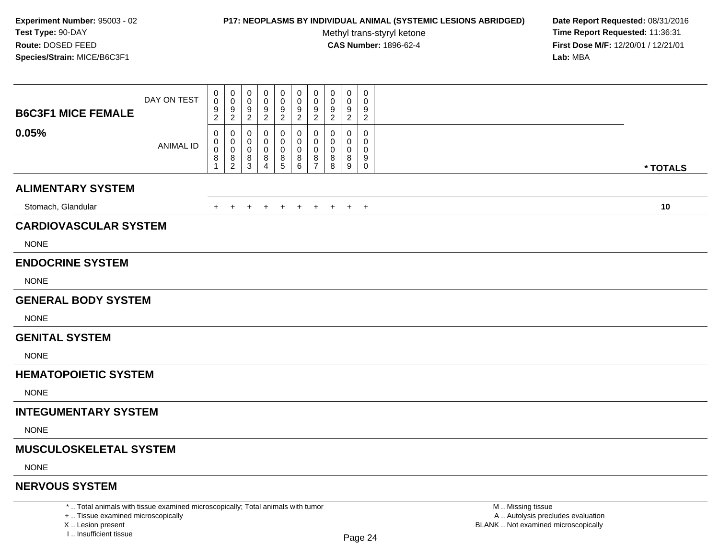### **P17: NEOPLASMS BY INDIVIDUAL ANIMAL (SYSTEMIC LESIONS ABRIDGED) Date Report Requested:** 08/31/2016

Methyl trans-styryl ketone<br>CAS Number: 1896-62-4

 **Time Report Requested:** 11:36:31 **First Dose M/F:** 12/20/01 / 12/21/01<br>Lab: MBA **Lab:** MBA

| <b>B6C3F1 MICE FEMALE</b>     | DAY ON TEST      | 0<br>$\mathbf 0$<br>9<br>$\overline{c}$ | 0<br>$\mathbf 0$<br>9<br>$\overline{2}$                       | 0<br>0<br>9<br>$\overline{2}$ | 0<br>0<br>9<br>$\overline{2}$ | 0<br>0<br>9<br>$\overline{2}$ | 0<br>$\mathbf 0$<br>9<br>$\overline{2}$ | 0<br>$\mathbf 0$<br>9<br>$\overline{2}$             | 0<br>0<br>9<br>$\overline{2}$ | 0<br>0<br>9<br>$\overline{c}$ | 0<br>0<br>9<br>$\overline{2}$                  |          |  |
|-------------------------------|------------------|-----------------------------------------|---------------------------------------------------------------|-------------------------------|-------------------------------|-------------------------------|-----------------------------------------|-----------------------------------------------------|-------------------------------|-------------------------------|------------------------------------------------|----------|--|
| 0.05%                         | <b>ANIMAL ID</b> | 0<br>0<br>0<br>8<br>1                   | 0<br>0<br>0<br>$\begin{smallmatrix} 8 \\ 2 \end{smallmatrix}$ | 0<br>0<br>0<br>8<br>3         | 0<br>0<br>$_{4}^{8}$          | 0<br>0<br>0<br>$^8_5$         | 0<br>0<br>0<br>$^8_6$                   | 0<br>$\Omega$<br>$\mathbf 0$<br>8<br>$\overline{7}$ | 0<br>0<br>0<br>8<br>8         | 0<br>0<br>0<br>8<br>9         | 0<br>$\Omega$<br>0<br>9<br>$\mathsf{O}\xspace$ | * TOTALS |  |
| <b>ALIMENTARY SYSTEM</b>      |                  |                                         |                                                               |                               |                               |                               |                                         |                                                     |                               |                               |                                                |          |  |
| Stomach, Glandular            |                  | $+$                                     | $^{+}$                                                        | $+$                           | $+$                           | $+$                           | $+$                                     | $+$                                                 | $+$                           |                               | $+$ $+$                                        | 10       |  |
| <b>CARDIOVASCULAR SYSTEM</b>  |                  |                                         |                                                               |                               |                               |                               |                                         |                                                     |                               |                               |                                                |          |  |
| <b>NONE</b>                   |                  |                                         |                                                               |                               |                               |                               |                                         |                                                     |                               |                               |                                                |          |  |
| <b>ENDOCRINE SYSTEM</b>       |                  |                                         |                                                               |                               |                               |                               |                                         |                                                     |                               |                               |                                                |          |  |
| <b>NONE</b>                   |                  |                                         |                                                               |                               |                               |                               |                                         |                                                     |                               |                               |                                                |          |  |
| <b>GENERAL BODY SYSTEM</b>    |                  |                                         |                                                               |                               |                               |                               |                                         |                                                     |                               |                               |                                                |          |  |
| <b>NONE</b>                   |                  |                                         |                                                               |                               |                               |                               |                                         |                                                     |                               |                               |                                                |          |  |
| <b>GENITAL SYSTEM</b>         |                  |                                         |                                                               |                               |                               |                               |                                         |                                                     |                               |                               |                                                |          |  |
| <b>NONE</b>                   |                  |                                         |                                                               |                               |                               |                               |                                         |                                                     |                               |                               |                                                |          |  |
| <b>HEMATOPOIETIC SYSTEM</b>   |                  |                                         |                                                               |                               |                               |                               |                                         |                                                     |                               |                               |                                                |          |  |
| <b>NONE</b>                   |                  |                                         |                                                               |                               |                               |                               |                                         |                                                     |                               |                               |                                                |          |  |
| <b>INTEGUMENTARY SYSTEM</b>   |                  |                                         |                                                               |                               |                               |                               |                                         |                                                     |                               |                               |                                                |          |  |
| <b>NONE</b>                   |                  |                                         |                                                               |                               |                               |                               |                                         |                                                     |                               |                               |                                                |          |  |
| <b>MUSCULOSKELETAL SYSTEM</b> |                  |                                         |                                                               |                               |                               |                               |                                         |                                                     |                               |                               |                                                |          |  |
| <b>NONE</b>                   |                  |                                         |                                                               |                               |                               |                               |                                         |                                                     |                               |                               |                                                |          |  |
| <b>NERVOUS SYSTEM</b>         |                  |                                         |                                                               |                               |                               |                               |                                         |                                                     |                               |                               |                                                |          |  |

\* .. Total animals with tissue examined microscopically; Total animals with tumor

+ .. Tissue examined microscopically

X .. Lesion present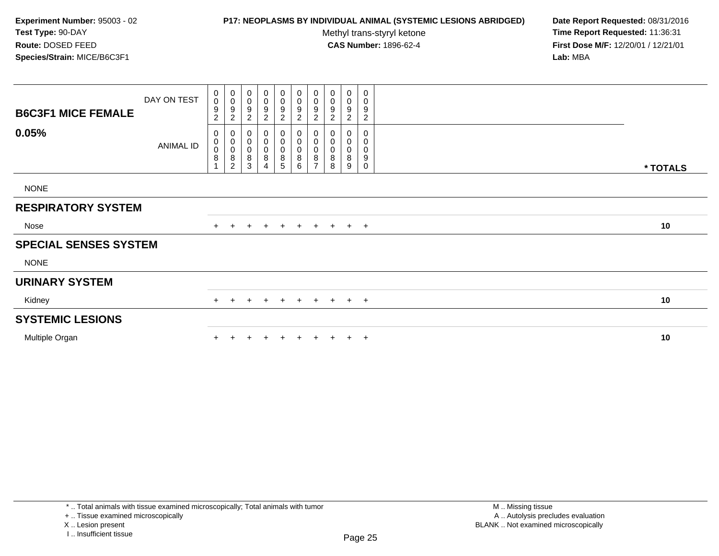## **P17: NEOPLASMS BY INDIVIDUAL ANIMAL (SYSTEMIC LESIONS ABRIDGED) Date Report Requested:** 08/31/2016

Methyl trans-styryl ketone<br>CAS Number: 1896-62-4

| <b>B6C3F1 MICE FEMALE</b>    | DAY ON TEST | $\begin{smallmatrix}0\0\0\end{smallmatrix}$<br>9<br>$\overline{c}$ | $\pmb{0}$<br>$\mathbf 0$<br>$\frac{9}{2}$                                | 0<br>$\pmb{0}$<br>9<br>$\overline{c}$ | $\pmb{0}$<br>$\boldsymbol{0}$<br>9<br>$\overline{c}$            | 0<br>$\pmb{0}$<br>9<br>$\overline{c}$ | 0<br>0<br>9<br>$\overline{a}$      | $_{\rm 0}^{\rm 0}$<br>$\boldsymbol{9}$<br>$\sqrt{2}$                     | 0<br>$\pmb{0}$<br>9<br>$\overline{c}$ | 0<br>$\boldsymbol{0}$<br>$\boldsymbol{9}$<br>$\overline{c}$ | 0<br>$\pmb{0}$<br>9<br>$\overline{c}$ |          |
|------------------------------|-------------|--------------------------------------------------------------------|--------------------------------------------------------------------------|---------------------------------------|-----------------------------------------------------------------|---------------------------------------|------------------------------------|--------------------------------------------------------------------------|---------------------------------------|-------------------------------------------------------------|---------------------------------------|----------|
| 0.05%                        | ANIMAL ID   | 0<br>$_{\rm 0}^{\rm 0}$<br>8                                       | $\pmb{0}$<br>$\begin{matrix} 0 \\ 0 \\ 8 \end{matrix}$<br>$\overline{c}$ | 0<br>$\pmb{0}$<br>$\pmb{0}$<br>8<br>3 | 0<br>$\boldsymbol{0}$<br>$\pmb{0}$<br>$\bf 8$<br>$\overline{4}$ | 0<br>$\pmb{0}$<br>$\pmb{0}$<br>8<br>5 | 0<br>0<br>0<br>8<br>$6\phantom{a}$ | $\pmb{0}$<br>$\begin{matrix} 0 \\ 0 \\ 8 \end{matrix}$<br>$\overline{ }$ | 0<br>0<br>0<br>8<br>8                 | 0<br>0<br>0<br>8<br>9                                       | $\mathbf 0$<br>0<br>0<br>9<br>0       | * TOTALS |
| <b>NONE</b>                  |             |                                                                    |                                                                          |                                       |                                                                 |                                       |                                    |                                                                          |                                       |                                                             |                                       |          |
| <b>RESPIRATORY SYSTEM</b>    |             |                                                                    |                                                                          |                                       |                                                                 |                                       |                                    |                                                                          |                                       |                                                             |                                       |          |
| Nose                         |             |                                                                    |                                                                          | $\ddot{}$                             | $+$                                                             | $+$                                   | $+$ $+$ $+$                        |                                                                          |                                       |                                                             | $+$ $+$                               | 10       |
| <b>SPECIAL SENSES SYSTEM</b> |             |                                                                    |                                                                          |                                       |                                                                 |                                       |                                    |                                                                          |                                       |                                                             |                                       |          |
| <b>NONE</b>                  |             |                                                                    |                                                                          |                                       |                                                                 |                                       |                                    |                                                                          |                                       |                                                             |                                       |          |
| <b>URINARY SYSTEM</b>        |             |                                                                    |                                                                          |                                       |                                                                 |                                       |                                    |                                                                          |                                       |                                                             |                                       |          |
| Kidney                       |             | $+$                                                                | $\pm$                                                                    | $\ddot{}$                             | $\pm$                                                           | $\pm$                                 | $+$                                | $+$                                                                      | $+$                                   |                                                             | $+$ $+$                               | 10       |
| <b>SYSTEMIC LESIONS</b>      |             |                                                                    |                                                                          |                                       |                                                                 |                                       |                                    |                                                                          |                                       |                                                             |                                       |          |
| Multiple Organ               |             |                                                                    |                                                                          |                                       |                                                                 | $\pm$                                 | $+$                                | $+$                                                                      | $+$                                   |                                                             | $+$ $+$                               | 10       |
|                              |             |                                                                    |                                                                          |                                       |                                                                 |                                       |                                    |                                                                          |                                       |                                                             |                                       |          |

<sup>+ ..</sup> Tissue examined microscopically

X .. Lesion present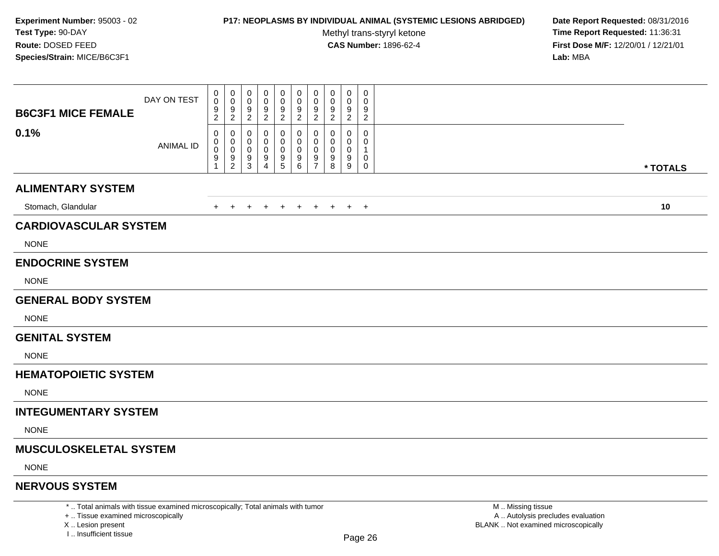### **P17: NEOPLASMS BY INDIVIDUAL ANIMAL (SYSTEMIC LESIONS ABRIDGED) Date Report Requested:** 08/31/2016

Methyl trans-styryl ketone<br>CAS Number: 1896-62-4

 **Time Report Requested:** 11:36:31 **First Dose M/F:** 12/20/01 / 12/21/01<br>**Lab:** MBA **Lab:** MBA

| <b>B6C3F1 MICE FEMALE</b><br>0.1% | DAY ON TEST<br><b>ANIMAL ID</b> | 0<br>0<br>9<br>$\overline{c}$<br>0<br>0<br>0 | 0<br>0<br>9<br>$\overline{2}$<br>0<br>0<br>$\boldsymbol{0}$ | 0<br>0<br>9<br>$\overline{2}$<br>0<br>0<br>0 | 0<br>0<br>9<br>$\overline{2}$<br>0<br>0<br>0 | 0<br>$\mathbf 0$<br>9<br>$\overline{2}$<br>0<br>0<br>0 | 0<br>0<br>9<br>$\overline{2}$<br>0<br>0<br>0 | 0<br>$\mathbf 0$<br>9<br>$\overline{2}$<br>0<br>$\mathbf 0$<br>$\Omega$ | 0<br>0<br>9<br>$\boldsymbol{2}$<br>0<br>$\Omega$<br>0 | 0<br>0<br>9<br>$\overline{2}$<br>0<br>0<br>0 | 0<br>$\mathbf 0$<br>9<br>$\mathbf{2}$<br>0<br>0<br>1 |          |
|-----------------------------------|---------------------------------|----------------------------------------------|-------------------------------------------------------------|----------------------------------------------|----------------------------------------------|--------------------------------------------------------|----------------------------------------------|-------------------------------------------------------------------------|-------------------------------------------------------|----------------------------------------------|------------------------------------------------------|----------|
|                                   |                                 | 9<br>1                                       | $\boldsymbol{9}$<br>$\overline{2}$                          | 9<br>3                                       | $\frac{9}{4}$                                | $\begin{array}{c} 9 \\ 5 \end{array}$                  | $^9$ 6                                       | $9\,$<br>$\overline{7}$                                                 | 9<br>8                                                | 9<br>9                                       | 0<br>$\mathsf{O}\xspace$                             | * TOTALS |
| <b>ALIMENTARY SYSTEM</b>          |                                 |                                              |                                                             |                                              |                                              |                                                        |                                              |                                                                         |                                                       |                                              |                                                      |          |
| Stomach, Glandular                |                                 | +                                            | $+$                                                         | $\ddot{}$                                    | $\ddot{}$                                    | $+$                                                    | $+$                                          | $+$                                                                     | $+$                                                   |                                              | $+$ $+$                                              | 10       |
| <b>CARDIOVASCULAR SYSTEM</b>      |                                 |                                              |                                                             |                                              |                                              |                                                        |                                              |                                                                         |                                                       |                                              |                                                      |          |
| <b>NONE</b>                       |                                 |                                              |                                                             |                                              |                                              |                                                        |                                              |                                                                         |                                                       |                                              |                                                      |          |
| <b>ENDOCRINE SYSTEM</b>           |                                 |                                              |                                                             |                                              |                                              |                                                        |                                              |                                                                         |                                                       |                                              |                                                      |          |
| <b>NONE</b>                       |                                 |                                              |                                                             |                                              |                                              |                                                        |                                              |                                                                         |                                                       |                                              |                                                      |          |
| <b>GENERAL BODY SYSTEM</b>        |                                 |                                              |                                                             |                                              |                                              |                                                        |                                              |                                                                         |                                                       |                                              |                                                      |          |
| <b>NONE</b>                       |                                 |                                              |                                                             |                                              |                                              |                                                        |                                              |                                                                         |                                                       |                                              |                                                      |          |
| <b>GENITAL SYSTEM</b>             |                                 |                                              |                                                             |                                              |                                              |                                                        |                                              |                                                                         |                                                       |                                              |                                                      |          |
| <b>NONE</b>                       |                                 |                                              |                                                             |                                              |                                              |                                                        |                                              |                                                                         |                                                       |                                              |                                                      |          |
| <b>HEMATOPOIETIC SYSTEM</b>       |                                 |                                              |                                                             |                                              |                                              |                                                        |                                              |                                                                         |                                                       |                                              |                                                      |          |
| <b>NONE</b>                       |                                 |                                              |                                                             |                                              |                                              |                                                        |                                              |                                                                         |                                                       |                                              |                                                      |          |
| <b>INTEGUMENTARY SYSTEM</b>       |                                 |                                              |                                                             |                                              |                                              |                                                        |                                              |                                                                         |                                                       |                                              |                                                      |          |
| <b>NONE</b>                       |                                 |                                              |                                                             |                                              |                                              |                                                        |                                              |                                                                         |                                                       |                                              |                                                      |          |
| <b>MUSCULOSKELETAL SYSTEM</b>     |                                 |                                              |                                                             |                                              |                                              |                                                        |                                              |                                                                         |                                                       |                                              |                                                      |          |
| <b>NONE</b>                       |                                 |                                              |                                                             |                                              |                                              |                                                        |                                              |                                                                         |                                                       |                                              |                                                      |          |
| <b>NERVOUS SYSTEM</b>             |                                 |                                              |                                                             |                                              |                                              |                                                        |                                              |                                                                         |                                                       |                                              |                                                      |          |

\* .. Total animals with tissue examined microscopically; Total animals with tumor

+ .. Tissue examined microscopically

X .. Lesion present

I .. Insufficient tissue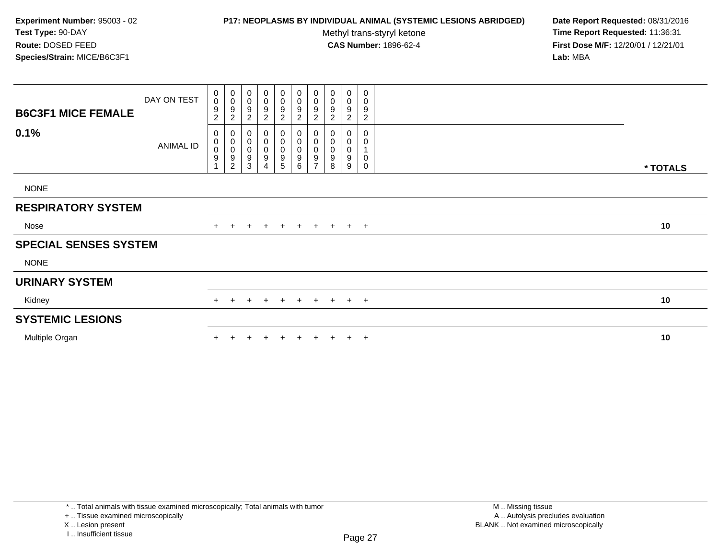## **P17: NEOPLASMS BY INDIVIDUAL ANIMAL (SYSTEMIC LESIONS ABRIDGED) Date Report Requested:** 08/31/2016

Methyl trans-styryl ketone<br>CAS Number: 1896-62-4

| <b>B6C3F1 MICE FEMALE</b>    | DAY ON TEST | $\begin{smallmatrix}0\0\0\end{smallmatrix}$<br>$\boldsymbol{9}$<br>$\overline{c}$ | $_{\rm 0}^{\rm 0}$<br>$\frac{9}{2}$                                | 0<br>$\pmb{0}$<br>9<br>$\overline{c}$ | $\pmb{0}$<br>$\boldsymbol{0}$<br>9<br>$\overline{c}$        | $_0^0$<br>9<br>$\overline{c}$         | 0<br>0<br>9<br>$\overline{a}$ | $_{\rm 0}^{\rm 0}$<br>$\boldsymbol{9}$<br>$\sqrt{2}$                         | 0<br>$\pmb{0}$<br>9<br>$\overline{c}$ | 0<br>$\boldsymbol{0}$<br>$\boldsymbol{9}$<br>$\overline{c}$ | 0<br>$\pmb{0}$<br>9<br>$\overline{c}$ |          |
|------------------------------|-------------|-----------------------------------------------------------------------------------|--------------------------------------------------------------------|---------------------------------------|-------------------------------------------------------------|---------------------------------------|-------------------------------|------------------------------------------------------------------------------|---------------------------------------|-------------------------------------------------------------|---------------------------------------|----------|
| 0.1%                         | ANIMAL ID   | 0<br>$_{\rm 0}^{\rm 0}$<br>$\boldsymbol{9}$                                       | $\pmb{0}$<br>$\begin{matrix}0\\0\\9\end{matrix}$<br>$\overline{c}$ | 0<br>$\pmb{0}$<br>$\pmb{0}$<br>9<br>3 | 0<br>$\boldsymbol{0}$<br>$\pmb{0}$<br>$\boldsymbol{9}$<br>4 | 0<br>$\pmb{0}$<br>$\pmb{0}$<br>9<br>5 | 0<br>0<br>0<br>9<br>6         | $\pmb{0}$<br>$\begin{smallmatrix}0\\0\\9\end{smallmatrix}$<br>$\overline{z}$ | 0<br>0<br>$\pmb{0}$<br>9<br>8         | 0<br>$\boldsymbol{0}$<br>0<br>9<br>9                        | 0<br>0<br>$\pmb{0}$<br>0              | * TOTALS |
| <b>NONE</b>                  |             |                                                                                   |                                                                    |                                       |                                                             |                                       |                               |                                                                              |                                       |                                                             |                                       |          |
| <b>RESPIRATORY SYSTEM</b>    |             |                                                                                   |                                                                    |                                       |                                                             |                                       |                               |                                                                              |                                       |                                                             |                                       |          |
| Nose                         |             |                                                                                   |                                                                    | $\ddot{}$                             | $+$                                                         | $+$                                   | + + + + +                     |                                                                              |                                       |                                                             |                                       | 10       |
| <b>SPECIAL SENSES SYSTEM</b> |             |                                                                                   |                                                                    |                                       |                                                             |                                       |                               |                                                                              |                                       |                                                             |                                       |          |
| <b>NONE</b>                  |             |                                                                                   |                                                                    |                                       |                                                             |                                       |                               |                                                                              |                                       |                                                             |                                       |          |
| <b>URINARY SYSTEM</b>        |             |                                                                                   |                                                                    |                                       |                                                             |                                       |                               |                                                                              |                                       |                                                             |                                       |          |
| Kidney                       |             | $+$                                                                               | $\pm$                                                              | $\ddot{}$                             | $\pm$                                                       | $\pm$                                 | $+$                           | $+$                                                                          | $+$                                   |                                                             | $+$ $+$                               | 10       |
| <b>SYSTEMIC LESIONS</b>      |             |                                                                                   |                                                                    |                                       |                                                             |                                       |                               |                                                                              |                                       |                                                             |                                       |          |
| Multiple Organ               |             |                                                                                   |                                                                    |                                       |                                                             | $\pm$                                 | $+$                           | $+$                                                                          | $+$                                   |                                                             | $+$ $+$                               | 10       |
|                              |             |                                                                                   |                                                                    |                                       |                                                             |                                       |                               |                                                                              |                                       |                                                             |                                       |          |

<sup>+ ..</sup> Tissue examined microscopically

X .. Lesion present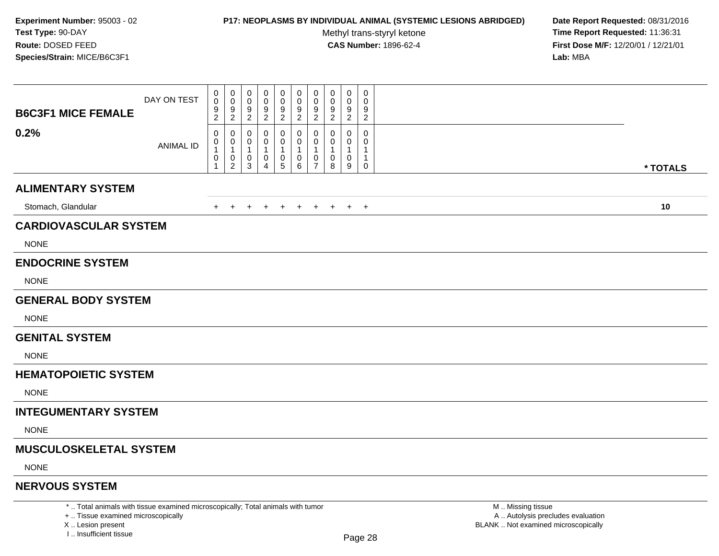### **P17: NEOPLASMS BY INDIVIDUAL ANIMAL (SYSTEMIC LESIONS ABRIDGED) Date Report Requested:** 08/31/2016

Methyl trans-styryl ketone<br>CAS Number: 1896-62-4

 **Time Report Requested:** 11:36:31 **First Dose M/F:** 12/20/01 / 12/21/01<br>**Lab:** MBA **Lab:** MBA

| <b>B6C3F1 MICE FEMALE</b><br>0.2% | DAY ON TEST      | 0<br>$\mathbf 0$<br>$\boldsymbol{9}$<br>$\overline{2}$<br>0 | 0<br>0<br>9<br>$\overline{c}$<br>0                  | 0<br>0<br>9<br>$\overline{2}$<br>0            | 0<br>0<br>9<br>$\overline{2}$<br>0 | 0<br>0<br>9<br>$\overline{2}$<br>0     | 0<br>$\mathbf 0$<br>9<br>$\overline{2}$<br>0 | $\pmb{0}$<br>$\mathbf 0$<br>$9\,$<br>$\overline{2}$<br>0 | 0<br>0<br>9<br>$\overline{2}$<br>0 | 0<br>0<br>9<br>$\overline{2}$<br>0 | 0<br>0<br>9<br>$\overline{2}$<br>0 |          |
|-----------------------------------|------------------|-------------------------------------------------------------|-----------------------------------------------------|-----------------------------------------------|------------------------------------|----------------------------------------|----------------------------------------------|----------------------------------------------------------|------------------------------------|------------------------------------|------------------------------------|----------|
|                                   | <b>ANIMAL ID</b> | 0<br>$\mathbf{1}$<br>$\,0\,$<br>$\mathbf{1}$                | 0<br>$\mathbf{1}$<br>$\boldsymbol{0}$<br>$\sqrt{2}$ | 0<br>$\mathbf 1$<br>$\pmb{0}$<br>$\mathbf{3}$ | 1<br>$\mathbf 0$<br>4              | 0<br>1<br>$\pmb{0}$<br>$5\phantom{.0}$ | 0<br>1<br>0<br>6                             | 0<br>$\overline{1}$<br>0<br>$\overline{7}$               | -1<br>0<br>8                       | 0<br>1<br>$\mathbf 0$<br>9         | 0<br>1<br>0                        | * TOTALS |
| <b>ALIMENTARY SYSTEM</b>          |                  |                                                             |                                                     |                                               |                                    |                                        |                                              |                                                          |                                    |                                    |                                    |          |
| Stomach, Glandular                |                  | $\ddot{}$                                                   |                                                     | $\pm$                                         | $\ddot{}$                          | $\overline{+}$                         | $\ddot{}$                                    | $+$                                                      | $+$                                | $+$                                | $+$                                | 10       |
| <b>CARDIOVASCULAR SYSTEM</b>      |                  |                                                             |                                                     |                                               |                                    |                                        |                                              |                                                          |                                    |                                    |                                    |          |
| <b>NONE</b>                       |                  |                                                             |                                                     |                                               |                                    |                                        |                                              |                                                          |                                    |                                    |                                    |          |
| <b>ENDOCRINE SYSTEM</b>           |                  |                                                             |                                                     |                                               |                                    |                                        |                                              |                                                          |                                    |                                    |                                    |          |
| <b>NONE</b>                       |                  |                                                             |                                                     |                                               |                                    |                                        |                                              |                                                          |                                    |                                    |                                    |          |
| <b>GENERAL BODY SYSTEM</b>        |                  |                                                             |                                                     |                                               |                                    |                                        |                                              |                                                          |                                    |                                    |                                    |          |
| <b>NONE</b>                       |                  |                                                             |                                                     |                                               |                                    |                                        |                                              |                                                          |                                    |                                    |                                    |          |
| <b>GENITAL SYSTEM</b>             |                  |                                                             |                                                     |                                               |                                    |                                        |                                              |                                                          |                                    |                                    |                                    |          |
| <b>NONE</b>                       |                  |                                                             |                                                     |                                               |                                    |                                        |                                              |                                                          |                                    |                                    |                                    |          |
| <b>HEMATOPOIETIC SYSTEM</b>       |                  |                                                             |                                                     |                                               |                                    |                                        |                                              |                                                          |                                    |                                    |                                    |          |
| <b>NONE</b>                       |                  |                                                             |                                                     |                                               |                                    |                                        |                                              |                                                          |                                    |                                    |                                    |          |
| <b>INTEGUMENTARY SYSTEM</b>       |                  |                                                             |                                                     |                                               |                                    |                                        |                                              |                                                          |                                    |                                    |                                    |          |
| <b>NONE</b>                       |                  |                                                             |                                                     |                                               |                                    |                                        |                                              |                                                          |                                    |                                    |                                    |          |
| <b>MUSCULOSKELETAL SYSTEM</b>     |                  |                                                             |                                                     |                                               |                                    |                                        |                                              |                                                          |                                    |                                    |                                    |          |
| <b>NONE</b>                       |                  |                                                             |                                                     |                                               |                                    |                                        |                                              |                                                          |                                    |                                    |                                    |          |
| <b>NERVOUS SYSTEM</b>             |                  |                                                             |                                                     |                                               |                                    |                                        |                                              |                                                          |                                    |                                    |                                    |          |

\* .. Total animals with tissue examined microscopically; Total animals with tumor

+ .. Tissue examined microscopically

X .. Lesion present

I .. Insufficient tissue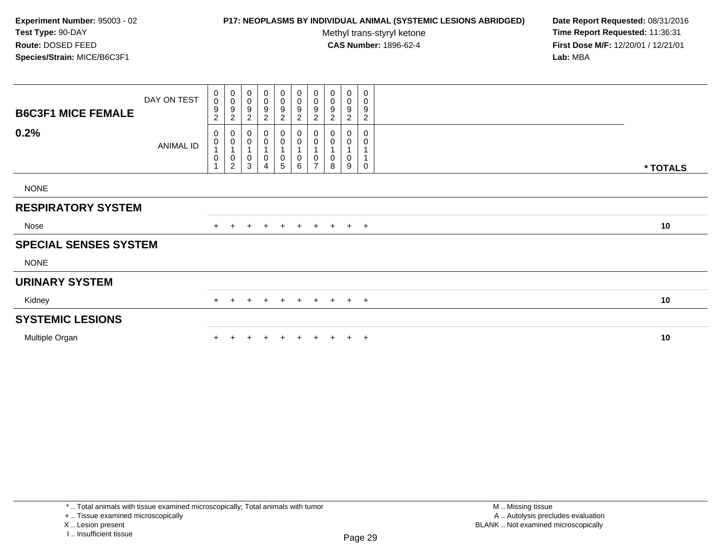## **P17: NEOPLASMS BY INDIVIDUAL ANIMAL (SYSTEMIC LESIONS ABRIDGED) Date Report Requested:** 08/31/2016

Methyl trans-styryl ketone<br>CAS Number: 1896-62-4

| <b>B6C3F1 MICE FEMALE</b>    | DAY ON TEST      | $\begin{smallmatrix} 0\\0 \end{smallmatrix}$<br>$\boldsymbol{9}$<br>$\overline{c}$ | $_{\rm 0}^{\rm 0}$<br>$\frac{9}{2}$                                   | 0<br>$\pmb{0}$<br>9<br>$\overline{c}$ | $\pmb{0}$<br>$\boldsymbol{0}$<br>$\boldsymbol{9}$<br>$\overline{c}$ | $_0^0$<br>9<br>$\overline{c}$         | 0<br>0<br>9<br>$\overline{a}$   | $_{\rm 0}^{\rm 0}$<br>$\boldsymbol{9}$<br>$\sqrt{2}$                    | 0<br>$\pmb{0}$<br>9<br>$\overline{c}$ | 0<br>$\boldsymbol{0}$<br>$\boldsymbol{9}$<br>$\overline{c}$ | 0<br>$\pmb{0}$<br>9<br>$\overline{c}$ |          |
|------------------------------|------------------|------------------------------------------------------------------------------------|-----------------------------------------------------------------------|---------------------------------------|---------------------------------------------------------------------|---------------------------------------|---------------------------------|-------------------------------------------------------------------------|---------------------------------------|-------------------------------------------------------------|---------------------------------------|----------|
| 0.2%                         | <b>ANIMAL ID</b> | 0<br>$\pmb{0}$<br>1<br>$\mathbf 0$                                                 | $\pmb{0}$<br>$\pmb{0}$<br>$\mathbf{1}$<br>$\pmb{0}$<br>$\overline{c}$ | 0<br>0<br>0<br>3                      | 0<br>0<br>$\pmb{0}$<br>4                                            | 0<br>$\pmb{0}$<br>1<br>$\pmb{0}$<br>5 | 0<br>$\boldsymbol{0}$<br>0<br>6 | $\pmb{0}$<br>$\pmb{0}$<br>$\overline{1}$<br>$\pmb{0}$<br>$\overline{z}$ | 0<br>0<br>1<br>0<br>8                 | 0<br>0<br>$\pmb{0}$<br>9                                    | $\mathbf 0$<br>0<br>$\mathbf 0$       |          |
| <b>NONE</b>                  |                  |                                                                                    |                                                                       |                                       |                                                                     |                                       |                                 |                                                                         |                                       |                                                             |                                       | * TOTALS |
| <b>RESPIRATORY SYSTEM</b>    |                  |                                                                                    |                                                                       |                                       |                                                                     |                                       |                                 |                                                                         |                                       |                                                             |                                       |          |
| Nose                         |                  |                                                                                    |                                                                       | $\ddot{}$                             | $+$                                                                 | $+$                                   | + + + + +                       |                                                                         |                                       |                                                             |                                       | 10       |
| <b>SPECIAL SENSES SYSTEM</b> |                  |                                                                                    |                                                                       |                                       |                                                                     |                                       |                                 |                                                                         |                                       |                                                             |                                       |          |
| <b>NONE</b>                  |                  |                                                                                    |                                                                       |                                       |                                                                     |                                       |                                 |                                                                         |                                       |                                                             |                                       |          |
| <b>URINARY SYSTEM</b>        |                  |                                                                                    |                                                                       |                                       |                                                                     |                                       |                                 |                                                                         |                                       |                                                             |                                       |          |
| Kidney                       |                  | $+$                                                                                | $\pm$                                                                 | $\div$                                | $\pm$                                                               | $\pm$                                 | $+$                             | $+$                                                                     | $+$                                   |                                                             | $+$ $+$                               | 10       |
| <b>SYSTEMIC LESIONS</b>      |                  |                                                                                    |                                                                       |                                       |                                                                     |                                       |                                 |                                                                         |                                       |                                                             |                                       |          |
| Multiple Organ               |                  |                                                                                    |                                                                       |                                       |                                                                     | $\pm$                                 | $+$                             | $+$                                                                     | $+$                                   |                                                             | $+$ $+$                               | 10       |
|                              |                  |                                                                                    |                                                                       |                                       |                                                                     |                                       |                                 |                                                                         |                                       |                                                             |                                       |          |

<sup>+ ..</sup> Tissue examined microscopically

X .. Lesion present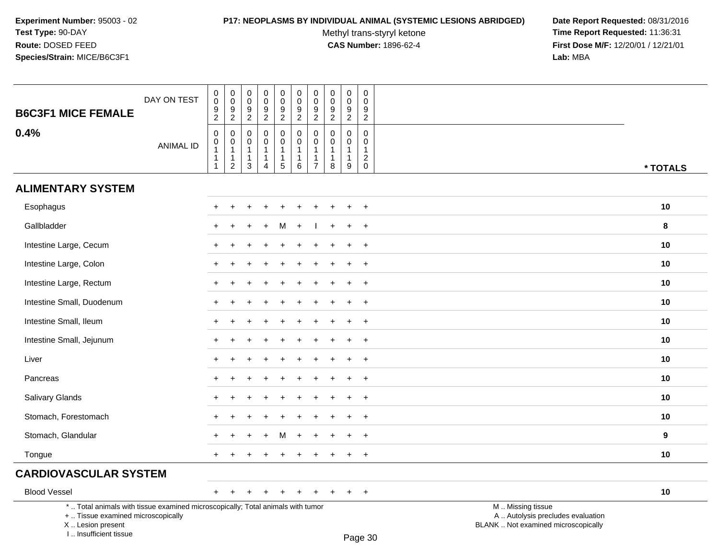I .. Insufficient tissue

# **P17: NEOPLASMS BY INDIVIDUAL ANIMAL (SYSTEMIC LESIONS ABRIDGED) Date Report Requested:** 08/31/2016

Methyl trans-styryl ketone<br>CAS Number: 1896-62-4

 **Time Report Requested:** 11:36:31 **First Dose M/F:** 12/20/01 / 12/21/01<br>Lab: MBA **Lab:** MBA

| <b>B6C3F1 MICE FEMALE</b>                                                                                                                  | DAY ON TEST      | 0<br>0<br>$\frac{9}{2}$                         | $\begin{smallmatrix} 0\\0 \end{smallmatrix}$<br>$\frac{9}{2}$                | $\pmb{0}$<br>$\mathbf 0$<br>9<br>$\overline{2}$       | $\mathbf 0$<br>$\mathbf 0$<br>9<br>$\overline{2}$               | $\pmb{0}$<br>$\mathbf 0$<br>$\frac{9}{2}$             | 0<br>$\mathbf 0$<br>$\frac{9}{2}$                     | $\pmb{0}$<br>$\mathsf{O}\xspace$<br>$\frac{9}{2}$                         | $\mathbf 0$<br>$\mathbf 0$<br>$\frac{9}{2}$                     | $\pmb{0}$<br>$\mathbf 0$<br>$\frac{9}{2}$                       | $\mathbf 0$<br>$\mathbf 0$<br>$\boldsymbol{9}$<br>$\overline{2}$    |                                                                                               |                  |
|--------------------------------------------------------------------------------------------------------------------------------------------|------------------|-------------------------------------------------|------------------------------------------------------------------------------|-------------------------------------------------------|-----------------------------------------------------------------|-------------------------------------------------------|-------------------------------------------------------|---------------------------------------------------------------------------|-----------------------------------------------------------------|-----------------------------------------------------------------|---------------------------------------------------------------------|-----------------------------------------------------------------------------------------------|------------------|
| 0.4%                                                                                                                                       | <b>ANIMAL ID</b> | $\mathsf 0$<br>$\mathbf 0$<br>1<br>$\mathbf{1}$ | $\mathbf 0$<br>$\pmb{0}$<br>$\overline{1}$<br>$\mathbf{1}$<br>$\overline{2}$ | $\mathbf 0$<br>0<br>$\mathbf{1}$<br>$\mathbf{1}$<br>3 | $\mathbf 0$<br>$\mathbf 0$<br>$\mathbf{1}$<br>$\mathbf{1}$<br>4 | 0<br>$\mathbf 0$<br>$\mathbf{1}$<br>$\mathbf{1}$<br>5 | 0<br>$\mathbf 0$<br>$\mathbf{1}$<br>$\mathbf{1}$<br>6 | $\mathbf 0$<br>$\pmb{0}$<br>$\mathbf{1}$<br>$\mathbf 1$<br>$\overline{7}$ | $\mathbf 0$<br>$\mathbf 0$<br>$\mathbf{1}$<br>$\mathbf{1}$<br>8 | $\mathbf 0$<br>$\mathbf 0$<br>$\mathbf{1}$<br>$\mathbf{1}$<br>9 | 0<br>$\mathbf 0$<br>$\mathbf{1}$<br>$\boldsymbol{2}$<br>$\mathsf 0$ |                                                                                               | * TOTALS         |
| <b>ALIMENTARY SYSTEM</b>                                                                                                                   |                  |                                                 |                                                                              |                                                       |                                                                 |                                                       |                                                       |                                                                           |                                                                 |                                                                 |                                                                     |                                                                                               |                  |
| Esophagus                                                                                                                                  |                  |                                                 |                                                                              |                                                       |                                                                 |                                                       |                                                       |                                                                           |                                                                 |                                                                 | $\ddot{}$                                                           |                                                                                               | 10               |
| Gallbladder                                                                                                                                |                  |                                                 |                                                                              |                                                       |                                                                 | м                                                     |                                                       |                                                                           |                                                                 |                                                                 | $+$                                                                 |                                                                                               | 8                |
| Intestine Large, Cecum                                                                                                                     |                  | +                                               |                                                                              |                                                       |                                                                 |                                                       |                                                       |                                                                           |                                                                 | ÷                                                               | $+$                                                                 |                                                                                               | 10               |
| Intestine Large, Colon                                                                                                                     |                  |                                                 |                                                                              |                                                       |                                                                 |                                                       |                                                       |                                                                           |                                                                 |                                                                 | $\overline{+}$                                                      |                                                                                               | 10               |
| Intestine Large, Rectum                                                                                                                    |                  |                                                 |                                                                              |                                                       |                                                                 |                                                       |                                                       |                                                                           |                                                                 |                                                                 | $\ddot{}$                                                           |                                                                                               | 10               |
| Intestine Small, Duodenum                                                                                                                  |                  |                                                 |                                                                              |                                                       |                                                                 |                                                       |                                                       |                                                                           |                                                                 |                                                                 | $\ddot{}$                                                           |                                                                                               | 10               |
| Intestine Small, Ileum                                                                                                                     |                  |                                                 |                                                                              |                                                       |                                                                 |                                                       |                                                       |                                                                           |                                                                 |                                                                 | $+$                                                                 |                                                                                               | 10               |
| Intestine Small, Jejunum                                                                                                                   |                  |                                                 |                                                                              |                                                       |                                                                 |                                                       |                                                       |                                                                           |                                                                 |                                                                 | $+$                                                                 |                                                                                               | 10               |
| Liver                                                                                                                                      |                  |                                                 |                                                                              |                                                       |                                                                 |                                                       |                                                       |                                                                           |                                                                 |                                                                 | $\ddot{}$                                                           |                                                                                               | 10               |
| Pancreas                                                                                                                                   |                  |                                                 |                                                                              |                                                       |                                                                 |                                                       |                                                       |                                                                           |                                                                 |                                                                 | $\ddot{}$                                                           |                                                                                               | 10               |
| Salivary Glands                                                                                                                            |                  | $+$                                             |                                                                              |                                                       |                                                                 |                                                       |                                                       |                                                                           |                                                                 |                                                                 | $+$                                                                 |                                                                                               | 10               |
| Stomach, Forestomach                                                                                                                       |                  |                                                 |                                                                              |                                                       |                                                                 |                                                       |                                                       |                                                                           |                                                                 |                                                                 | $+$                                                                 |                                                                                               | 10               |
| Stomach, Glandular                                                                                                                         |                  |                                                 |                                                                              |                                                       |                                                                 |                                                       |                                                       |                                                                           |                                                                 |                                                                 | $\ddot{}$                                                           |                                                                                               | $\boldsymbol{9}$ |
| Tongue                                                                                                                                     |                  |                                                 |                                                                              |                                                       |                                                                 |                                                       |                                                       |                                                                           |                                                                 |                                                                 | $\ddot{}$                                                           |                                                                                               | 10               |
| <b>CARDIOVASCULAR SYSTEM</b>                                                                                                               |                  |                                                 |                                                                              |                                                       |                                                                 |                                                       |                                                       |                                                                           |                                                                 |                                                                 |                                                                     |                                                                                               |                  |
| <b>Blood Vessel</b>                                                                                                                        |                  | $+$                                             | $\overline{+}$                                                               | $\ddot{}$                                             |                                                                 | $\ddot{}$                                             | $\ddot{}$                                             |                                                                           | $\ddot{}$                                                       | $\ddot{}$                                                       | $+$                                                                 |                                                                                               | 10               |
| *  Total animals with tissue examined microscopically; Total animals with tumor<br>+  Tissue examined microscopically<br>X  Lesion present |                  |                                                 |                                                                              |                                                       |                                                                 |                                                       |                                                       |                                                                           |                                                                 |                                                                 |                                                                     | M  Missing tissue<br>A  Autolysis precludes evaluation<br>BLANK  Not examined microscopically |                  |

Page 30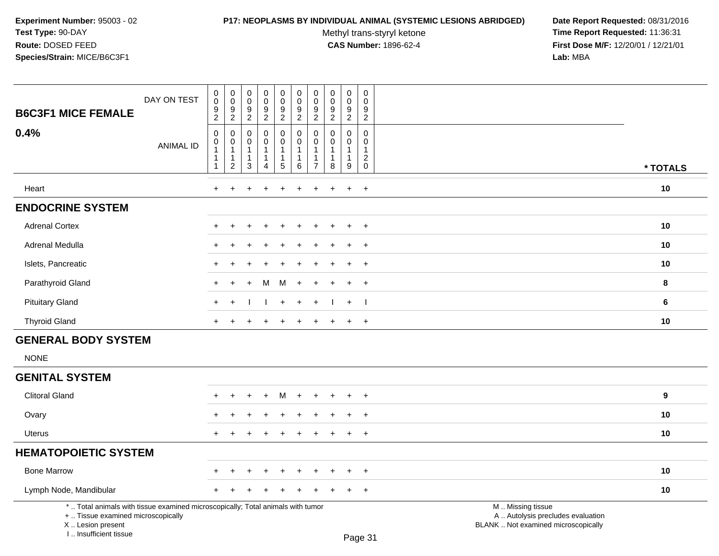# **P17: NEOPLASMS BY INDIVIDUAL ANIMAL (SYSTEMIC LESIONS ABRIDGED) Date Report Requested:** 08/31/2016

Methyl trans-styryl ketone<br>CAS Number: 1896-62-4

| <b>B6C3F1 MICE FEMALE</b>                                                                                                                                             | DAY ON TEST      | $_{\rm 0}^{\rm 0}$<br>$\frac{9}{2}$                                                     | $\mathsf 0$<br>$\mathsf 0$<br>$9\,$<br>$\overline{2}$            | $\mathsf 0$<br>$\mathbf 0$<br>$\boldsymbol{9}$<br>$\overline{2}$ | $\pmb{0}$<br>$\overline{0}$<br>$\frac{9}{2}$                       | $\mathbf 0$<br>$\ddot{\mathbf{0}}$<br>$\boldsymbol{9}$<br>$\overline{2}$                    | $\pmb{0}$<br>$\ddot{\mathbf{0}}$<br>$\frac{9}{2}$ | $\pmb{0}$<br>$\pmb{0}$<br>$\frac{9}{2}$                                     | $\mathbf 0$<br>$\ddot{\mathbf{0}}$<br>9<br>$\overline{2}$     | $\pmb{0}$<br>$\overline{0}$<br>$\boldsymbol{9}$<br>$\overline{2}$ | $\pmb{0}$<br>$\ddot{\mathbf{0}}$<br>9<br>$\overline{2}$ |                                                                                               |                  |
|-----------------------------------------------------------------------------------------------------------------------------------------------------------------------|------------------|-----------------------------------------------------------------------------------------|------------------------------------------------------------------|------------------------------------------------------------------|--------------------------------------------------------------------|---------------------------------------------------------------------------------------------|---------------------------------------------------|-----------------------------------------------------------------------------|---------------------------------------------------------------|-------------------------------------------------------------------|---------------------------------------------------------|-----------------------------------------------------------------------------------------------|------------------|
| 0.4%                                                                                                                                                                  | <b>ANIMAL ID</b> | $\pmb{0}$<br>$\mathbf 0$<br>$\overline{1}$<br>$\overline{\mathbf{1}}$<br>$\overline{1}$ | $\pmb{0}$<br>0<br>$\mathbf{1}$<br>$\mathbf{1}$<br>$\overline{c}$ | $\mathbf 0$<br>$\mathbf 0$<br>$\mathbf{1}$<br>$\mathbf{1}$<br>3  | 0<br>$\mathbf 0$<br>$\mathbf{1}$<br>$\mathbf{1}$<br>$\overline{4}$ | $\pmb{0}$<br>$\mathsf{O}\xspace$<br>$\overline{1}$<br>$\begin{array}{c} 1 \\ 5 \end{array}$ | $\mathbf 0$<br>$\mathbf 0$<br>1<br>1<br>6         | $\mathbf 0$<br>$\Omega$<br>$\overline{1}$<br>$\mathbf{1}$<br>$\overline{7}$ | $\pmb{0}$<br>$\mathbf 0$<br>$\mathbf{1}$<br>$\mathbf{1}$<br>8 | 0<br>$\Omega$<br>1<br>1<br>9                                      | 0<br>$\mathbf 0$<br>$\mathbf{1}$<br>$\frac{2}{0}$       |                                                                                               | * TOTALS         |
| Heart                                                                                                                                                                 |                  | $\ddot{}$                                                                               | ÷.                                                               |                                                                  |                                                                    | $\div$                                                                                      | $\div$                                            | ÷                                                                           | $\overline{ }$                                                | $\ddot{}$                                                         | $+$                                                     |                                                                                               | 10               |
| <b>ENDOCRINE SYSTEM</b>                                                                                                                                               |                  |                                                                                         |                                                                  |                                                                  |                                                                    |                                                                                             |                                                   |                                                                             |                                                               |                                                                   |                                                         |                                                                                               |                  |
| <b>Adrenal Cortex</b>                                                                                                                                                 |                  |                                                                                         |                                                                  |                                                                  |                                                                    |                                                                                             |                                                   |                                                                             |                                                               | ÷                                                                 | $\ddot{}$                                               |                                                                                               | 10               |
| Adrenal Medulla                                                                                                                                                       |                  |                                                                                         |                                                                  |                                                                  |                                                                    |                                                                                             |                                                   |                                                                             |                                                               |                                                                   |                                                         |                                                                                               | 10               |
| Islets, Pancreatic                                                                                                                                                    |                  |                                                                                         |                                                                  |                                                                  |                                                                    |                                                                                             |                                                   |                                                                             |                                                               |                                                                   | $\ddot{}$                                               |                                                                                               | 10               |
| Parathyroid Gland                                                                                                                                                     |                  |                                                                                         |                                                                  |                                                                  | M                                                                  | M                                                                                           | $\div$                                            |                                                                             |                                                               | $\ddot{}$                                                         | $\overline{+}$                                          |                                                                                               | 8                |
| <b>Pituitary Gland</b>                                                                                                                                                |                  |                                                                                         | ∔                                                                |                                                                  |                                                                    | $\ddot{}$                                                                                   | $\div$                                            |                                                                             |                                                               | $\ddot{}$                                                         | - 1                                                     |                                                                                               | 6                |
| <b>Thyroid Gland</b>                                                                                                                                                  |                  | $+$                                                                                     |                                                                  |                                                                  |                                                                    | ÷                                                                                           |                                                   |                                                                             | ÷.                                                            | $\ddot{}$                                                         | $+$                                                     |                                                                                               | 10               |
| <b>GENERAL BODY SYSTEM</b>                                                                                                                                            |                  |                                                                                         |                                                                  |                                                                  |                                                                    |                                                                                             |                                                   |                                                                             |                                                               |                                                                   |                                                         |                                                                                               |                  |
| <b>NONE</b>                                                                                                                                                           |                  |                                                                                         |                                                                  |                                                                  |                                                                    |                                                                                             |                                                   |                                                                             |                                                               |                                                                   |                                                         |                                                                                               |                  |
| <b>GENITAL SYSTEM</b>                                                                                                                                                 |                  |                                                                                         |                                                                  |                                                                  |                                                                    |                                                                                             |                                                   |                                                                             |                                                               |                                                                   |                                                         |                                                                                               |                  |
| <b>Clitoral Gland</b>                                                                                                                                                 |                  |                                                                                         |                                                                  |                                                                  | $\ddot{}$                                                          | м                                                                                           |                                                   |                                                                             |                                                               | ÷                                                                 | $\overline{+}$                                          |                                                                                               | $\boldsymbol{9}$ |
| Ovary                                                                                                                                                                 |                  |                                                                                         |                                                                  |                                                                  |                                                                    |                                                                                             |                                                   |                                                                             |                                                               |                                                                   |                                                         |                                                                                               | 10               |
| Uterus                                                                                                                                                                |                  |                                                                                         |                                                                  |                                                                  |                                                                    |                                                                                             |                                                   |                                                                             |                                                               | ÷                                                                 | $\overline{+}$                                          |                                                                                               | 10               |
| <b>HEMATOPOIETIC SYSTEM</b>                                                                                                                                           |                  |                                                                                         |                                                                  |                                                                  |                                                                    |                                                                                             |                                                   |                                                                             |                                                               |                                                                   |                                                         |                                                                                               |                  |
| <b>Bone Marrow</b>                                                                                                                                                    |                  |                                                                                         |                                                                  |                                                                  |                                                                    |                                                                                             |                                                   |                                                                             |                                                               |                                                                   |                                                         |                                                                                               | 10               |
| Lymph Node, Mandibular                                                                                                                                                |                  |                                                                                         |                                                                  |                                                                  |                                                                    |                                                                                             |                                                   |                                                                             |                                                               |                                                                   | $\ddot{}$                                               |                                                                                               | 10               |
| *  Total animals with tissue examined microscopically; Total animals with tumor<br>+  Tissue examined microscopically<br>X  Lesion present<br>I., Insufficient tissue |                  |                                                                                         |                                                                  |                                                                  |                                                                    |                                                                                             |                                                   |                                                                             |                                                               |                                                                   | Page 31                                                 | M  Missing tissue<br>A  Autolysis precludes evaluation<br>BLANK  Not examined microscopically |                  |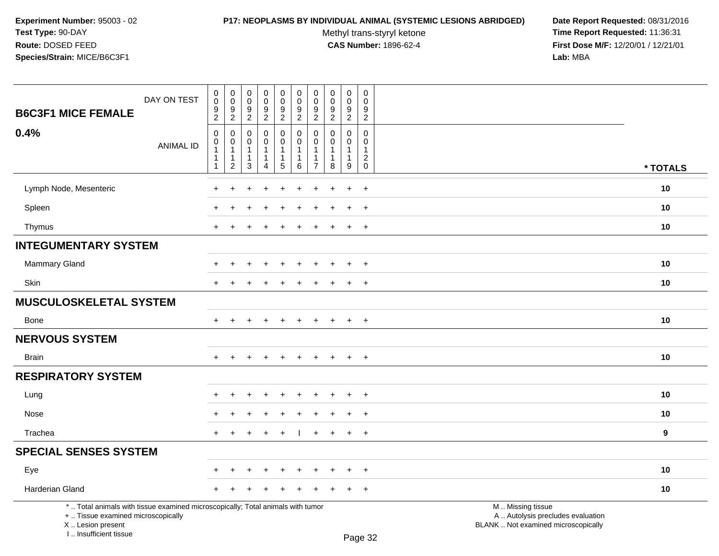# **P17: NEOPLASMS BY INDIVIDUAL ANIMAL (SYSTEMIC LESIONS ABRIDGED) Date Report Requested:** 08/31/2016

Methyl trans-styryl ketone<br>CAS Number: 1896-62-4

| DAY ON TEST<br><b>B6C3F1 MICE FEMALE</b>                                                                                                                            | $\pmb{0}$<br>$\mathbf 0$<br>9<br>$\overline{2}$ | $\pmb{0}$<br>$\pmb{0}$<br>$\frac{9}{2}$                                        | $\pmb{0}$<br>$\boldsymbol{0}$<br>$9\,$<br>$\overline{2}$     | $\pmb{0}$<br>$\pmb{0}$<br>9<br>$\overline{2}$ | $\pmb{0}$<br>$\mathsf{O}\xspace$<br>$\boldsymbol{9}$<br>$\overline{2}$ | $\pmb{0}$<br>$\pmb{0}$<br>9<br>$\overline{2}$ | $\pmb{0}$<br>$\mathbf 0$<br>$\frac{9}{2}$                                       | $\mathbf 0$<br>$\pmb{0}$<br>9<br>$\overline{2}$              | $\pmb{0}$<br>$\mathbf 0$<br>9<br>$\overline{2}$ | $\pmb{0}$<br>$\mathbf 0$<br>9<br>$\overline{c}$                   |                                                                                               |                  |
|---------------------------------------------------------------------------------------------------------------------------------------------------------------------|-------------------------------------------------|--------------------------------------------------------------------------------|--------------------------------------------------------------|-----------------------------------------------|------------------------------------------------------------------------|-----------------------------------------------|---------------------------------------------------------------------------------|--------------------------------------------------------------|-------------------------------------------------|-------------------------------------------------------------------|-----------------------------------------------------------------------------------------------|------------------|
| 0.4%<br><b>ANIMAL ID</b>                                                                                                                                            | $\mathbf 0$<br>$\mathbf 0$<br>1<br>1            | $\mathbf 0$<br>$\mathbf 0$<br>$\overline{1}$<br>$\mathbf{1}$<br>$\overline{2}$ | $\mathbf 0$<br>$\Omega$<br>$\mathbf{1}$<br>$\mathbf{1}$<br>3 | 0<br>$\mathbf 0$<br>1<br>4                    | 0<br>0<br>1<br>$\mathbf{1}$<br>$\sqrt{5}$                              | 0<br>$\Omega$<br>-1<br>1<br>$\,6\,$           | $\mathbf 0$<br>$\mathbf{0}$<br>$\overline{1}$<br>$\mathbf{1}$<br>$\overline{7}$ | $\mathbf 0$<br>$\Omega$<br>$\mathbf{1}$<br>$\mathbf{1}$<br>8 | 0<br>$\Omega$<br>1<br>1<br>9                    | 0<br>$\mathbf 0$<br>$\mathbf{1}$<br>$\overline{c}$<br>$\mathbf 0$ |                                                                                               | * TOTALS         |
| Lymph Node, Mesenteric                                                                                                                                              |                                                 |                                                                                |                                                              |                                               |                                                                        |                                               |                                                                                 |                                                              | $\overline{+}$                                  | $\ddot{}$                                                         |                                                                                               | 10               |
| Spleen                                                                                                                                                              |                                                 |                                                                                |                                                              |                                               |                                                                        |                                               |                                                                                 |                                                              |                                                 | $\ddot{}$                                                         |                                                                                               | 10               |
| Thymus                                                                                                                                                              |                                                 |                                                                                |                                                              |                                               |                                                                        |                                               |                                                                                 |                                                              | $\ddot{}$                                       | $\overline{+}$                                                    |                                                                                               | 10               |
| <b>INTEGUMENTARY SYSTEM</b>                                                                                                                                         |                                                 |                                                                                |                                                              |                                               |                                                                        |                                               |                                                                                 |                                                              |                                                 |                                                                   |                                                                                               |                  |
| Mammary Gland                                                                                                                                                       |                                                 |                                                                                |                                                              |                                               |                                                                        |                                               |                                                                                 |                                                              | $\ddot{}$                                       | $+$                                                               |                                                                                               | 10               |
| Skin                                                                                                                                                                | ÷                                               |                                                                                |                                                              |                                               |                                                                        |                                               |                                                                                 |                                                              | $\ddot{}$                                       | $+$                                                               |                                                                                               | 10               |
| <b>MUSCULOSKELETAL SYSTEM</b>                                                                                                                                       |                                                 |                                                                                |                                                              |                                               |                                                                        |                                               |                                                                                 |                                                              |                                                 |                                                                   |                                                                                               |                  |
| <b>Bone</b>                                                                                                                                                         | $\ddot{}$                                       | ÷                                                                              |                                                              | $\div$                                        | $\div$                                                                 | $\ddot{}$                                     | $\pm$                                                                           | $\ddot{}$                                                    | $\ddot{}$                                       | $+$                                                               |                                                                                               | 10               |
| <b>NERVOUS SYSTEM</b>                                                                                                                                               |                                                 |                                                                                |                                                              |                                               |                                                                        |                                               |                                                                                 |                                                              |                                                 |                                                                   |                                                                                               |                  |
| <b>Brain</b>                                                                                                                                                        |                                                 |                                                                                |                                                              |                                               |                                                                        |                                               |                                                                                 |                                                              | $\ddot{}$                                       | $+$                                                               |                                                                                               | 10               |
| <b>RESPIRATORY SYSTEM</b>                                                                                                                                           |                                                 |                                                                                |                                                              |                                               |                                                                        |                                               |                                                                                 |                                                              |                                                 |                                                                   |                                                                                               |                  |
| Lung                                                                                                                                                                |                                                 |                                                                                |                                                              |                                               |                                                                        |                                               |                                                                                 |                                                              |                                                 | $\ddot{}$                                                         |                                                                                               | 10               |
| Nose                                                                                                                                                                |                                                 |                                                                                |                                                              |                                               |                                                                        |                                               |                                                                                 |                                                              |                                                 | $\overline{+}$                                                    |                                                                                               | 10               |
| Trachea                                                                                                                                                             | $+$                                             | $\ddot{}$                                                                      | $\div$                                                       | $+$                                           | $+$                                                                    |                                               | $+$                                                                             | $+$                                                          | $+$                                             | $+$                                                               |                                                                                               | $\boldsymbol{9}$ |
| <b>SPECIAL SENSES SYSTEM</b>                                                                                                                                        |                                                 |                                                                                |                                                              |                                               |                                                                        |                                               |                                                                                 |                                                              |                                                 |                                                                   |                                                                                               |                  |
| Eye                                                                                                                                                                 |                                                 |                                                                                |                                                              |                                               |                                                                        |                                               |                                                                                 |                                                              | $\div$                                          | $+$                                                               |                                                                                               | 10               |
| Harderian Gland                                                                                                                                                     |                                                 |                                                                                |                                                              |                                               |                                                                        |                                               |                                                                                 |                                                              | $\div$                                          | $+$                                                               |                                                                                               | 10               |
| *  Total animals with tissue examined microscopically; Total animals with tumor<br>+  Tissue examined microscopically<br>X  Lesion present<br>I Insufficient tissue |                                                 |                                                                                |                                                              |                                               |                                                                        |                                               |                                                                                 |                                                              |                                                 | $D_{200}$ 22                                                      | M  Missing tissue<br>A  Autolysis precludes evaluation<br>BLANK  Not examined microscopically |                  |